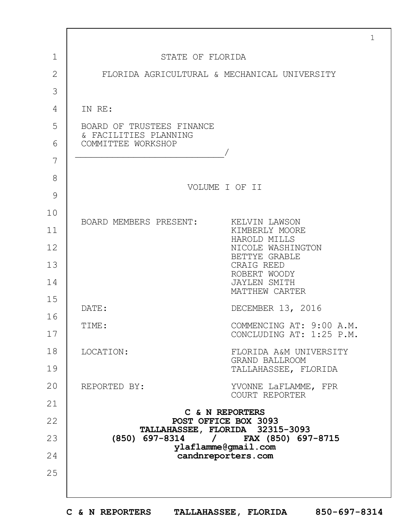|              |                                                                             | $\mathbf{1}$ |
|--------------|-----------------------------------------------------------------------------|--------------|
| $\mathbf 1$  | STATE OF FLORIDA                                                            |              |
| $\mathbf{2}$ | FLORIDA AGRICULTURAL & MECHANICAL UNIVERSITY                                |              |
| 3            |                                                                             |              |
| 4            | IN RE:                                                                      |              |
| 5            | BOARD OF TRUSTEES FINANCE<br>& FACILITIES PLANNING<br>COMMITTEE WORKSHOP    |              |
| 6            |                                                                             |              |
| 7            |                                                                             |              |
| 8            | VOLUME I OF II                                                              |              |
| 9            |                                                                             |              |
| 10           |                                                                             |              |
| 11           | BOARD MEMBERS PRESENT:<br>KELVIN LAWSON<br>KIMBERLY MOORE                   |              |
| 12           | HAROLD MILLS<br>NICOLE WASHINGTON                                           |              |
| 13           | BETTYE GRABLE<br>CRAIG REED                                                 |              |
| 14           | ROBERT WOODY<br><b>JAYLEN SMITH</b><br>MATTHEW CARTER                       |              |
| 15           | DECEMBER 13, 2016<br>DATE:                                                  |              |
| 16           | COMMENCING AT: 9:00 A.M.                                                    |              |
| 17           | TIME:<br>CONCLUDING AT: 1:25 P.M.                                           |              |
| 18           | LOCATION:<br>FLORIDA A&M UNIVERSITY<br>GRAND BALLROOM                       |              |
| 19           | TALLAHASSEE, FLORIDA                                                        |              |
| 20           | REPORTED BY:<br>YVONNE LaFLAMME, FPR<br>COURT REPORTER                      |              |
| 21           |                                                                             |              |
| 22           | C & N REPORTERS<br>POST OFFICE BOX 3093                                     |              |
| 23           | TALLAHASSEE, FLORIDA 32315-3093<br>$(850)$ 697-8314 /<br>FAX (850) 697-8715 |              |
| 24           | ylaflamme@gmail.com<br>candnreporters.com                                   |              |
| 25           |                                                                             |              |
|              |                                                                             |              |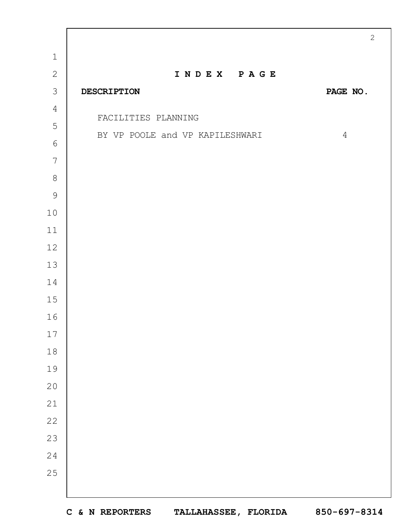|                |                                 | $\overline{c}$ |
|----------------|---------------------------------|----------------|
| $\mathbf{1}$   |                                 |                |
| $\mathbf{2}$   | INDEX PAGE                      |                |
| $\mathcal{S}$  | <b>DESCRIPTION</b>              | PAGE NO.       |
| $\overline{4}$ | FACILITIES PLANNING             |                |
| 5              | BY VP POOLE and VP KAPILESHWARI | $\overline{4}$ |
| $\sqrt{6}$     |                                 |                |
| 7              |                                 |                |
| $\,8\,$        |                                 |                |
| $\overline{9}$ |                                 |                |
| $1\,0$         |                                 |                |
| $11\,$         |                                 |                |
| $12$           |                                 |                |
| 13             |                                 |                |
| 14             |                                 |                |
| $15$           |                                 |                |
| 16             |                                 |                |
| 17             |                                 |                |
| 18             |                                 |                |
| 19             |                                 |                |
| 20             |                                 |                |
| 21             |                                 |                |
| 22             |                                 |                |
| 23             |                                 |                |
| 24             |                                 |                |
| 25             |                                 |                |
|                |                                 |                |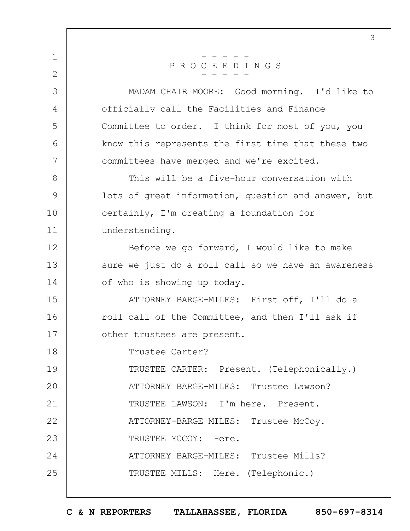1 2 3 4 5 6 7 8 9 10 11 12 13 14 15 16 17 18 19  $20$ 21 22 23 24 25 3 - - - - - P R O C E E D I N G S - - - - - MADAM CHAIR MOORE: Good morning. I'd like to officially call the Facilities and Finance Committee to order. I think for most of you, you know this represents the first time that these two committees have merged and we're excited. This will be a five-hour conversation with lots of great information, question and answer, but certainly, I'm creating a foundation for understanding. Before we go forward, I would like to make sure we just do a roll call so we have an awareness of who is showing up today. ATTORNEY BARGE-MILES: First off, I'll do a roll call of the Committee, and then I'll ask if other trustees are present. Trustee Carter? TRUSTEE CARTER: Present. (Telephonically.) ATTORNEY BARGE-MILES: Trustee Lawson? TRUSTEE LAWSON: I'm here. Present. ATTORNEY-BARGE MILES: Trustee McCoy. TRUSTEE MCCOY: Here. ATTORNEY BARGE-MILES: Trustee Mills? TRUSTEE MILLS: Here. (Telephonic.)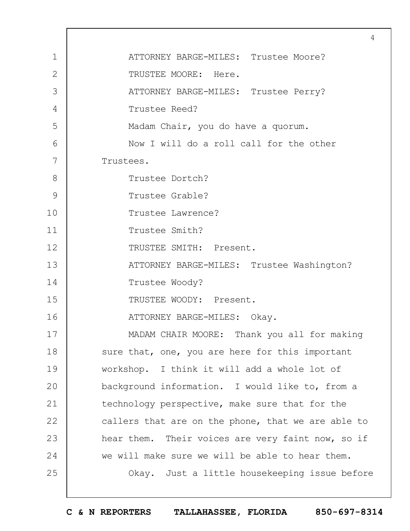|                | 4                                                  |
|----------------|----------------------------------------------------|
| $\mathbf 1$    | ATTORNEY BARGE-MILES: Trustee Moore?               |
| $\overline{2}$ | TRUSTEE MOORE: Here.                               |
| 3              | ATTORNEY BARGE-MILES: Trustee Perry?               |
| 4              | Trustee Reed?                                      |
| 5              | Madam Chair, you do have a quorum.                 |
| 6              | Now I will do a roll call for the other            |
| 7              | Trustees.                                          |
| 8              | Trustee Dortch?                                    |
| 9              | Trustee Grable?                                    |
| 10             | Trustee Lawrence?                                  |
| 11             | Trustee Smith?                                     |
| 12             | TRUSTEE SMITH: Present.                            |
| 13             | ATTORNEY BARGE-MILES: Trustee Washington?          |
| 14             | Trustee Woody?                                     |
| 15             | TRUSTEE WOODY: Present.                            |
| 16             | ATTORNEY BARGE-MILES: Okay.                        |
| 17             | MADAM CHAIR MOORE: Thank you all for making        |
| 18             | sure that, one, you are here for this important    |
| 19             | workshop. I think it will add a whole lot of       |
| 20             | background information. I would like to, from a    |
| 21             | technology perspective, make sure that for the     |
| 22             | callers that are on the phone, that we are able to |
| 23             | hear them. Their voices are very faint now, so if  |
| 24             | we will make sure we will be able to hear them.    |
| 25             | Okay. Just a little housekeeping issue before      |
|                |                                                    |

 $\Gamma$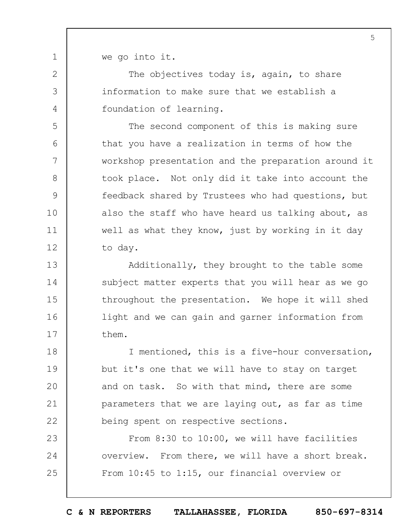we go into it.

1

2

3

4

5

6

7

8

9

10

11

12

The objectives today is, again, to share information to make sure that we establish a foundation of learning.

The second component of this is making sure that you have a realization in terms of how the workshop presentation and the preparation around it took place. Not only did it take into account the feedback shared by Trustees who had questions, but also the staff who have heard us talking about, as well as what they know, just by working in it day to day.

13 14 15 16 17 Additionally, they brought to the table some subject matter experts that you will hear as we go throughout the presentation. We hope it will shed light and we can gain and garner information from them.

18 19  $20$ 21 22 I mentioned, this is a five-hour conversation, but it's one that we will have to stay on target and on task. So with that mind, there are some parameters that we are laying out, as far as time being spent on respective sections.

23 24 25 From 8:30 to 10:00, we will have facilities overview. From there, we will have a short break. From 10:45 to 1:15, our financial overview or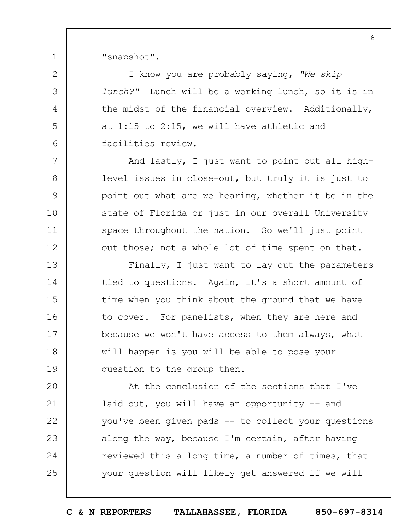"snapshot".

1

2

3

4

5

6

7

8

9

10

11

12

I know you are probably saying, *"We skip lunch?"* Lunch will be a working lunch, so it is in the midst of the financial overview. Additionally, at 1:15 to 2:15, we will have athletic and facilities review.

And lastly, I just want to point out all highlevel issues in close-out, but truly it is just to point out what are we hearing, whether it be in the state of Florida or just in our overall University space throughout the nation. So we'll just point out those; not a whole lot of time spent on that.

13 14 15 16 17 18 19 Finally, I just want to lay out the parameters tied to questions. Again, it's a short amount of time when you think about the ground that we have to cover. For panelists, when they are here and because we won't have access to them always, what will happen is you will be able to pose your question to the group then.

 $20$ 21 22 23 24 25 At the conclusion of the sections that I've laid out, you will have an opportunity -- and you've been given pads -- to collect your questions along the way, because I'm certain, after having reviewed this a long time, a number of times, that your question will likely get answered if we will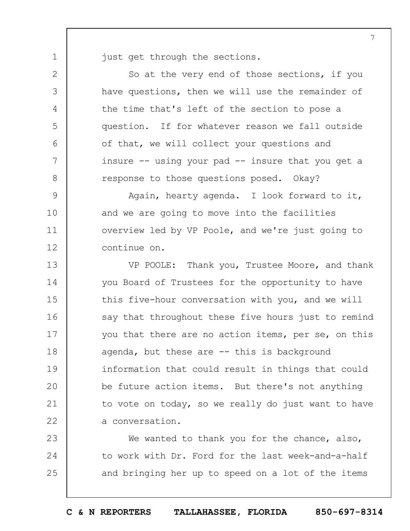just get through the sections.

1

2

3

4

5

6

7

8

So at the very end of those sections, if you have questions, then we will use the remainder of the time that's left of the section to pose a question. If for whatever reason we fall outside of that, we will collect your questions and insure  $--$  using your pad  $--$  insure that you get a response to those questions posed. Okay?

9 10 11 12 Again, hearty agenda. I look forward to it, and we are going to move into the facilities overview led by VP Poole, and we're just going to continue on.

13 14 15 16 17 18 19  $20$ 21 22 VP POOLE: Thank you, Trustee Moore, and thank you Board of Trustees for the opportunity to have this five-hour conversation with you, and we will say that throughout these five hours just to remind you that there are no action items, per se, on this agenda, but these are -- this is background information that could result in things that could be future action items. But there's not anything to vote on today, so we really do just want to have a conversation.

23 24 25 We wanted to thank you for the chance, also, to work with Dr. Ford for the last week-and-a-half and bringing her up to speed on a lot of the items

**C & N REPORTERS TALLAHASSEE, FLORIDA 850-697-8314**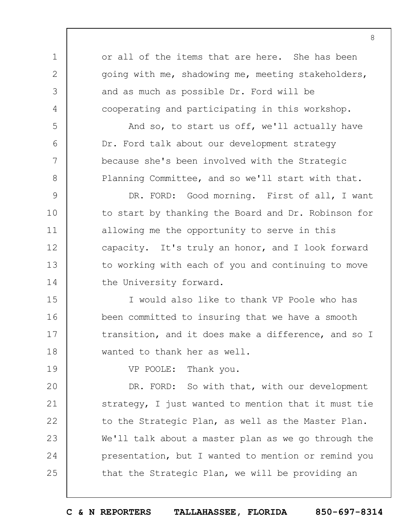1 2 3 4 5 6 7 8 9 10 11 12 13 14 15 16 17 18 19  $20$ 21 22 23 24 25 or all of the items that are here. She has been going with me, shadowing me, meeting stakeholders, and as much as possible Dr. Ford will be cooperating and participating in this workshop. And so, to start us off, we'll actually have Dr. Ford talk about our development strategy because she's been involved with the Strategic Planning Committee, and so we'll start with that. DR. FORD: Good morning. First of all, I want to start by thanking the Board and Dr. Robinson for allowing me the opportunity to serve in this capacity. It's truly an honor, and I look forward to working with each of you and continuing to move the University forward. I would also like to thank VP Poole who has been committed to insuring that we have a smooth transition, and it does make a difference, and so I wanted to thank her as well. VP POOLE: Thank you. DR. FORD: So with that, with our development strategy, I just wanted to mention that it must tie to the Strategic Plan, as well as the Master Plan. We'll talk about a master plan as we go through the presentation, but I wanted to mention or remind you that the Strategic Plan, we will be providing an

8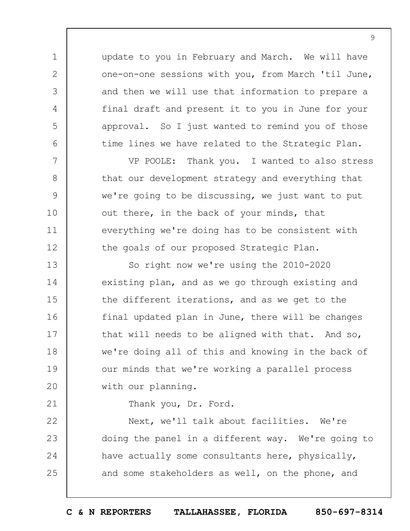update to you in February and March. We will have one-on-one sessions with you, from March 'til June, and then we will use that information to prepare a final draft and present it to you in June for your approval. So I just wanted to remind you of those time lines we have related to the Strategic Plan.

VP POOLE: Thank you. I wanted to also stress that our development strategy and everything that we're going to be discussing, we just want to put out there, in the back of your minds, that everything we're doing has to be consistent with the goals of our proposed Strategic Plan.

13 14 15 16 17 18 19  $20$ So right now we're using the 2010-2020 existing plan, and as we go through existing and the different iterations, and as we get to the final updated plan in June, there will be changes that will needs to be aligned with that. And so, we're doing all of this and knowing in the back of our minds that we're working a parallel process with our planning.

21

1

2

3

4

5

6

7

8

9

10

11

12

Thank you, Dr. Ford.

22 23 24 25 Next, we'll talk about facilities. We're doing the panel in a different way. We're going to have actually some consultants here, physically, and some stakeholders as well, on the phone, and

**C & N REPORTERS TALLAHASSEE, FLORIDA 850-697-8314**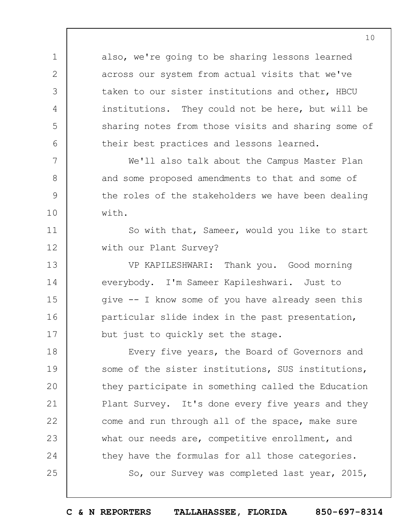also, we're going to be sharing lessons learned across our system from actual visits that we've taken to our sister institutions and other, HBCU institutions. They could not be here, but will be sharing notes from those visits and sharing some of their best practices and lessons learned.

1

2

3

4

5

6

7

8

9

10

11

12

13

14

15

16

17

We'll also talk about the Campus Master Plan and some proposed amendments to that and some of the roles of the stakeholders we have been dealing with.

So with that, Sameer, would you like to start with our Plant Survey?

VP KAPILESHWARI: Thank you. Good morning everybody. I'm Sameer Kapileshwari. Just to give -- I know some of you have already seen this particular slide index in the past presentation, but just to quickly set the stage.

18 19  $20$ 21 22 23 24 25 Every five years, the Board of Governors and some of the sister institutions, SUS institutions, they participate in something called the Education Plant Survey. It's done every five years and they come and run through all of the space, make sure what our needs are, competitive enrollment, and they have the formulas for all those categories. So, our Survey was completed last year, 2015,

**C & N REPORTERS TALLAHASSEE, FLORIDA 850-697-8314**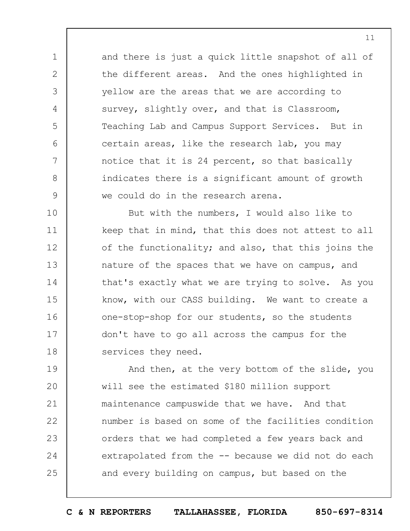and there is just a quick little snapshot of all of the different areas. And the ones highlighted in yellow are the areas that we are according to survey, slightly over, and that is Classroom, Teaching Lab and Campus Support Services. But in certain areas, like the research lab, you may notice that it is 24 percent, so that basically indicates there is a significant amount of growth we could do in the research arena.

1

2

3

4

5

6

7

8

9

10 11 12 13 14 15 16 17 18 But with the numbers, I would also like to keep that in mind, that this does not attest to all of the functionality; and also, that this joins the nature of the spaces that we have on campus, and that's exactly what we are trying to solve. As you know, with our CASS building. We want to create a one-stop-shop for our students, so the students don't have to go all across the campus for the services they need.

19  $20$ 21 22 23 24 25 And then, at the very bottom of the slide, you will see the estimated \$180 million support maintenance campuswide that we have. And that number is based on some of the facilities condition orders that we had completed a few years back and extrapolated from the -- because we did not do each and every building on campus, but based on the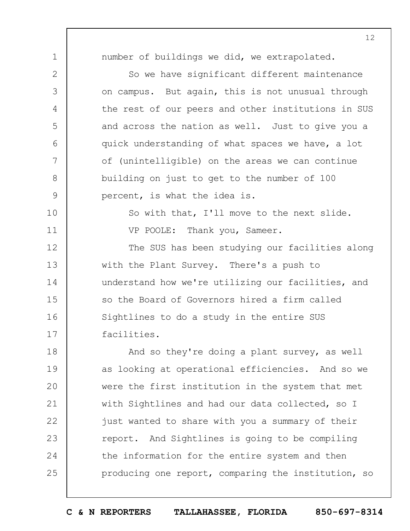number of buildings we did, we extrapolated.

1

2 3 4 5 6 7 8 9 10 11 12 13 14 15 16 17 18 19  $20$ So we have significant different maintenance on campus. But again, this is not unusual through the rest of our peers and other institutions in SUS and across the nation as well. Just to give you a quick understanding of what spaces we have, a lot of (unintelligible) on the areas we can continue building on just to get to the number of 100 percent, is what the idea is. So with that, I'll move to the next slide. VP POOLE: Thank you, Sameer. The SUS has been studying our facilities along with the Plant Survey. There's a push to understand how we're utilizing our facilities, and so the Board of Governors hired a firm called Sightlines to do a study in the entire SUS facilities. And so they're doing a plant survey, as well as looking at operational efficiencies. And so we were the first institution in the system that met

21 22 23 24 25 with Sightlines and had our data collected, so I just wanted to share with you a summary of their report. And Sightlines is going to be compiling the information for the entire system and then producing one report, comparing the institution, so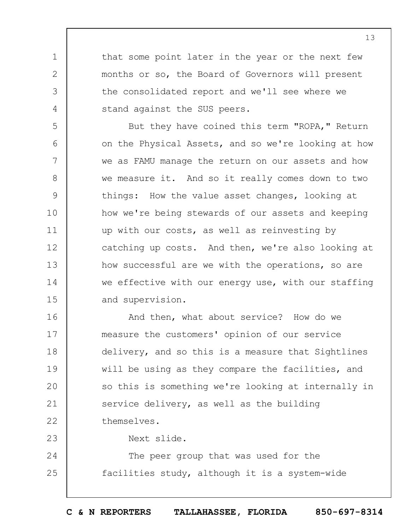that some point later in the year or the next few months or so, the Board of Governors will present the consolidated report and we'll see where we stand against the SUS peers.

5 6 7 8 9 10 11 12 13 14 15 But they have coined this term "ROPA," Return on the Physical Assets, and so we're looking at how we as FAMU manage the return on our assets and how we measure it. And so it really comes down to two things: How the value asset changes, looking at how we're being stewards of our assets and keeping up with our costs, as well as reinvesting by catching up costs. And then, we're also looking at how successful are we with the operations, so are we effective with our energy use, with our staffing and supervision.

16 17 18 19  $20$ 21 22 And then, what about service? How do we measure the customers' opinion of our service delivery, and so this is a measure that Sightlines will be using as they compare the facilities, and so this is something we're looking at internally in service delivery, as well as the building themselves.

23

1

2

3

4

Next slide.

24 25 The peer group that was used for the facilities study, although it is a system-wide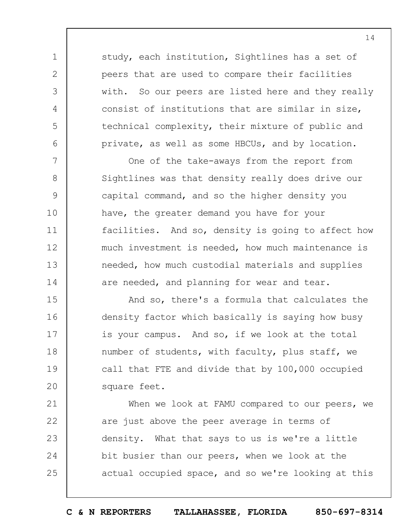study, each institution, Sightlines has a set of peers that are used to compare their facilities with. So our peers are listed here and they really consist of institutions that are similar in size, technical complexity, their mixture of public and private, as well as some HBCUs, and by location.

1

2

3

4

5

6

7

8

9

10

11

12

13

14

One of the take-aways from the report from Sightlines was that density really does drive our capital command, and so the higher density you have, the greater demand you have for your facilities. And so, density is going to affect how much investment is needed, how much maintenance is needed, how much custodial materials and supplies are needed, and planning for wear and tear.

15 16 17 18 19  $20$ And so, there's a formula that calculates the density factor which basically is saying how busy is your campus. And so, if we look at the total number of students, with faculty, plus staff, we call that FTE and divide that by 100,000 occupied square feet.

21 22 23 24 25 When we look at FAMU compared to our peers, we are just above the peer average in terms of density. What that says to us is we're a little bit busier than our peers, when we look at the actual occupied space, and so we're looking at this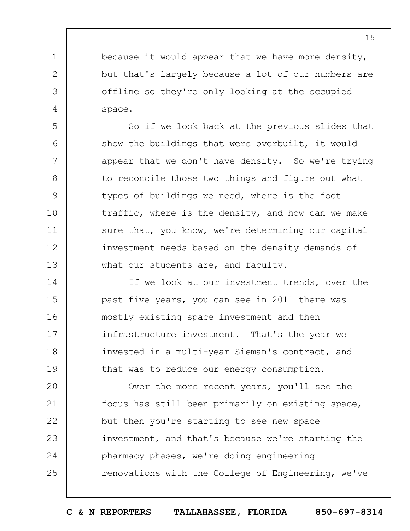because it would appear that we have more density, but that's largely because a lot of our numbers are offline so they're only looking at the occupied space.

1

2

3

4

5

6

7

8

9

10

11

12

13

So if we look back at the previous slides that show the buildings that were overbuilt, it would appear that we don't have density. So we're trying to reconcile those two things and figure out what types of buildings we need, where is the foot traffic, where is the density, and how can we make sure that, you know, we're determining our capital investment needs based on the density demands of what our students are, and faculty.

14 15 16 17 18 19 If we look at our investment trends, over the past five years, you can see in 2011 there was mostly existing space investment and then infrastructure investment. That's the year we invested in a multi-year Sieman's contract, and that was to reduce our energy consumption.

 $20$ 21 22 23 24 25 Over the more recent years, you'll see the focus has still been primarily on existing space, but then you're starting to see new space investment, and that's because we're starting the pharmacy phases, we're doing engineering renovations with the College of Engineering, we've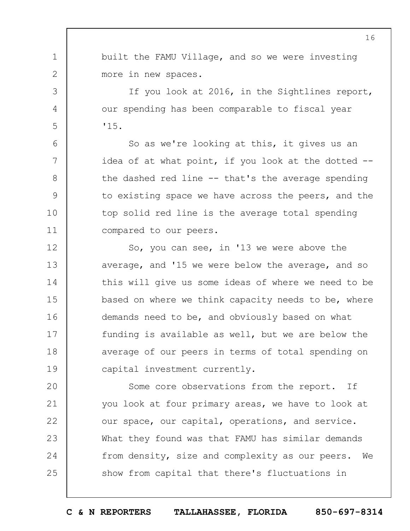1 built the FAMU Village, and so we were investing more in new spaces.

2

3

4

5

6

7

8

9

10

11

If you look at 2016, in the Sightlines report, our spending has been comparable to fiscal year '15.

So as we're looking at this, it gives us an idea of at what point, if you look at the dotted -the dashed red line -- that's the average spending to existing space we have across the peers, and the top solid red line is the average total spending compared to our peers.

12 13 14 15 16 17 18 19 So, you can see, in '13 we were above the average, and '15 we were below the average, and so this will give us some ideas of where we need to be based on where we think capacity needs to be, where demands need to be, and obviously based on what funding is available as well, but we are below the average of our peers in terms of total spending on capital investment currently.

 $20$ 21 22 23 24 25 Some core observations from the report. If you look at four primary areas, we have to look at our space, our capital, operations, and service. What they found was that FAMU has similar demands from density, size and complexity as our peers. We show from capital that there's fluctuations in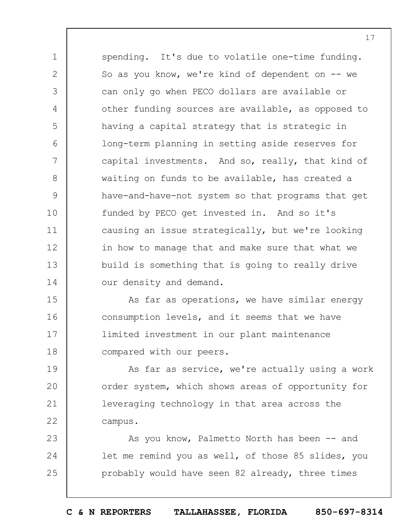1 2 3 4 5 6 7 8 9 10 11 12 13 14 spending. It's due to volatile one-time funding. So as you know, we're kind of dependent on -- we can only go when PECO dollars are available or other funding sources are available, as opposed to having a capital strategy that is strategic in long-term planning in setting aside reserves for capital investments. And so, really, that kind of waiting on funds to be available, has created a have-and-have-not system so that programs that get funded by PECO get invested in. And so it's causing an issue strategically, but we're looking in how to manage that and make sure that what we build is something that is going to really drive our density and demand.

15 16 17 18 As far as operations, we have similar energy consumption levels, and it seems that we have limited investment in our plant maintenance compared with our peers.

19  $20$ 21 22 As far as service, we're actually using a work order system, which shows areas of opportunity for leveraging technology in that area across the campus.

23 24 25 As you know, Palmetto North has been -- and let me remind you as well, of those 85 slides, you probably would have seen 82 already, three times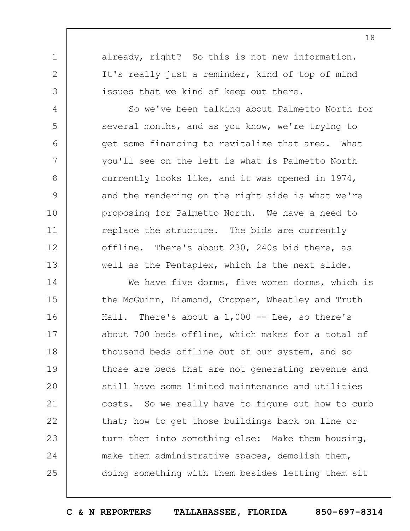already, right? So this is not new information. It's really just a reminder, kind of top of mind issues that we kind of keep out there.

1

2

3

4

5

6

7

8

9

10

11

12

13

So we've been talking about Palmetto North for several months, and as you know, we're trying to get some financing to revitalize that area. What you'll see on the left is what is Palmetto North currently looks like, and it was opened in 1974, and the rendering on the right side is what we're proposing for Palmetto North. We have a need to replace the structure. The bids are currently offline. There's about 230, 240s bid there, as well as the Pentaplex, which is the next slide.

14 15 16 17 18 19  $20$ 21 22 23 24 25 We have five dorms, five women dorms, which is the McGuinn, Diamond, Cropper, Wheatley and Truth Hall. There's about a 1,000 -- Lee, so there's about 700 beds offline, which makes for a total of thousand beds offline out of our system, and so those are beds that are not generating revenue and still have some limited maintenance and utilities costs. So we really have to figure out how to curb that; how to get those buildings back on line or turn them into something else: Make them housing, make them administrative spaces, demolish them, doing something with them besides letting them sit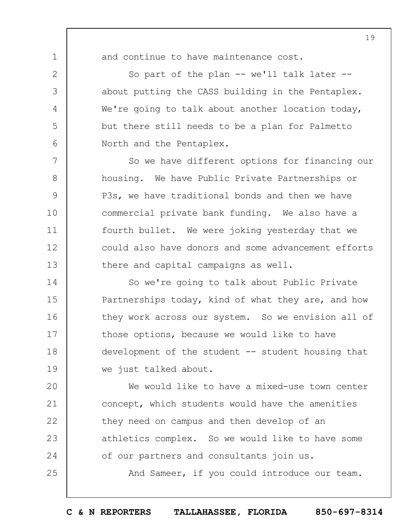1 2

3

4

5

6

7

8

9

10

11

12

13

25

and continue to have maintenance cost.

So part of the plan -- we'll talk later -about putting the CASS building in the Pentaplex. We're going to talk about another location today, but there still needs to be a plan for Palmetto North and the Pentaplex.

So we have different options for financing our housing. We have Public Private Partnerships or P3s, we have traditional bonds and then we have commercial private bank funding. We also have a fourth bullet. We were joking yesterday that we could also have donors and some advancement efforts there and capital campaigns as well.

14 15 16 17 18 19 So we're going to talk about Public Private Partnerships today, kind of what they are, and how they work across our system. So we envision all of those options, because we would like to have development of the student -- student housing that we just talked about.

 $20$ 21 22 23 24 We would like to have a mixed-use town center concept, which students would have the amenities they need on campus and then develop of an athletics complex. So we would like to have some of our partners and consultants join us.

And Sameer, if you could introduce our team.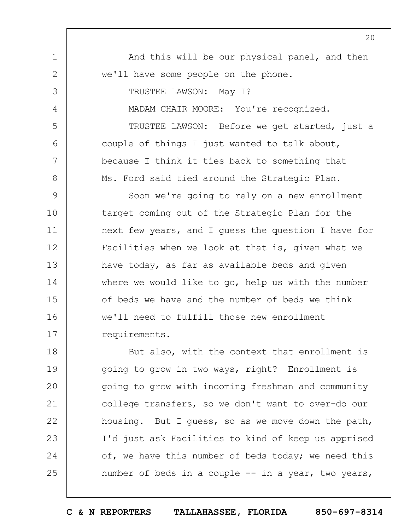1 2 3 4 5 6 7 8 9 10 11 12 13 14 15 16 17 18 19  $20$ 21 22 23 24  $20$ And this will be our physical panel, and then we'll have some people on the phone. TRUSTEE LAWSON: May I? MADAM CHAIR MOORE: You're recognized. TRUSTEE LAWSON: Before we get started, just a couple of things I just wanted to talk about, because I think it ties back to something that Ms. Ford said tied around the Strategic Plan. Soon we're going to rely on a new enrollment target coming out of the Strategic Plan for the next few years, and I guess the question I have for Facilities when we look at that is, given what we have today, as far as available beds and given where we would like to go, help us with the number of beds we have and the number of beds we think we'll need to fulfill those new enrollment requirements. But also, with the context that enrollment is going to grow in two ways, right? Enrollment is going to grow with incoming freshman and community college transfers, so we don't want to over-do our housing. But I guess, so as we move down the path, I'd just ask Facilities to kind of keep us apprised of, we have this number of beds today; we need this

number of beds in a couple -- in a year, two years,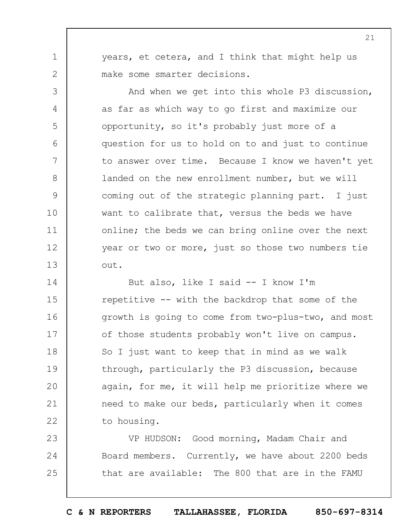years, et cetera, and I think that might help us make some smarter decisions.

1

2

3

4

5

6

7

8

9

10

11

12

13

And when we get into this whole P3 discussion, as far as which way to go first and maximize our opportunity, so it's probably just more of a question for us to hold on to and just to continue to answer over time. Because I know we haven't yet landed on the new enrollment number, but we will coming out of the strategic planning part. I just want to calibrate that, versus the beds we have online; the beds we can bring online over the next year or two or more, just so those two numbers tie out.

14 15 16 17 18 19  $20$ 21 22 But also, like I said -- I know I'm repetitive -- with the backdrop that some of the growth is going to come from two-plus-two, and most of those students probably won't live on campus. So I just want to keep that in mind as we walk through, particularly the P3 discussion, because again, for me, it will help me prioritize where we need to make our beds, particularly when it comes to housing.

23 24 25 VP HUDSON: Good morning, Madam Chair and Board members. Currently, we have about 2200 beds that are available: The 800 that are in the FAMU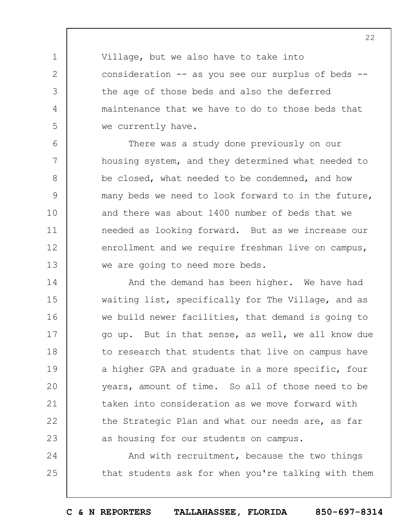Village, but we also have to take into consideration -- as you see our surplus of beds -the age of those beds and also the deferred maintenance that we have to do to those beds that we currently have.

1

2

3

4

5

6 7 8 9 10 11 12 13 There was a study done previously on our housing system, and they determined what needed to be closed, what needed to be condemned, and how many beds we need to look forward to in the future, and there was about 1400 number of beds that we needed as looking forward. But as we increase our enrollment and we require freshman live on campus, we are going to need more beds.

14 15 16 17 18 19  $20$ 21 22 23 And the demand has been higher. We have had waiting list, specifically for The Village, and as we build newer facilities, that demand is going to go up. But in that sense, as well, we all know due to research that students that live on campus have a higher GPA and graduate in a more specific, four years, amount of time. So all of those need to be taken into consideration as we move forward with the Strategic Plan and what our needs are, as far as housing for our students on campus.

24 25 And with recruitment, because the two things that students ask for when you're talking with them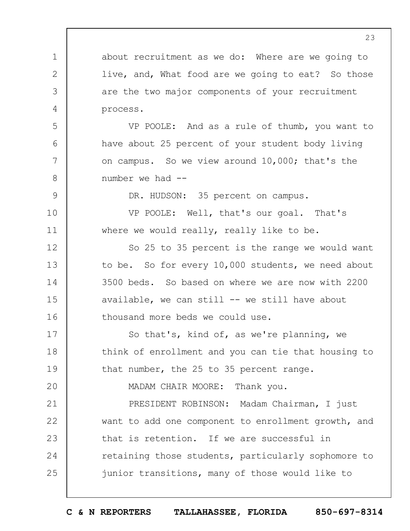about recruitment as we do: Where are we going to live, and, What food are we going to eat? So those are the two major components of your recruitment process.

1

2

3

4

5

6

7

8

9

10

11

 $20$ 

VP POOLE: And as a rule of thumb, you want to have about 25 percent of your student body living on campus. So we view around 10,000; that's the number we had --

DR. HUDSON: 35 percent on campus.

VP POOLE: Well, that's our goal. That's where we would really, really like to be.

12 13 14 15 16 So 25 to 35 percent is the range we would want to be. So for every 10,000 students, we need about 3500 beds. So based on where we are now with 2200 available, we can still -- we still have about thousand more beds we could use.

17 18 19 So that's, kind of, as we're planning, we think of enrollment and you can tie that housing to that number, the 25 to 35 percent range.

MADAM CHAIR MOORE: Thank you.

21 22 23 24 25 PRESIDENT ROBINSON: Madam Chairman, I just want to add one component to enrollment growth, and that is retention. If we are successful in retaining those students, particularly sophomore to junior transitions, many of those would like to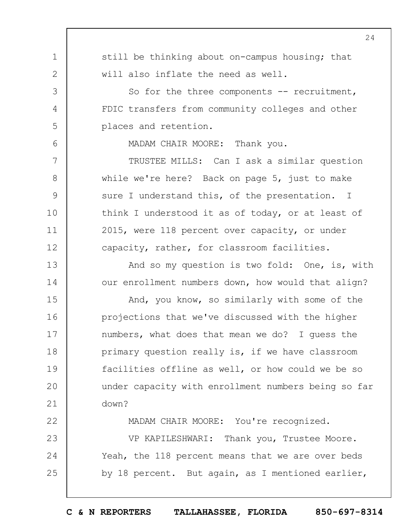still be thinking about on-campus housing; that will also inflate the need as well.

1

2

3

4

5

6

7

8

9

10

11

12

13

14

22

23

24

25

So for the three components -- recruitment, FDIC transfers from community colleges and other places and retention.

MADAM CHAIR MOORE: Thank you.

TRUSTEE MILLS: Can I ask a similar question while we're here? Back on page 5, just to make sure I understand this, of the presentation. I think I understood it as of today, or at least of 2015, were 118 percent over capacity, or under capacity, rather, for classroom facilities.

And so my question is two fold: One, is, with our enrollment numbers down, how would that align?

15 16 17 18 19  $20$ 21 And, you know, so similarly with some of the projections that we've discussed with the higher numbers, what does that mean we do? I guess the primary question really is, if we have classroom facilities offline as well, or how could we be so under capacity with enrollment numbers being so far down?

MADAM CHAIR MOORE: You're recognized.

VP KAPILESHWARI: Thank you, Trustee Moore. Yeah, the 118 percent means that we are over beds by 18 percent. But again, as I mentioned earlier,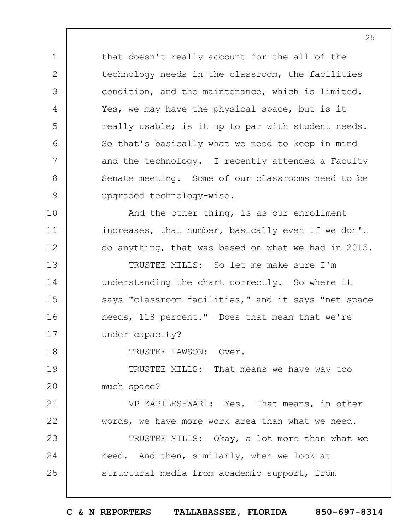that doesn't really account for the all of the technology needs in the classroom, the facilities condition, and the maintenance, which is limited. Yes, we may have the physical space, but is it really usable; is it up to par with student needs. So that's basically what we need to keep in mind and the technology. I recently attended a Faculty Senate meeting. Some of our classrooms need to be upgraded technology-wise.

1

2

3

4

5

6

7

8

9

10

11

12

18

21

22

And the other thing, is as our enrollment increases, that number, basically even if we don't do anything, that was based on what we had in 2015.

13 14 15 16 17 TRUSTEE MILLS: So let me make sure I'm understanding the chart correctly. So where it says "classroom facilities," and it says "net space needs, 118 percent." Does that mean that we're under capacity?

TRUSTEE LAWSON: Over.

19  $20$ TRUSTEE MILLS: That means we have way too much space?

VP KAPILESHWARI: Yes. That means, in other words, we have more work area than what we need.

23 24 25 TRUSTEE MILLS: Okay, a lot more than what we need. And then, similarly, when we look at structural media from academic support, from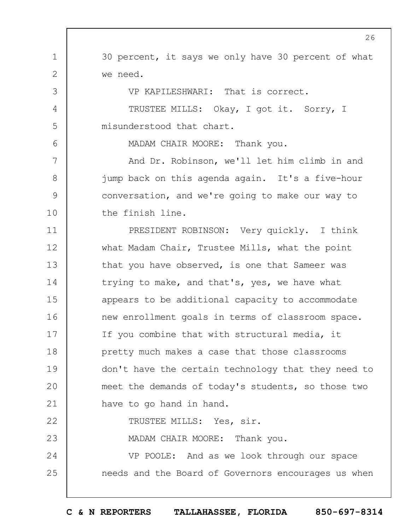30 percent, it says we only have 30 percent of what we need.

1

2

3

4

5

6

7

8

9

10

23

VP KAPILESHWARI: That is correct.

TRUSTEE MILLS: Okay, I got it. Sorry, I misunderstood that chart.

MADAM CHAIR MOORE: Thank you.

And Dr. Robinson, we'll let him climb in and jump back on this agenda again. It's a five-hour conversation, and we're going to make our way to the finish line.

11 12 13 14 15 16 17 18 19  $20$ 21 22 PRESIDENT ROBINSON: Very quickly. I think what Madam Chair, Trustee Mills, what the point that you have observed, is one that Sameer was trying to make, and that's, yes, we have what appears to be additional capacity to accommodate new enrollment goals in terms of classroom space. If you combine that with structural media, it pretty much makes a case that those classrooms don't have the certain technology that they need to meet the demands of today's students, so those two have to go hand in hand. TRUSTEE MILLS: Yes, sir.

MADAM CHAIR MOORE: Thank you.

24 25 VP POOLE: And as we look through our space needs and the Board of Governors encourages us when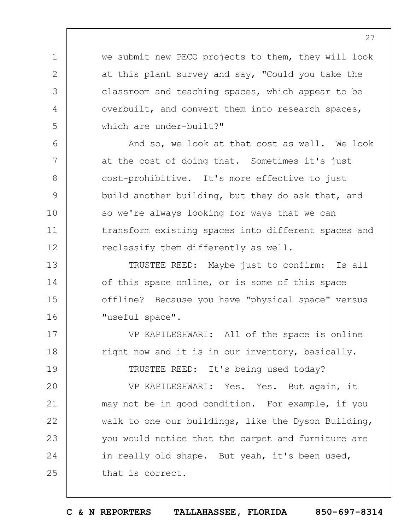we submit new PECO projects to them, they will look at this plant survey and say, "Could you take the classroom and teaching spaces, which appear to be overbuilt, and convert them into research spaces, which are under-built?"

1

2

3

4

5

6

7

8

9

10

11

12

17

18

19

And so, we look at that cost as well. We look at the cost of doing that. Sometimes it's just cost-prohibitive. It's more effective to just build another building, but they do ask that, and so we're always looking for ways that we can transform existing spaces into different spaces and reclassify them differently as well.

13 14 15 16 TRUSTEE REED: Maybe just to confirm: Is all of this space online, or is some of this space offline? Because you have "physical space" versus "useful space".

VP KAPILESHWARI: All of the space is online right now and it is in our inventory, basically.

TRUSTEE REED: It's being used today?

 $20$ 21 22 23 24 25 VP KAPILESHWARI: Yes. Yes. But again, it may not be in good condition. For example, if you walk to one our buildings, like the Dyson Building, you would notice that the carpet and furniture are in really old shape. But yeah, it's been used, that is correct.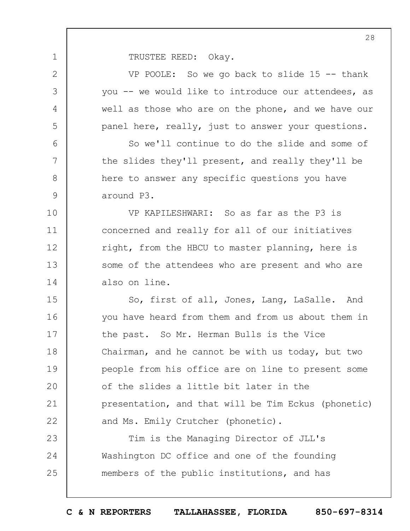1

| $\overline{2}$ | VP POOLE: So we go back to slide $15$ -- thank      |
|----------------|-----------------------------------------------------|
| 3              | you -- we would like to introduce our attendees, as |
| 4              | well as those who are on the phone, and we have our |
| 5              | panel here, really, just to answer your questions.  |
| 6              | So we'll continue to do the slide and some of       |
| 7              | the slides they'll present, and really they'll be   |
| 8              | here to answer any specific questions you have      |
| 9              | around P3.                                          |
| 10             | VP KAPILESHWARI: So as far as the P3 is             |
| 11             | concerned and really for all of our initiatives     |
| 12             | right, from the HBCU to master planning, here is    |
| 13             | some of the attendees who are present and who are   |
| 14             | also on line.                                       |
| 15             | So, first of all, Jones, Lang, LaSalle. And         |
| 16             | you have heard from them and from us about them in  |
| 17             | the past. So Mr. Herman Bulls is the Vice           |
| 18             | Chairman, and he cannot be with us today, but two   |
| 19             | people from his office are on line to present some  |
| 20             | of the slides a little bit later in the             |
| 21             | presentation, and that will be Tim Eckus (phonetic) |
| 22             | and Ms. Emily Crutcher (phonetic).                  |
| 23             | Tim is the Managing Director of JLL's               |
| 24             | Washington DC office and one of the founding        |
| 25             | members of the public institutions, and has         |
|                |                                                     |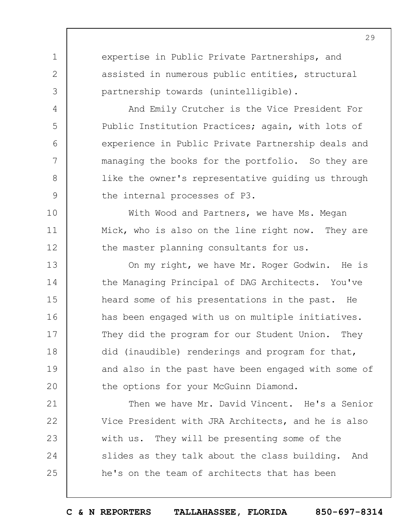expertise in Public Private Partnerships, and assisted in numerous public entities, structural partnership towards (unintelligible).

1

2

3

4

5

6

7

8

9

10

11

12

And Emily Crutcher is the Vice President For Public Institution Practices; again, with lots of experience in Public Private Partnership deals and managing the books for the portfolio. So they are like the owner's representative guiding us through the internal processes of P3.

With Wood and Partners, we have Ms. Megan Mick, who is also on the line right now. They are the master planning consultants for us.

13 14 15 16 17 18 19  $20$ On my right, we have Mr. Roger Godwin. He is the Managing Principal of DAG Architects. You've heard some of his presentations in the past. He has been engaged with us on multiple initiatives. They did the program for our Student Union. They did (inaudible) renderings and program for that, and also in the past have been engaged with some of the options for your McGuinn Diamond.

21 22 23 24 25 Then we have Mr. David Vincent. He's a Senior Vice President with JRA Architects, and he is also with us. They will be presenting some of the slides as they talk about the class building. And he's on the team of architects that has been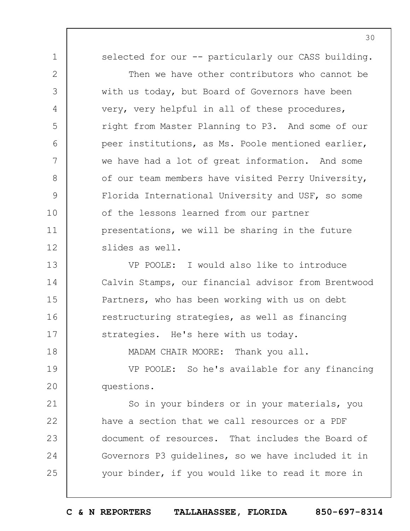1

2

3

4

5

6

7

8

9

10

11

12

18

selected for our -- particularly our CASS building.

Then we have other contributors who cannot be with us today, but Board of Governors have been very, very helpful in all of these procedures, right from Master Planning to P3. And some of our peer institutions, as Ms. Poole mentioned earlier, we have had a lot of great information. And some of our team members have visited Perry University, Florida International University and USF, so some of the lessons learned from our partner presentations, we will be sharing in the future slides as well.

13 14 15 16 17 VP POOLE: I would also like to introduce Calvin Stamps, our financial advisor from Brentwood Partners, who has been working with us on debt restructuring strategies, as well as financing strategies. He's here with us today.

MADAM CHAIR MOORE: Thank you all.

19  $20$ VP POOLE: So he's available for any financing questions.

21 22 23 24 25 So in your binders or in your materials, you have a section that we call resources or a PDF document of resources. That includes the Board of Governors P3 guidelines, so we have included it in your binder, if you would like to read it more in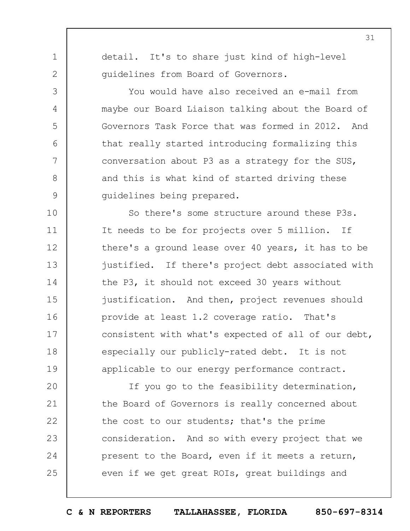1 2

3

4

5

6

7

8

9

detail. It's to share just kind of high-level guidelines from Board of Governors.

You would have also received an e-mail from maybe our Board Liaison talking about the Board of Governors Task Force that was formed in 2012. And that really started introducing formalizing this conversation about P3 as a strategy for the SUS, and this is what kind of started driving these guidelines being prepared.

10 11 12 13 14 15 16 17 18 19 So there's some structure around these P3s. It needs to be for projects over 5 million. If there's a ground lease over 40 years, it has to be justified. If there's project debt associated with the P3, it should not exceed 30 years without justification. And then, project revenues should provide at least 1.2 coverage ratio. That's consistent with what's expected of all of our debt, especially our publicly-rated debt. It is not applicable to our energy performance contract.

 $20$ 21 22 23 24 25 If you go to the feasibility determination, the Board of Governors is really concerned about the cost to our students; that's the prime consideration. And so with every project that we present to the Board, even if it meets a return, even if we get great ROIs, great buildings and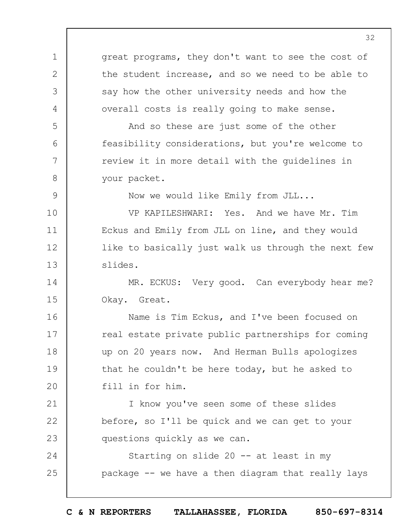1 2 3 4 5 6 7 8 9 10 11 12 13 14 15 16 17 18 19  $20$ 21 22 23 24 25 great programs, they don't want to see the cost of the student increase, and so we need to be able to say how the other university needs and how the overall costs is really going to make sense. And so these are just some of the other feasibility considerations, but you're welcome to review it in more detail with the guidelines in your packet. Now we would like Emily from JLL... VP KAPILESHWARI: Yes. And we have Mr. Tim Eckus and Emily from JLL on line, and they would like to basically just walk us through the next few slides. MR. ECKUS: Very good. Can everybody hear me? Okay. Great. Name is Tim Eckus, and I've been focused on real estate private public partnerships for coming up on 20 years now. And Herman Bulls apologizes that he couldn't be here today, but he asked to fill in for him. I know you've seen some of these slides before, so I'll be quick and we can get to your questions quickly as we can. Starting on slide 20 -- at least in my package -- we have a then diagram that really lays

32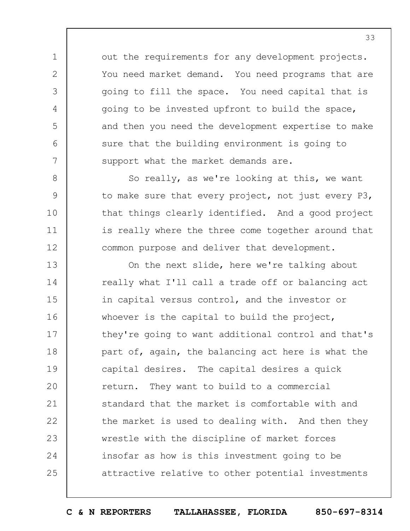out the requirements for any development projects. You need market demand. You need programs that are going to fill the space. You need capital that is going to be invested upfront to build the space, and then you need the development expertise to make sure that the building environment is going to support what the market demands are.

1

2

3

4

5

6

7

8

9

10

11

12

So really, as we're looking at this, we want to make sure that every project, not just every P3, that things clearly identified. And a good project is really where the three come together around that common purpose and deliver that development.

13 14 15 16 17 18 19  $20$ 21 22 23 24 25 On the next slide, here we're talking about really what I'll call a trade off or balancing act in capital versus control, and the investor or whoever is the capital to build the project, they're going to want additional control and that's part of, again, the balancing act here is what the capital desires. The capital desires a quick return. They want to build to a commercial standard that the market is comfortable with and the market is used to dealing with. And then they wrestle with the discipline of market forces insofar as how is this investment going to be attractive relative to other potential investments

**C & N REPORTERS TALLAHASSEE, FLORIDA 850-697-8314**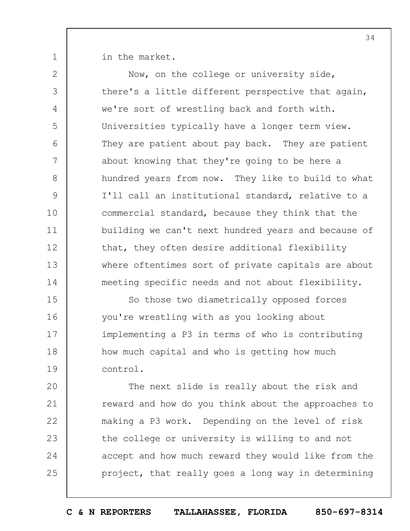1

in the market.

2 3 4 5 6 7 8 9 10 11 12 13 14 15 Now, on the college or university side, there's a little different perspective that again, we're sort of wrestling back and forth with. Universities typically have a longer term view. They are patient about pay back. They are patient about knowing that they're going to be here a hundred years from now. They like to build to what I'll call an institutional standard, relative to a commercial standard, because they think that the building we can't next hundred years and because of that, they often desire additional flexibility where oftentimes sort of private capitals are about meeting specific needs and not about flexibility. So those two diametrically opposed forces

16 17 18 19 you're wrestling with as you looking about implementing a P3 in terms of who is contributing how much capital and who is getting how much control.

 $20$ 21 22 23 24 25 The next slide is really about the risk and reward and how do you think about the approaches to making a P3 work. Depending on the level of risk the college or university is willing to and not accept and how much reward they would like from the project, that really goes a long way in determining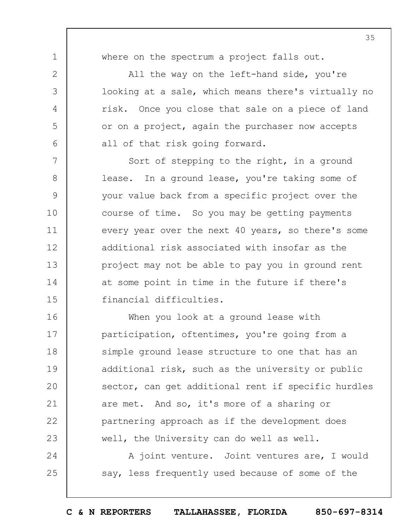where on the spectrum a project falls out.

1

2

3

4

5

6

24

25

All the way on the left-hand side, you're looking at a sale, which means there's virtually no risk. Once you close that sale on a piece of land or on a project, again the purchaser now accepts all of that risk going forward.

7 8 9 10 11 12 13 14 15 Sort of stepping to the right, in a ground lease. In a ground lease, you're taking some of your value back from a specific project over the course of time. So you may be getting payments every year over the next 40 years, so there's some additional risk associated with insofar as the project may not be able to pay you in ground rent at some point in time in the future if there's financial difficulties.

16 17 18 19  $20$ 21 22 23 When you look at a ground lease with participation, oftentimes, you're going from a simple ground lease structure to one that has an additional risk, such as the university or public sector, can get additional rent if specific hurdles are met. And so, it's more of a sharing or partnering approach as if the development does well, the University can do well as well.

> A joint venture. Joint ventures are, I would say, less frequently used because of some of the

**C & N REPORTERS TALLAHASSEE, FLORIDA 850-697-8314**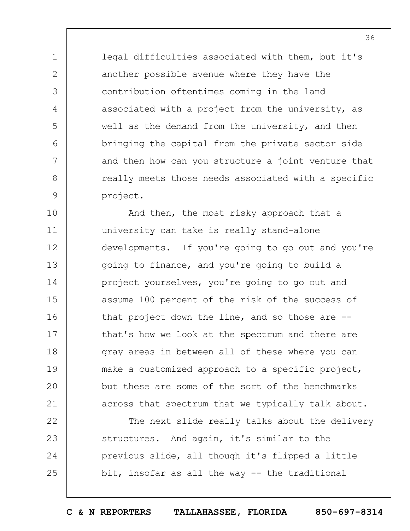legal difficulties associated with them, but it's another possible avenue where they have the contribution oftentimes coming in the land associated with a project from the university, as well as the demand from the university, and then bringing the capital from the private sector side and then how can you structure a joint venture that really meets those needs associated with a specific project.

1

2

3

4

5

6

7

8

9

10 11 12 13 14 15 16 17 18 19  $20$ 21 And then, the most risky approach that a university can take is really stand-alone developments. If you're going to go out and you're going to finance, and you're going to build a project yourselves, you're going to go out and assume 100 percent of the risk of the success of that project down the line, and so those are - that's how we look at the spectrum and there are gray areas in between all of these where you can make a customized approach to a specific project, but these are some of the sort of the benchmarks across that spectrum that we typically talk about.

22 23 24 25 The next slide really talks about the delivery structures. And again, it's similar to the previous slide, all though it's flipped a little bit, insofar as all the way -- the traditional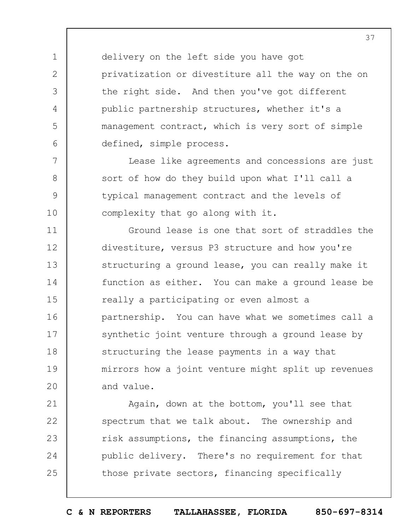delivery on the left side you have got privatization or divestiture all the way on the on the right side. And then you've got different public partnership structures, whether it's a management contract, which is very sort of simple defined, simple process.

1

2

3

4

5

6

7

8

9

10

Lease like agreements and concessions are just sort of how do they build upon what I'll call a typical management contract and the levels of complexity that go along with it.

11 12 13 14 15 16 17 18 19  $20$ Ground lease is one that sort of straddles the divestiture, versus P3 structure and how you're structuring a ground lease, you can really make it function as either. You can make a ground lease be really a participating or even almost a partnership. You can have what we sometimes call a synthetic joint venture through a ground lease by structuring the lease payments in a way that mirrors how a joint venture might split up revenues and value.

21 22 23 24 25 Again, down at the bottom, you'll see that spectrum that we talk about. The ownership and risk assumptions, the financing assumptions, the public delivery. There's no requirement for that those private sectors, financing specifically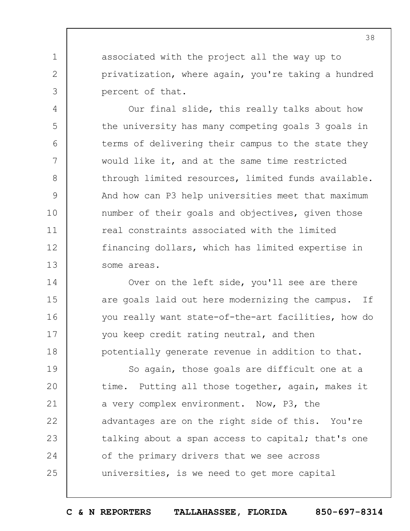associated with the project all the way up to privatization, where again, you're taking a hundred percent of that.

1

2

3

4

5

6

7

8

9

10

11

12

13

Our final slide, this really talks about how the university has many competing goals 3 goals in terms of delivering their campus to the state they would like it, and at the same time restricted through limited resources, limited funds available. And how can P3 help universities meet that maximum number of their goals and objectives, given those real constraints associated with the limited financing dollars, which has limited expertise in some areas.

14 15 16 17 18 Over on the left side, you'll see are there are goals laid out here modernizing the campus. If you really want state-of-the-art facilities, how do you keep credit rating neutral, and then potentially generate revenue in addition to that.

19  $20$ 21 22 23 24 25 So again, those goals are difficult one at a time. Putting all those together, again, makes it a very complex environment. Now, P3, the advantages are on the right side of this. You're talking about a span access to capital; that's one of the primary drivers that we see across universities, is we need to get more capital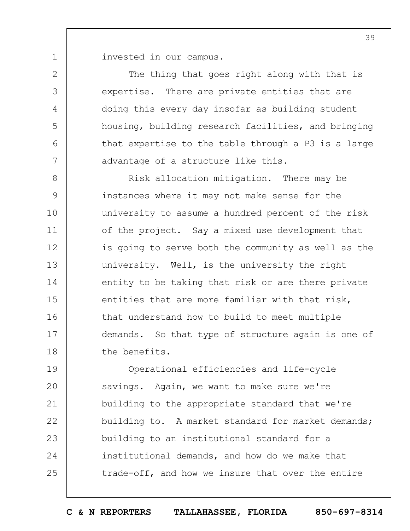invested in our campus.

1

2

3

4

5

6

7

The thing that goes right along with that is expertise. There are private entities that are doing this every day insofar as building student housing, building research facilities, and bringing that expertise to the table through a P3 is a large advantage of a structure like this.

8 9 10 11 12 13 14 15 16 17 18 Risk allocation mitigation. There may be instances where it may not make sense for the university to assume a hundred percent of the risk of the project. Say a mixed use development that is going to serve both the community as well as the university. Well, is the university the right entity to be taking that risk or are there private entities that are more familiar with that risk, that understand how to build to meet multiple demands. So that type of structure again is one of the benefits.

19  $20$ 21 22 23 24 25 Operational efficiencies and life-cycle savings. Again, we want to make sure we're building to the appropriate standard that we're building to. A market standard for market demands; building to an institutional standard for a institutional demands, and how do we make that trade-off, and how we insure that over the entire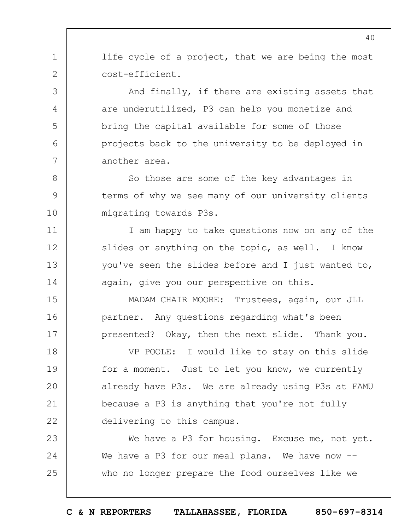life cycle of a project, that we are being the most cost-efficient.

1

2

3

4

5

6

7

8

9

10

11

12

13

14

15

16

17

And finally, if there are existing assets that are underutilized, P3 can help you monetize and bring the capital available for some of those projects back to the university to be deployed in another area.

So those are some of the key advantages in terms of why we see many of our university clients migrating towards P3s.

I am happy to take questions now on any of the slides or anything on the topic, as well. I know you've seen the slides before and I just wanted to, again, give you our perspective on this.

MADAM CHAIR MOORE: Trustees, again, our JLL partner. Any questions regarding what's been presented? Okay, then the next slide. Thank you.

18 19  $20$ 21 22 VP POOLE: I would like to stay on this slide for a moment. Just to let you know, we currently already have P3s. We are already using P3s at FAMU because a P3 is anything that you're not fully delivering to this campus.

23 24 25 We have a P3 for housing. Excuse me, not yet. We have a P3 for our meal plans. We have now -who no longer prepare the food ourselves like we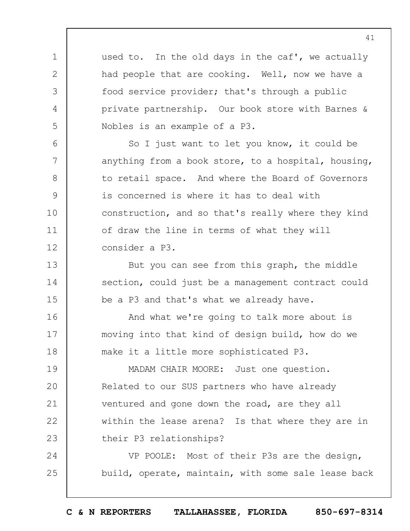used to. In the old days in the caf', we actually had people that are cooking. Well, now we have a food service provider; that's through a public private partnership. Our book store with Barnes & Nobles is an example of a P3.

1

2

3

4

5

6

7

8

9

10

11

12

13

14

15

So I just want to let you know, it could be anything from a book store, to a hospital, housing, to retail space. And where the Board of Governors is concerned is where it has to deal with construction, and so that's really where they kind of draw the line in terms of what they will consider a P3.

But you can see from this graph, the middle section, could just be a management contract could be a P3 and that's what we already have.

16 17 18 And what we're going to talk more about is moving into that kind of design build, how do we make it a little more sophisticated P3.

19  $20$ 21 22 23 MADAM CHAIR MOORE: Just one question. Related to our SUS partners who have already ventured and gone down the road, are they all within the lease arena? Is that where they are in their P3 relationships?

24 25 VP POOLE: Most of their P3s are the design, build, operate, maintain, with some sale lease back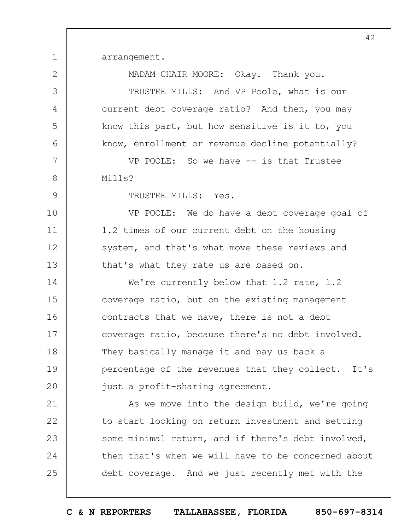arrangement.

1

2

3

4

5

6

7

8

9

10

11

12

13

MADAM CHAIR MOORE: Okay. Thank you.

TRUSTEE MILLS: And VP Poole, what is our current debt coverage ratio? And then, you may know this part, but how sensitive is it to, you know, enrollment or revenue decline potentially?

VP POOLE: So we have -- is that Trustee Mills?

TRUSTEE MILLS: Yes.

VP POOLE: We do have a debt coverage goal of 1.2 times of our current debt on the housing system, and that's what move these reviews and that's what they rate us are based on.

14 15 16 17 18 19  $20$ We're currently below that 1.2 rate, 1.2 coverage ratio, but on the existing management contracts that we have, there is not a debt coverage ratio, because there's no debt involved. They basically manage it and pay us back a percentage of the revenues that they collect. It's just a profit-sharing agreement.

21 22 23 24 25 As we move into the design build, we're going to start looking on return investment and setting some minimal return, and if there's debt involved, then that's when we will have to be concerned about debt coverage. And we just recently met with the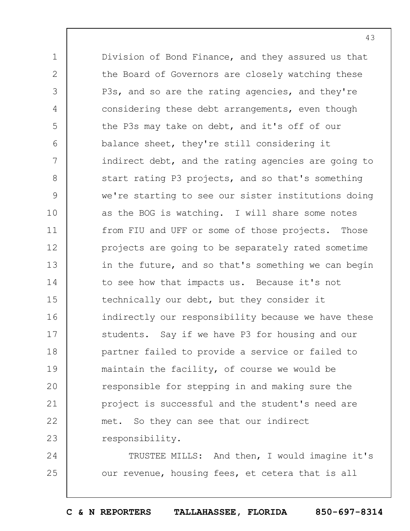1 2 3 4 5 6 7 8 9 10 11 12 13 14 15 16 17 18 19  $20$ 21 22 23 Division of Bond Finance, and they assured us that the Board of Governors are closely watching these P3s, and so are the rating agencies, and they're considering these debt arrangements, even though the P3s may take on debt, and it's off of our balance sheet, they're still considering it indirect debt, and the rating agencies are going to start rating P3 projects, and so that's something we're starting to see our sister institutions doing as the BOG is watching. I will share some notes from FIU and UFF or some of those projects. Those projects are going to be separately rated sometime in the future, and so that's something we can begin to see how that impacts us. Because it's not technically our debt, but they consider it indirectly our responsibility because we have these students. Say if we have P3 for housing and our partner failed to provide a service or failed to maintain the facility, of course we would be responsible for stepping in and making sure the project is successful and the student's need are met. So they can see that our indirect responsibility.

24 25 TRUSTEE MILLS: And then, I would imagine it's our revenue, housing fees, et cetera that is all

**C & N REPORTERS TALLAHASSEE, FLORIDA 850-697-8314**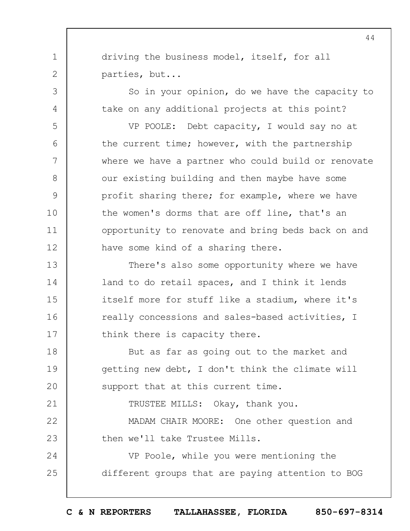driving the business model, itself, for all parties, but...

1

2

3

4

5

6

7

8

9

10

11

12

21

So in your opinion, do we have the capacity to take on any additional projects at this point?

VP POOLE: Debt capacity, I would say no at the current time; however, with the partnership where we have a partner who could build or renovate our existing building and then maybe have some profit sharing there; for example, where we have the women's dorms that are off line, that's an opportunity to renovate and bring beds back on and have some kind of a sharing there.

13 14 15 16 17 There's also some opportunity where we have land to do retail spaces, and I think it lends itself more for stuff like a stadium, where it's really concessions and sales-based activities, I think there is capacity there.

18 19  $20$ But as far as going out to the market and getting new debt, I don't think the climate will support that at this current time.

TRUSTEE MILLS: Okay, thank you.

22 23 MADAM CHAIR MOORE: One other question and then we'll take Trustee Mills.

24 25 VP Poole, while you were mentioning the different groups that are paying attention to BOG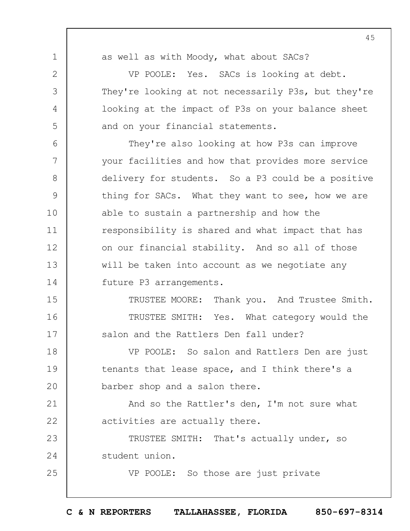1

2

3

4

5

25

as well as with Moody, what about SACs?

VP POOLE: Yes. SACs is looking at debt. They're looking at not necessarily P3s, but they're looking at the impact of P3s on your balance sheet and on your financial statements.

6 7 8 9 10 11 12 13 14 They're also looking at how P3s can improve your facilities and how that provides more service delivery for students. So a P3 could be a positive thing for SACs. What they want to see, how we are able to sustain a partnership and how the responsibility is shared and what impact that has on our financial stability. And so all of those will be taken into account as we negotiate any future P3 arrangements.

15 16 17 TRUSTEE MOORE: Thank you. And Trustee Smith. TRUSTEE SMITH: Yes. What category would the salon and the Rattlers Den fall under?

18 19  $20$ VP POOLE: So salon and Rattlers Den are just tenants that lease space, and I think there's a barber shop and a salon there.

21 22 And so the Rattler's den, I'm not sure what activities are actually there.

23 24 TRUSTEE SMITH: That's actually under, so student union.

VP POOLE: So those are just private

45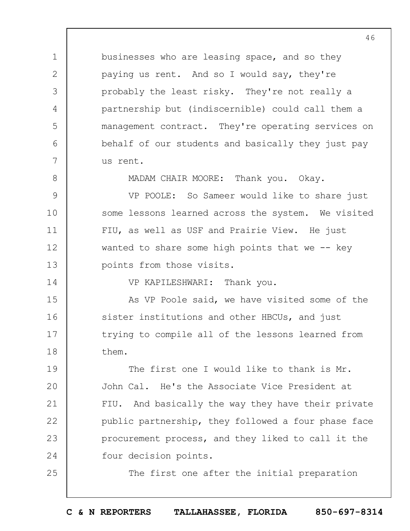businesses who are leasing space, and so they paying us rent. And so I would say, they're probably the least risky. They're not really a partnership but (indiscernible) could call them a management contract. They're operating services on behalf of our students and basically they just pay us rent.

1

2

3

4

5

6

7

8

14

25

MADAM CHAIR MOORE: Thank you. Okay.

9 10 11 12 13 VP POOLE: So Sameer would like to share just some lessons learned across the system. We visited FIU, as well as USF and Prairie View. He just wanted to share some high points that we  $-$ - key points from those visits.

VP KAPILESHWARI: Thank you.

15 16 17 18 As VP Poole said, we have visited some of the sister institutions and other HBCUs, and just trying to compile all of the lessons learned from them.

19  $20$ 21 22 23 24 The first one I would like to thank is Mr. John Cal. He's the Associate Vice President at FIU. And basically the way they have their private public partnership, they followed a four phase face procurement process, and they liked to call it the four decision points.

The first one after the initial preparation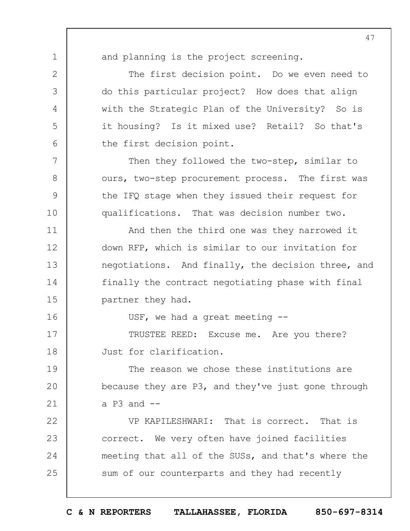1 2

3

4

5

6

7

8

9

10

11

12

13

14

15

16

and planning is the project screening.

The first decision point. Do we even need to do this particular project? How does that align with the Strategic Plan of the University? So is it housing? Is it mixed use? Retail? So that's the first decision point.

Then they followed the two-step, similar to ours, two-step procurement process. The first was the IFQ stage when they issued their request for qualifications. That was decision number two.

And then the third one was they narrowed it down RFP, which is similar to our invitation for negotiations. And finally, the decision three, and finally the contract negotiating phase with final partner they had.

USF, we had a great meeting --

17 18 TRUSTEE REED: Excuse me. Are you there? Just for clarification.

19  $20$ 21 The reason we chose these institutions are because they are P3, and they've just gone through a  $P3$  and  $-$ 

22 23 24 25 VP KAPILESHWARI: That is correct. That is correct. We very often have joined facilities meeting that all of the SUSs, and that's where the sum of our counterparts and they had recently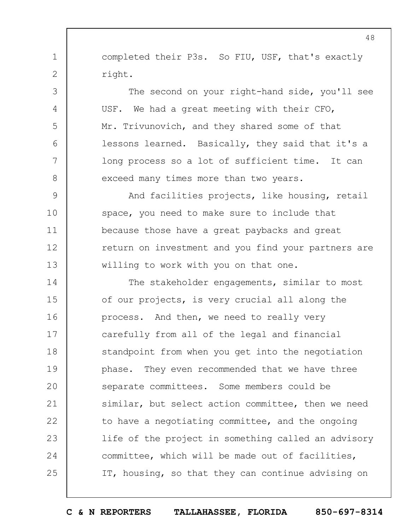completed their P3s. So FIU, USF, that's exactly right.

1

2

3

4

5

6

7

8

The second on your right-hand side, you'll see USF. We had a great meeting with their CFO, Mr. Trivunovich, and they shared some of that lessons learned. Basically, they said that it's a long process so a lot of sufficient time. It can exceed many times more than two years.

9 10 11 12 13 And facilities projects, like housing, retail space, you need to make sure to include that because those have a great paybacks and great return on investment and you find your partners are willing to work with you on that one.

14 15 16 17 18 19  $20$ 21 22 23 24 25 The stakeholder engagements, similar to most of our projects, is very crucial all along the process. And then, we need to really very carefully from all of the legal and financial standpoint from when you get into the negotiation phase. They even recommended that we have three separate committees. Some members could be similar, but select action committee, then we need to have a negotiating committee, and the ongoing life of the project in something called an advisory committee, which will be made out of facilities, IT, housing, so that they can continue advising on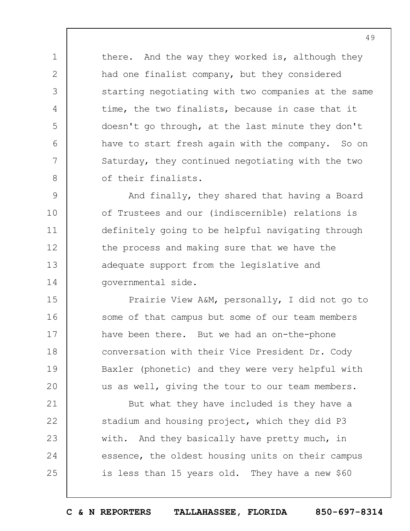there. And the way they worked is, although they had one finalist company, but they considered starting negotiating with two companies at the same time, the two finalists, because in case that it doesn't go through, at the last minute they don't have to start fresh again with the company. So on Saturday, they continued negotiating with the two of their finalists.

1

2

3

4

5

6

7

8

21

22

23

24

25

9 10 11 12 13 14 And finally, they shared that having a Board of Trustees and our (indiscernible) relations is definitely going to be helpful navigating through the process and making sure that we have the adequate support from the legislative and governmental side.

15 16 17 18 19  $20$ Prairie View A&M, personally, I did not go to some of that campus but some of our team members have been there. But we had an on-the-phone conversation with their Vice President Dr. Cody Baxler (phonetic) and they were very helpful with us as well, giving the tour to our team members.

But what they have included is they have a stadium and housing project, which they did P3 with. And they basically have pretty much, in essence, the oldest housing units on their campus is less than 15 years old. They have a new \$60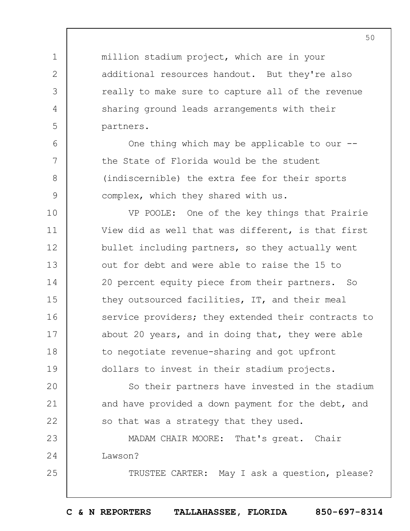million stadium project, which are in your additional resources handout. But they're also really to make sure to capture all of the revenue sharing ground leads arrangements with their partners.

1

2

3

4

5

6

7

8

9

25

One thing which may be applicable to our -the State of Florida would be the student (indiscernible) the extra fee for their sports complex, which they shared with us.

10 11 12 13 14 15 16 17 18 19 VP POOLE: One of the key things that Prairie View did as well that was different, is that first bullet including partners, so they actually went out for debt and were able to raise the 15 to 20 percent equity piece from their partners. So they outsourced facilities, IT, and their meal service providers; they extended their contracts to about 20 years, and in doing that, they were able to negotiate revenue-sharing and got upfront dollars to invest in their stadium projects.

 $20$ 21 22 So their partners have invested in the stadium and have provided a down payment for the debt, and so that was a strategy that they used.

23 24 MADAM CHAIR MOORE: That's great. Chair Lawson?

TRUSTEE CARTER: May I ask a question, please?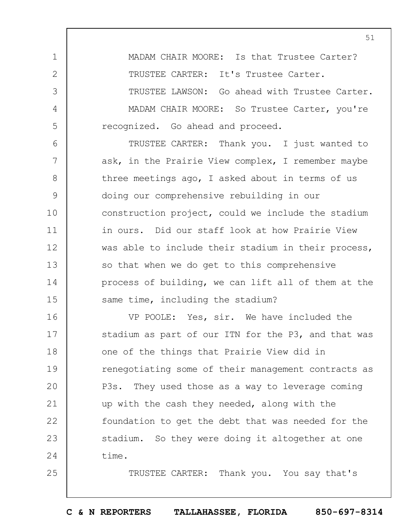1 2 3 4 5 MADAM CHAIR MOORE: Is that Trustee Carter? TRUSTEE CARTER: It's Trustee Carter. TRUSTEE LAWSON: Go ahead with Trustee Carter. MADAM CHAIR MOORE: So Trustee Carter, you're recognized. Go ahead and proceed.

6 7 8 9 10 11 12 13 14 15 TRUSTEE CARTER: Thank you. I just wanted to ask, in the Prairie View complex, I remember maybe three meetings ago, I asked about in terms of us doing our comprehensive rebuilding in our construction project, could we include the stadium in ours. Did our staff look at how Prairie View was able to include their stadium in their process, so that when we do get to this comprehensive process of building, we can lift all of them at the same time, including the stadium?

16 17 18 19  $20$ 21 22 23 24 VP POOLE: Yes, sir. We have included the stadium as part of our ITN for the P3, and that was one of the things that Prairie View did in renegotiating some of their management contracts as P3s. They used those as a way to leverage coming up with the cash they needed, along with the foundation to get the debt that was needed for the stadium. So they were doing it altogether at one time.

25

TRUSTEE CARTER: Thank you. You say that's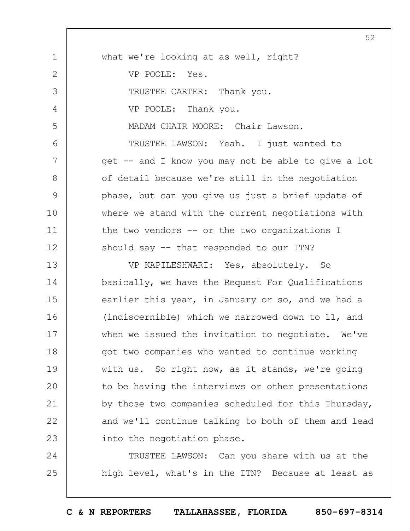1 2 3 4 5 6 7 8 9 10 11 12 13 14 15 16 17 18 19  $20$ 21 22 23 24 25 what we're looking at as well, right? VP POOLE: Yes. TRUSTEE CARTER: Thank you. VP POOLE: Thank you. MADAM CHAIR MOORE: Chair Lawson. TRUSTEE LAWSON: Yeah. I just wanted to get -- and I know you may not be able to give a lot of detail because we're still in the negotiation phase, but can you give us just a brief update of where we stand with the current negotiations with the two vendors -- or the two organizations I should say -- that responded to our ITN? VP KAPILESHWARI: Yes, absolutely. So basically, we have the Request For Qualifications earlier this year, in January or so, and we had a (indiscernible) which we narrowed down to 11, and when we issued the invitation to negotiate. We've got two companies who wanted to continue working with us. So right now, as it stands, we're going to be having the interviews or other presentations by those two companies scheduled for this Thursday, and we'll continue talking to both of them and lead into the negotiation phase. TRUSTEE LAWSON: Can you share with us at the high level, what's in the ITN? Because at least as

**C & N REPORTERS TALLAHASSEE, FLORIDA 850-697-8314**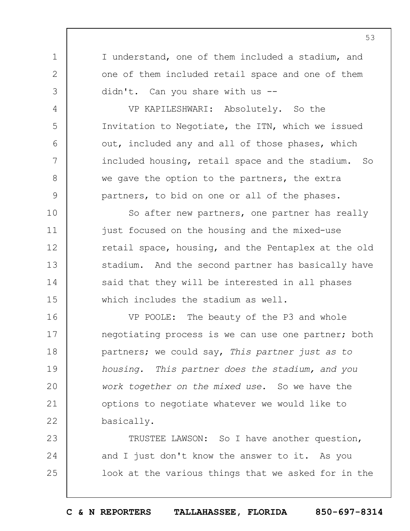I understand, one of them included a stadium, and one of them included retail space and one of them didn't. Can you share with us --

1

2

3

4

5

6

7

8

9

VP KAPILESHWARI: Absolutely. So the Invitation to Negotiate, the ITN, which we issued out, included any and all of those phases, which included housing, retail space and the stadium. So we gave the option to the partners, the extra partners, to bid on one or all of the phases.

10 11 12 13 14 15 So after new partners, one partner has really just focused on the housing and the mixed-use retail space, housing, and the Pentaplex at the old stadium. And the second partner has basically have said that they will be interested in all phases which includes the stadium as well.

16 17 18 19  $20$ 21 22 VP POOLE: The beauty of the P3 and whole negotiating process is we can use one partner; both partners; we could say, *This partner just as to housing. This partner does the stadium, and you work together on the mixed use*. So we have the options to negotiate whatever we would like to basically.

23 24 25 TRUSTEE LAWSON: So I have another question, and I just don't know the answer to it. As you look at the various things that we asked for in the

**C & N REPORTERS TALLAHASSEE, FLORIDA 850-697-8314**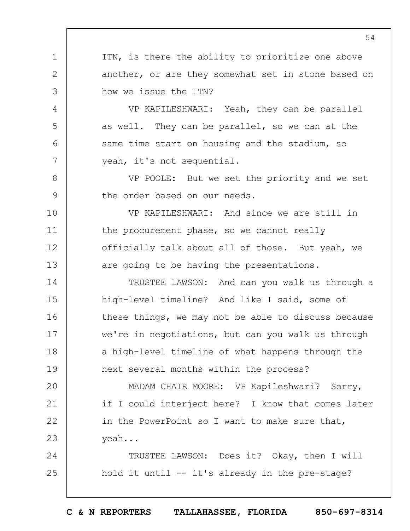ITN, is there the ability to prioritize one above another, or are they somewhat set in stone based on how we issue the ITN?

1

2

3

4

5

6

7

8

9

VP KAPILESHWARI: Yeah, they can be parallel as well. They can be parallel, so we can at the same time start on housing and the stadium, so yeah, it's not sequential.

VP POOLE: But we set the priority and we set the order based on our needs.

10 11 12 13 VP KAPILESHWARI: And since we are still in the procurement phase, so we cannot really officially talk about all of those. But yeah, we are going to be having the presentations.

14 15 16 17 18 19 TRUSTEE LAWSON: And can you walk us through a high-level timeline? And like I said, some of these things, we may not be able to discuss because we're in negotiations, but can you walk us through a high-level timeline of what happens through the next several months within the process?

 $20$ 21 22 23 MADAM CHAIR MOORE: VP Kapileshwari? Sorry, if I could interject here? I know that comes later in the PowerPoint so I want to make sure that, yeah...

24 25 TRUSTEE LAWSON: Does it? Okay, then I will hold it until -- it's already in the pre-stage?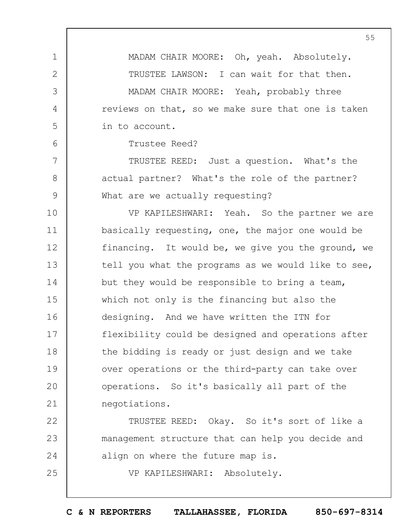MADAM CHAIR MOORE: Oh, yeah. Absolutely. TRUSTEE LAWSON: I can wait for that then.

MADAM CHAIR MOORE: Yeah, probably three reviews on that, so we make sure that one is taken in to account.

Trustee Reed?

1

2

3

4

5

6

7

8

9

25

TRUSTEE REED: Just a question. What's the actual partner? What's the role of the partner? What are we actually requesting?

10 11 12 13 14 15 16 17 18 19  $20$ 21 VP KAPILESHWARI: Yeah. So the partner we are basically requesting, one, the major one would be financing. It would be, we give you the ground, we tell you what the programs as we would like to see, but they would be responsible to bring a team, which not only is the financing but also the designing. And we have written the ITN for flexibility could be designed and operations after the bidding is ready or just design and we take over operations or the third-party can take over operations. So it's basically all part of the negotiations.

22 23 24 TRUSTEE REED: Okay. So it's sort of like a management structure that can help you decide and align on where the future map is.

VP KAPILESHWARI: Absolutely.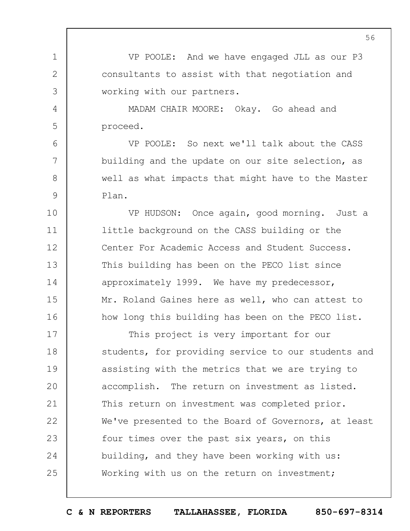VP POOLE: And we have engaged JLL as our P3 consultants to assist with that negotiation and working with our partners.

MADAM CHAIR MOORE: Okay. Go ahead and proceed.

1

2

3

4

5

6

7

8

9

VP POOLE: So next we'll talk about the CASS building and the update on our site selection, as well as what impacts that might have to the Master Plan.

10 11 12 13 14 15 16 VP HUDSON: Once again, good morning. Just a little background on the CASS building or the Center For Academic Access and Student Success. This building has been on the PECO list since approximately 1999. We have my predecessor, Mr. Roland Gaines here as well, who can attest to how long this building has been on the PECO list.

17 18 19  $20$ 21 22 23 24 25 This project is very important for our students, for providing service to our students and assisting with the metrics that we are trying to accomplish. The return on investment as listed. This return on investment was completed prior. We've presented to the Board of Governors, at least four times over the past six years, on this building, and they have been working with us: Working with us on the return on investment;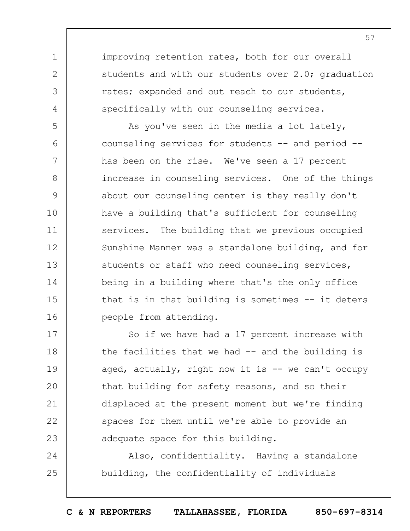improving retention rates, both for our overall students and with our students over 2.0; graduation rates; expanded and out reach to our students, specifically with our counseling services.

1

2

3

4

5 6 7 8 9 10 11 12 13 14 15 16 As you've seen in the media a lot lately, counseling services for students -- and period - has been on the rise. We've seen a 17 percent increase in counseling services. One of the things about our counseling center is they really don't have a building that's sufficient for counseling services. The building that we previous occupied Sunshine Manner was a standalone building, and for students or staff who need counseling services, being in a building where that's the only office that is in that building is sometimes -- it deters people from attending.

17 18 19  $20$ 21 22 23 So if we have had a 17 percent increase with the facilities that we had -- and the building is aged, actually, right now it is  $-$  we can't occupy that building for safety reasons, and so their displaced at the present moment but we're finding spaces for them until we're able to provide an adequate space for this building.

24 25 Also, confidentiality. Having a standalone building, the confidentiality of individuals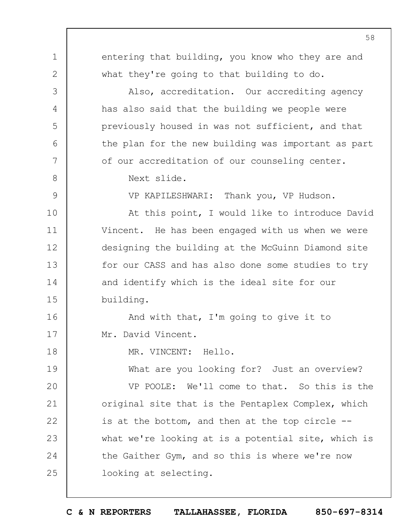1 2 3 4 5 6 7 8 9 10 11 12 13 14 15 16 17 18 19  $20$ 21 22 23 24 25 entering that building, you know who they are and what they're going to that building to do. Also, accreditation. Our accrediting agency has also said that the building we people were previously housed in was not sufficient, and that the plan for the new building was important as part of our accreditation of our counseling center. Next slide. VP KAPILESHWARI: Thank you, VP Hudson. At this point, I would like to introduce David Vincent. He has been engaged with us when we were designing the building at the McGuinn Diamond site for our CASS and has also done some studies to try and identify which is the ideal site for our building. And with that, I'm going to give it to Mr. David Vincent. MR. VINCENT: Hello. What are you looking for? Just an overview? VP POOLE: We'll come to that. So this is the original site that is the Pentaplex Complex, which is at the bottom, and then at the top circle - what we're looking at is a potential site, which is the Gaither Gym, and so this is where we're now looking at selecting.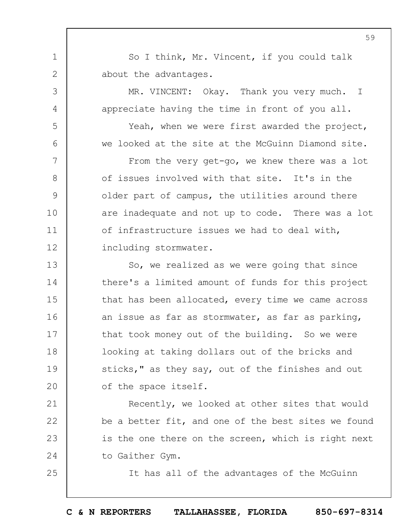So I think, Mr. Vincent, if you could talk about the advantages.

1

2

3

4

5

6

7

8

9

10

11

12

21

22

23

24

25

MR. VINCENT: Okay. Thank you very much. I appreciate having the time in front of you all.

Yeah, when we were first awarded the project, we looked at the site at the McGuinn Diamond site.

From the very get-go, we knew there was a lot of issues involved with that site. It's in the older part of campus, the utilities around there are inadequate and not up to code. There was a lot of infrastructure issues we had to deal with, including stormwater.

13 14 15 16 17 18 19  $20$ So, we realized as we were going that since there's a limited amount of funds for this project that has been allocated, every time we came across an issue as far as stormwater, as far as parking, that took money out of the building. So we were looking at taking dollars out of the bricks and sticks," as they say, out of the finishes and out of the space itself.

Recently, we looked at other sites that would be a better fit, and one of the best sites we found is the one there on the screen, which is right next to Gaither Gym.

It has all of the advantages of the McGuinn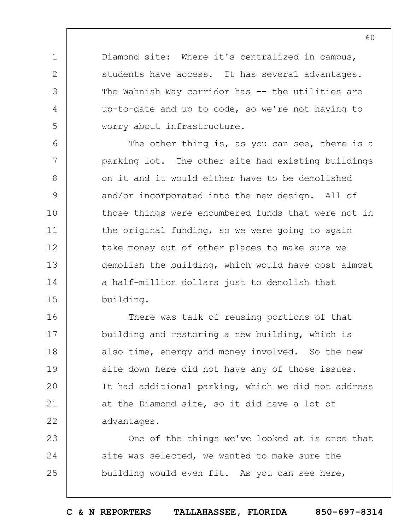Diamond site: Where it's centralized in campus, students have access. It has several advantages. The Wahnish Way corridor has -- the utilities are up-to-date and up to code, so we're not having to worry about infrastructure.

1

2

3

4

5

6 7 8 9 10 11 12 13 14 15 The other thing is, as you can see, there is a parking lot. The other site had existing buildings on it and it would either have to be demolished and/or incorporated into the new design. All of those things were encumbered funds that were not in the original funding, so we were going to again take money out of other places to make sure we demolish the building, which would have cost almost a half-million dollars just to demolish that building.

16 17 18 19  $20$ 21 22 There was talk of reusing portions of that building and restoring a new building, which is also time, energy and money involved. So the new site down here did not have any of those issues. It had additional parking, which we did not address at the Diamond site, so it did have a lot of advantages.

23 24 25 One of the things we've looked at is once that site was selected, we wanted to make sure the building would even fit. As you can see here,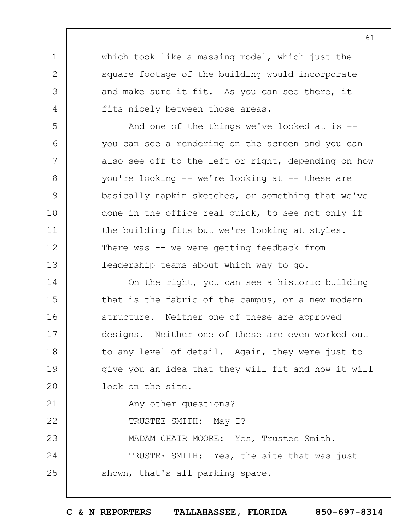which took like a massing model, which just the square footage of the building would incorporate and make sure it fit. As you can see there, it fits nicely between those areas.

And one of the things we've looked at is -you can see a rendering on the screen and you can also see off to the left or right, depending on how you're looking -- we're looking at -- these are basically napkin sketches, or something that we've done in the office real quick, to see not only if the building fits but we're looking at styles. There was -- we were getting feedback from leadership teams about which way to go.

14 15 16 17 18 19  $20$ On the right, you can see a historic building that is the fabric of the campus, or a new modern structure. Neither one of these are approved designs. Neither one of these are even worked out to any level of detail. Again, they were just to give you an idea that they will fit and how it will look on the site.

Any other questions?

22 TRUSTEE SMITH: May I?

1

2

3

4

5

6

7

8

9

10

11

12

13

21

23 MADAM CHAIR MOORE: Yes, Trustee Smith.

24 25 TRUSTEE SMITH: Yes, the site that was just shown, that's all parking space.

**C & N REPORTERS TALLAHASSEE, FLORIDA 850-697-8314**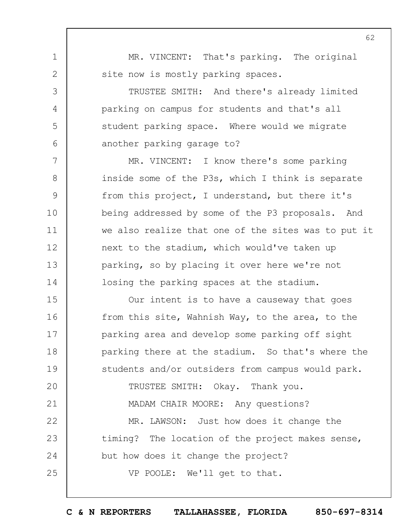MR. VINCENT: That's parking. The original site now is mostly parking spaces.

1

2

3

4

5

6

7

8

9

10

11

12

13

14

25

TRUSTEE SMITH: And there's already limited parking on campus for students and that's all student parking space. Where would we migrate another parking garage to?

MR. VINCENT: I know there's some parking inside some of the P3s, which I think is separate from this project, I understand, but there it's being addressed by some of the P3 proposals. And we also realize that one of the sites was to put it next to the stadium, which would've taken up parking, so by placing it over here we're not losing the parking spaces at the stadium.

15 16 17 18 19  $20$ 21 Our intent is to have a causeway that goes from this site, Wahnish Way, to the area, to the parking area and develop some parking off sight parking there at the stadium. So that's where the students and/or outsiders from campus would park. TRUSTEE SMITH: Okay. Thank you. MADAM CHAIR MOORE: Any questions?

22 23 24 MR. LAWSON: Just how does it change the timing? The location of the project makes sense, but how does it change the project?

VP POOLE: We'll get to that.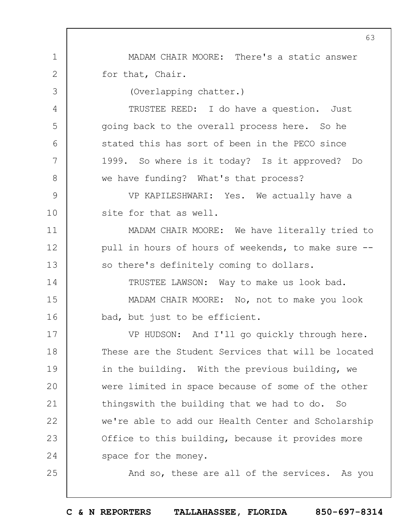1 2 3 4 5 6 7 8 9 10 11 12 13 14 15 16 17 18 19  $20$ 21 22 23 24 25 MADAM CHAIR MOORE: There's a static answer for that, Chair. (Overlapping chatter.) TRUSTEE REED: I do have a question. Just going back to the overall process here. So he stated this has sort of been in the PECO since 1999. So where is it today? Is it approved? Do we have funding? What's that process? VP KAPILESHWARI: Yes. We actually have a site for that as well. MADAM CHAIR MOORE: We have literally tried to pull in hours of hours of weekends, to make sure - so there's definitely coming to dollars. TRUSTEE LAWSON: Way to make us look bad. MADAM CHAIR MOORE: No, not to make you look bad, but just to be efficient. VP HUDSON: And I'll go quickly through here. These are the Student Services that will be located in the building. With the previous building, we were limited in space because of some of the other thingswith the building that we had to do. So we're able to add our Health Center and Scholarship Office to this building, because it provides more space for the money. And so, these are all of the services. As you

**C & N REPORTERS TALLAHASSEE, FLORIDA 850-697-8314**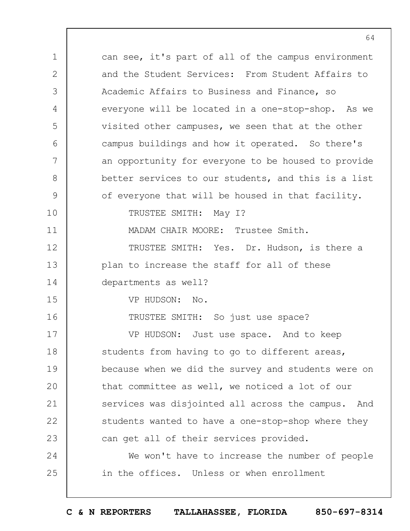1 2 3 4 5 6 7 8 9 10 11 12 13 14 15 16 17 18 19  $20$ 21 22 23 24 25 can see, it's part of all of the campus environment and the Student Services: From Student Affairs to Academic Affairs to Business and Finance, so everyone will be located in a one-stop-shop. As we visited other campuses, we seen that at the other campus buildings and how it operated. So there's an opportunity for everyone to be housed to provide better services to our students, and this is a list of everyone that will be housed in that facility. TRUSTEE SMITH: May I? MADAM CHAIR MOORE: Trustee Smith. TRUSTEE SMITH: Yes. Dr. Hudson, is there a plan to increase the staff for all of these departments as well? VP HUDSON: No. TRUSTEE SMITH: So just use space? VP HUDSON: Just use space. And to keep students from having to go to different areas, because when we did the survey and students were on that committee as well, we noticed a lot of our services was disjointed all across the campus. And students wanted to have a one-stop-shop where they can get all of their services provided. We won't have to increase the number of people in the offices. Unless or when enrollment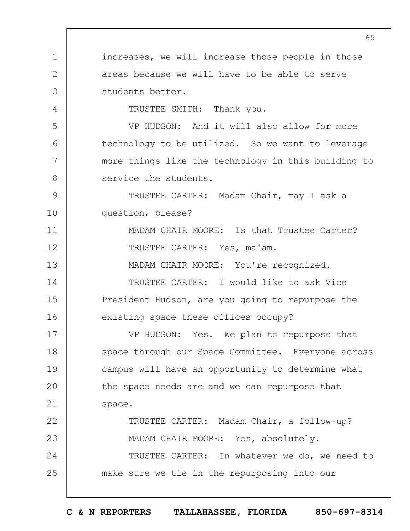1 2 3 4 5 6 7 8 9 10 11 12 13 14 15 16 17 18 19  $20$ 21 22 23 24 25 65 increases, we will increase those people in those areas because we will have to be able to serve students better. TRUSTEE SMITH: Thank you. VP HUDSON: And it will also allow for more technology to be utilized. So we want to leverage more things like the technology in this building to service the students. TRUSTEE CARTER: Madam Chair, may I ask a question, please? MADAM CHAIR MOORE: Is that Trustee Carter? TRUSTEE CARTER: Yes, ma'am. MADAM CHAIR MOORE: You're recognized. TRUSTEE CARTER: I would like to ask Vice President Hudson, are you going to repurpose the existing space these offices occupy? VP HUDSON: Yes. We plan to repurpose that space through our Space Committee. Everyone across campus will have an opportunity to determine what the space needs are and we can repurpose that space. TRUSTEE CARTER: Madam Chair, a follow-up? MADAM CHAIR MOORE: Yes, absolutely. TRUSTEE CARTER: In whatever we do, we need to make sure we tie in the repurposing into our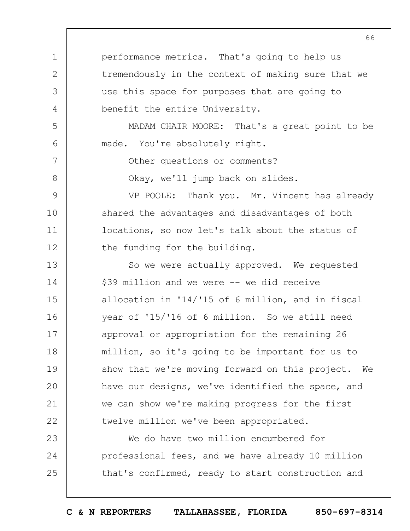1 2 3 4 5 6 7 8 9 10 11 12 13 14 15 16 17 18 19  $20$ 21 22 23 24 25 performance metrics. That's going to help us tremendously in the context of making sure that we use this space for purposes that are going to benefit the entire University. MADAM CHAIR MOORE: That's a great point to be made. You're absolutely right. Other questions or comments? Okay, we'll jump back on slides. VP POOLE: Thank you. Mr. Vincent has already shared the advantages and disadvantages of both locations, so now let's talk about the status of the funding for the building. So we were actually approved. We requested \$39 million and we were -- we did receive allocation in '14/'15 of 6 million, and in fiscal year of '15/'16 of 6 million. So we still need approval or appropriation for the remaining 26 million, so it's going to be important for us to show that we're moving forward on this project. We have our designs, we've identified the space, and we can show we're making progress for the first twelve million we've been appropriated. We do have two million encumbered for professional fees, and we have already 10 million that's confirmed, ready to start construction and

66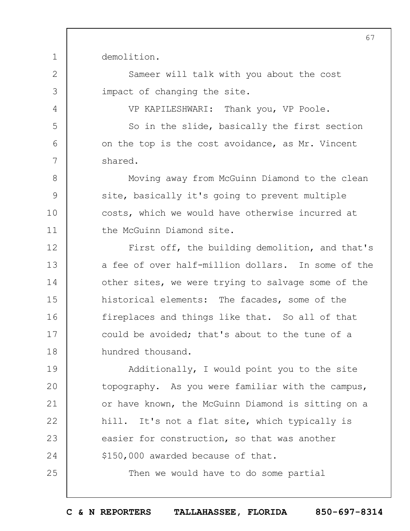demolition.

1

2

3

4

5

6

7

8

9

10

11

25

Sameer will talk with you about the cost impact of changing the site.

VP KAPILESHWARI: Thank you, VP Poole.

So in the slide, basically the first section on the top is the cost avoidance, as Mr. Vincent shared.

Moving away from McGuinn Diamond to the clean site, basically it's going to prevent multiple costs, which we would have otherwise incurred at the McGuinn Diamond site.

12 13 14 15 16 17 18 First off, the building demolition, and that's a fee of over half-million dollars. In some of the other sites, we were trying to salvage some of the historical elements: The facades, some of the fireplaces and things like that. So all of that could be avoided; that's about to the tune of a hundred thousand.

19  $20$ 21 22 23 24 Additionally, I would point you to the site topography. As you were familiar with the campus, or have known, the McGuinn Diamond is sitting on a hill. It's not a flat site, which typically is easier for construction, so that was another \$150,000 awarded because of that.

Then we would have to do some partial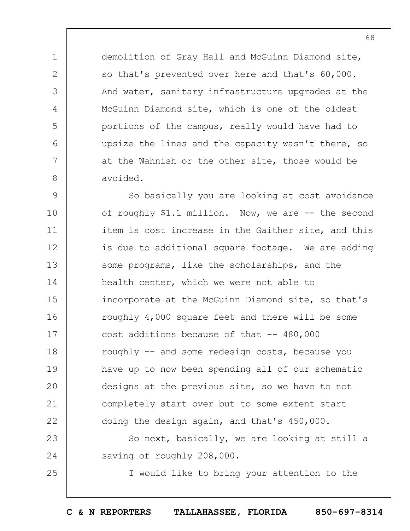demolition of Gray Hall and McGuinn Diamond site, so that's prevented over here and that's 60,000. And water, sanitary infrastructure upgrades at the McGuinn Diamond site, which is one of the oldest portions of the campus, really would have had to upsize the lines and the capacity wasn't there, so at the Wahnish or the other site, those would be avoided.

1

2

3

4

5

6

7

8

25

9 10 11 12 13 14 15 16 17 18 19  $20$ 21 22 So basically you are looking at cost avoidance of roughly \$1.1 million. Now, we are -- the second item is cost increase in the Gaither site, and this is due to additional square footage. We are adding some programs, like the scholarships, and the health center, which we were not able to incorporate at the McGuinn Diamond site, so that's roughly 4,000 square feet and there will be some cost additions because of that  $-$  480,000 roughly -- and some redesign costs, because you have up to now been spending all of our schematic designs at the previous site, so we have to not completely start over but to some extent start doing the design again, and that's 450,000.

23 24 So next, basically, we are looking at still a saving of roughly 208,000.

I would like to bring your attention to the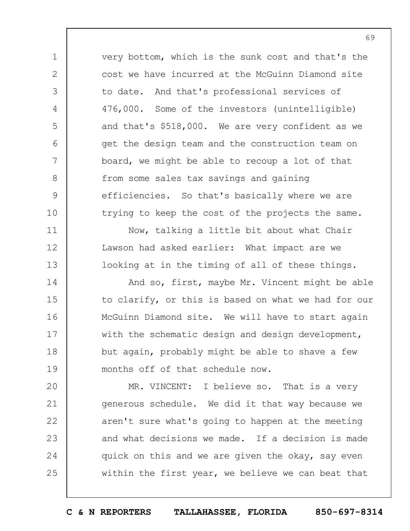very bottom, which is the sunk cost and that's the cost we have incurred at the McGuinn Diamond site to date. And that's professional services of 476,000. Some of the investors (unintelligible) and that's \$518,000. We are very confident as we get the design team and the construction team on board, we might be able to recoup a lot of that from some sales tax savings and gaining efficiencies. So that's basically where we are trying to keep the cost of the projects the same.

1

2

3

4

5

6

7

8

9

10

11

12

13

15

16

Now, talking a little bit about what Chair Lawson had asked earlier: What impact are we looking at in the timing of all of these things.

14 17 18 19 And so, first, maybe Mr. Vincent might be able to clarify, or this is based on what we had for our McGuinn Diamond site. We will have to start again with the schematic design and design development, but again, probably might be able to shave a few months off of that schedule now.

 $20$ 21 22 23 24 25 MR. VINCENT: I believe so. That is a very generous schedule. We did it that way because we aren't sure what's going to happen at the meeting and what decisions we made. If a decision is made quick on this and we are given the okay, say even within the first year, we believe we can beat that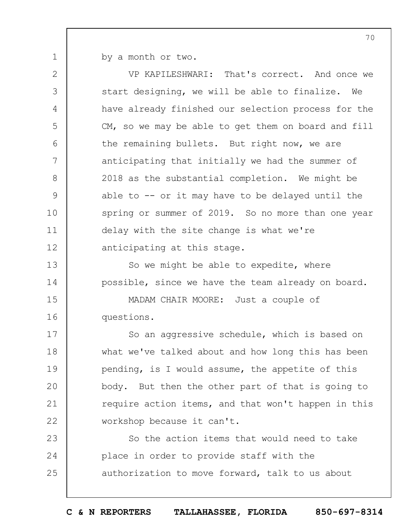by a month or two.

1

13

14

2 3 4 5 6 7 8 9 10 11 12 VP KAPILESHWARI: That's correct. And once we start designing, we will be able to finalize. We have already finished our selection process for the CM, so we may be able to get them on board and fill the remaining bullets. But right now, we are anticipating that initially we had the summer of 2018 as the substantial completion. We might be able to -- or it may have to be delayed until the spring or summer of 2019. So no more than one year delay with the site change is what we're anticipating at this stage.

So we might be able to expedite, where possible, since we have the team already on board.

15 16 MADAM CHAIR MOORE: Just a couple of questions.

17 18 19  $20$ 21 22 So an aggressive schedule, which is based on what we've talked about and how long this has been pending, is I would assume, the appetite of this body. But then the other part of that is going to require action items, and that won't happen in this workshop because it can't.

23 24 25 So the action items that would need to take place in order to provide staff with the authorization to move forward, talk to us about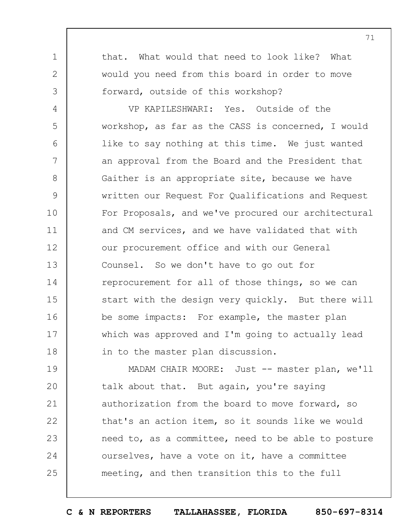that. What would that need to look like? What would you need from this board in order to move forward, outside of this workshop?

1

2

3

4 5 6 7 8 9 10 11 12 13 14 15 16 17 18 VP KAPILESHWARI: Yes. Outside of the workshop, as far as the CASS is concerned, I would like to say nothing at this time. We just wanted an approval from the Board and the President that Gaither is an appropriate site, because we have written our Request For Qualifications and Request For Proposals, and we've procured our architectural and CM services, and we have validated that with our procurement office and with our General Counsel. So we don't have to go out for reprocurement for all of those things, so we can start with the design very quickly. But there will be some impacts: For example, the master plan which was approved and I'm going to actually lead in to the master plan discussion.

19  $20$ 21 22 23 24 25 MADAM CHAIR MOORE: Just -- master plan, we'll talk about that. But again, you're saying authorization from the board to move forward, so that's an action item, so it sounds like we would need to, as a committee, need to be able to posture ourselves, have a vote on it, have a committee meeting, and then transition this to the full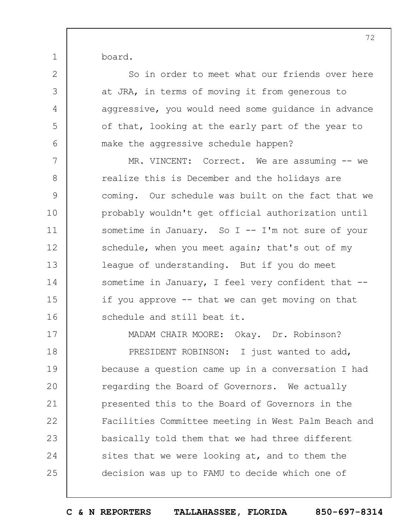board.

1

2

3

4

5

6

So in order to meet what our friends over here at JRA, in terms of moving it from generous to aggressive, you would need some guidance in advance of that, looking at the early part of the year to make the aggressive schedule happen?

7 8 9 10 11 12 13 14 15 16 MR. VINCENT: Correct. We are assuming -- we realize this is December and the holidays are coming. Our schedule was built on the fact that we probably wouldn't get official authorization until sometime in January. So I -- I'm not sure of your schedule, when you meet again; that's out of my league of understanding. But if you do meet sometime in January, I feel very confident that -if you approve -- that we can get moving on that schedule and still beat it.

17 18 19  $20$ 21 22 23 24 25 MADAM CHAIR MOORE: Okay. Dr. Robinson? PRESIDENT ROBINSON: I just wanted to add, because a question came up in a conversation I had regarding the Board of Governors. We actually presented this to the Board of Governors in the Facilities Committee meeting in West Palm Beach and basically told them that we had three different sites that we were looking at, and to them the decision was up to FAMU to decide which one of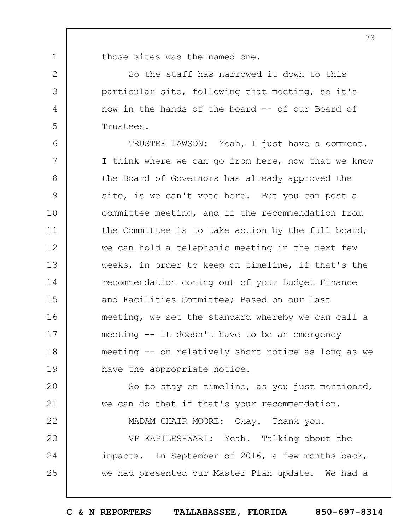1 2

3

4

5

22

those sites was the named one.

So the staff has narrowed it down to this particular site, following that meeting, so it's now in the hands of the board -- of our Board of Trustees.

6 7 8 9 10 11 12 13 14 15 16 17 18 19 TRUSTEE LAWSON: Yeah, I just have a comment. I think where we can go from here, now that we know the Board of Governors has already approved the site, is we can't vote here. But you can post a committee meeting, and if the recommendation from the Committee is to take action by the full board, we can hold a telephonic meeting in the next few weeks, in order to keep on timeline, if that's the recommendation coming out of your Budget Finance and Facilities Committee; Based on our last meeting, we set the standard whereby we can call a meeting -- it doesn't have to be an emergency meeting -- on relatively short notice as long as we have the appropriate notice.

 $20$ 21 So to stay on timeline, as you just mentioned, we can do that if that's your recommendation.

MADAM CHAIR MOORE: Okay. Thank you.

23 24 25 VP KAPILESHWARI: Yeah. Talking about the impacts. In September of 2016, a few months back, we had presented our Master Plan update. We had a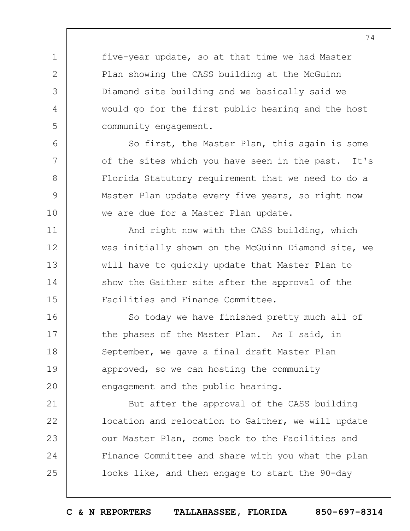five-year update, so at that time we had Master Plan showing the CASS building at the McGuinn Diamond site building and we basically said we would go for the first public hearing and the host community engagement.

1

2

3

4

5

6

7

8

9

10

11

12

13

14

15

So first, the Master Plan, this again is some of the sites which you have seen in the past. It's Florida Statutory requirement that we need to do a Master Plan update every five years, so right now we are due for a Master Plan update.

And right now with the CASS building, which was initially shown on the McGuinn Diamond site, we will have to quickly update that Master Plan to show the Gaither site after the approval of the Facilities and Finance Committee.

16 17 18 19  $20$ So today we have finished pretty much all of the phases of the Master Plan. As I said, in September, we gave a final draft Master Plan approved, so we can hosting the community engagement and the public hearing.

21 22 23 24 25 But after the approval of the CASS building location and relocation to Gaither, we will update our Master Plan, come back to the Facilities and Finance Committee and share with you what the plan looks like, and then engage to start the 90-day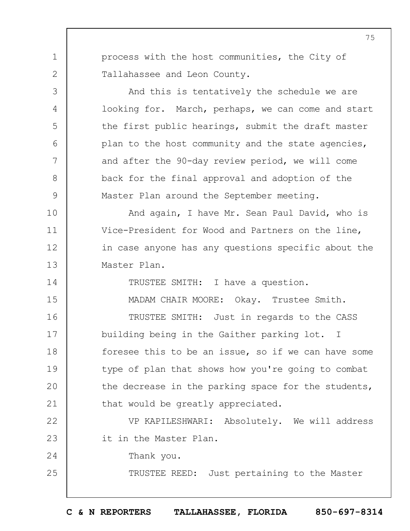process with the host communities, the City of Tallahassee and Leon County.

1

2

3

4

5

6

7

8

9

14

15

24

25

And this is tentatively the schedule we are looking for. March, perhaps, we can come and start the first public hearings, submit the draft master plan to the host community and the state agencies, and after the 90-day review period, we will come back for the final approval and adoption of the Master Plan around the September meeting.

10 11 12 13 And again, I have Mr. Sean Paul David, who is Vice-President for Wood and Partners on the line, in case anyone has any questions specific about the Master Plan.

TRUSTEE SMITH: I have a question.

MADAM CHAIR MOORE: Okay. Trustee Smith.

16 17 18 19  $20$ 21 TRUSTEE SMITH: Just in regards to the CASS building being in the Gaither parking lot. I foresee this to be an issue, so if we can have some type of plan that shows how you're going to combat the decrease in the parking space for the students, that would be greatly appreciated.

22 23 VP KAPILESHWARI: Absolutely. We will address it in the Master Plan.

Thank you.

TRUSTEE REED: Just pertaining to the Master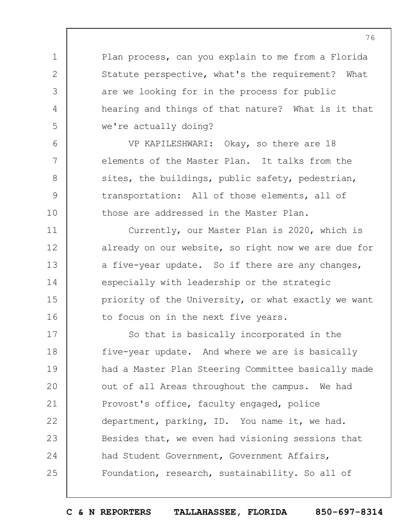Plan process, can you explain to me from a Florida Statute perspective, what's the requirement? What are we looking for in the process for public hearing and things of that nature? What is it that we're actually doing?

1

2

3

4

5

6

7

8

9

10

11

12

13

14

15

16

VP KAPILESHWARI: Okay, so there are 18 elements of the Master Plan. It talks from the sites, the buildings, public safety, pedestrian, transportation: All of those elements, all of those are addressed in the Master Plan.

Currently, our Master Plan is 2020, which is already on our website, so right now we are due for a five-year update. So if there are any changes, especially with leadership or the strategic priority of the University, or what exactly we want to focus on in the next five years.

17 18 19  $20$ 21 22 23 24 25 So that is basically incorporated in the five-year update. And where we are is basically had a Master Plan Steering Committee basically made out of all Areas throughout the campus. We had Provost's office, faculty engaged, police department, parking, ID. You name it, we had. Besides that, we even had visioning sessions that had Student Government, Government Affairs, Foundation, research, sustainability. So all of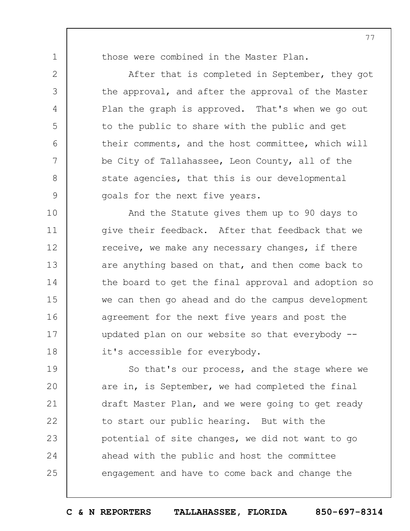1

2

3

4

5

6

7

8

9

those were combined in the Master Plan.

After that is completed in September, they got the approval, and after the approval of the Master Plan the graph is approved. That's when we go out to the public to share with the public and get their comments, and the host committee, which will be City of Tallahassee, Leon County, all of the state agencies, that this is our developmental goals for the next five years.

10 11 12 13 14 15 16 17 18 And the Statute gives them up to 90 days to give their feedback. After that feedback that we receive, we make any necessary changes, if there are anything based on that, and then come back to the board to get the final approval and adoption so we can then go ahead and do the campus development agreement for the next five years and post the updated plan on our website so that everybody - it's accessible for everybody.

19  $20$ 21 22 23 24 25 So that's our process, and the stage where we are in, is September, we had completed the final draft Master Plan, and we were going to get ready to start our public hearing. But with the potential of site changes, we did not want to go ahead with the public and host the committee engagement and have to come back and change the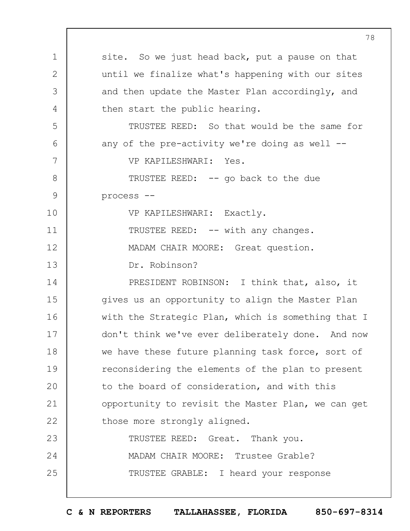|               | $7\epsilon$                                        |
|---------------|----------------------------------------------------|
| $\mathbf 1$   | site. So we just head back, put a pause on that    |
| $\mathbf{2}$  | until we finalize what's happening with our sites  |
| 3             | and then update the Master Plan accordingly, and   |
| 4             | then start the public hearing.                     |
| 5             | TRUSTEE REED: So that would be the same for        |
| 6             | any of the pre-activity we're doing as well $-$ -  |
| 7             | VP KAPILESHWARI: Yes.                              |
| $8\,$         | TRUSTEE REED: -- go back to the due                |
| $\mathcal{G}$ | process --                                         |
| 10            | VP KAPILESHWARI: Exactly.                          |
| 11            | TRUSTEE REED: -- with any changes.                 |
| 12            | MADAM CHAIR MOORE: Great question.                 |
| 13            | Dr. Robinson?                                      |
| 14            | PRESIDENT ROBINSON: I think that, also, it         |
| 15            | gives us an opportunity to align the Master Plan   |
| 16            | with the Strategic Plan, which is something that I |
| 17            | don't think we've ever deliberately done. And now  |
| 18            | we have these future planning task force, sort of  |
| 19            | reconsidering the elements of the plan to present  |
| 20            | to the board of consideration, and with this       |
| 21            | opportunity to revisit the Master Plan, we can get |
| 22            | those more strongly aligned.                       |
| 23            | TRUSTEE REED: Great. Thank you.                    |
| 24            | MADAM CHAIR MOORE: Trustee Grable?                 |
| 25            | TRUSTEE GRABLE: I heard your response              |
|               |                                                    |

**C & N REPORTERS TALLAHASSEE, FLORIDA 850-697-8314**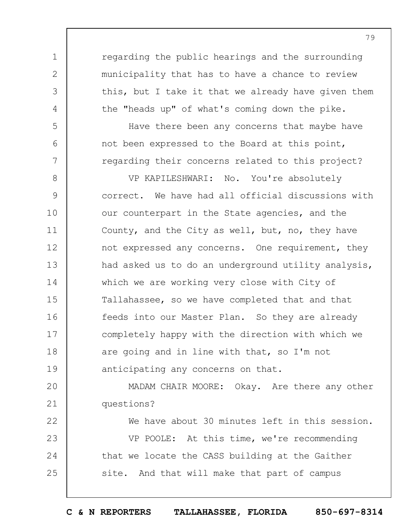regarding the public hearings and the surrounding municipality that has to have a chance to review this, but I take it that we already have given them the "heads up" of what's coming down the pike.

1

2

3

4

5

6

7

Have there been any concerns that maybe have not been expressed to the Board at this point, regarding their concerns related to this project?

8 9 10 11 12 13 14 15 16 17 18 19 VP KAPILESHWARI: No. You're absolutely correct. We have had all official discussions with our counterpart in the State agencies, and the County, and the City as well, but, no, they have not expressed any concerns. One requirement, they had asked us to do an underground utility analysis, which we are working very close with City of Tallahassee, so we have completed that and that feeds into our Master Plan. So they are already completely happy with the direction with which we are going and in line with that, so I'm not anticipating any concerns on that.

 $20$ 21 MADAM CHAIR MOORE: Okay. Are there any other questions?

22 23 24 25 We have about 30 minutes left in this session. VP POOLE: At this time, we're recommending that we locate the CASS building at the Gaither site. And that will make that part of campus

79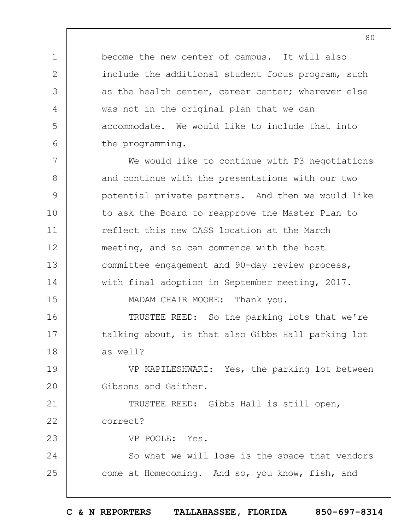become the new center of campus. It will also include the additional student focus program, such as the health center, career center; wherever else was not in the original plan that we can accommodate. We would like to include that into the programming.

7 8 9 10 11 12 13 14 15 We would like to continue with P3 negotiations and continue with the presentations with our two potential private partners. And then we would like to ask the Board to reapprove the Master Plan to reflect this new CASS location at the March meeting, and so can commence with the host committee engagement and 90-day review process, with final adoption in September meeting, 2017. MADAM CHAIR MOORE: Thank you.

16 17 18 TRUSTEE REED: So the parking lots that we're talking about, is that also Gibbs Hall parking lot as well?

19  $20$ VP KAPILESHWARI: Yes, the parking lot between Gibsons and Gaither.

21 22 TRUSTEE REED: Gibbs Hall is still open, correct?

VP POOLE: Yes.

1

2

3

4

5

6

23

24 25 So what we will lose is the space that vendors come at Homecoming. And so, you know, fish, and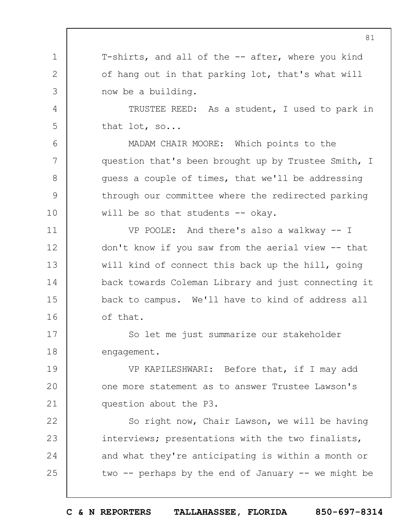T-shirts, and all of the -- after, where you kind of hang out in that parking lot, that's what will now be a building.

1

2

3

4

5

6

7

8

9

10

TRUSTEE REED: As a student, I used to park in that lot, so...

MADAM CHAIR MOORE: Which points to the question that's been brought up by Trustee Smith, I guess a couple of times, that we'll be addressing through our committee where the redirected parking will be so that students  $-$  okay.

11 12 13 14 15 16 VP POOLE: And there's also a walkway -- I don't know if you saw from the aerial view -- that will kind of connect this back up the hill, going back towards Coleman Library and just connecting it back to campus. We'll have to kind of address all of that.

17 18 So let me just summarize our stakeholder engagement.

19  $20$ 21 VP KAPILESHWARI: Before that, if I may add one more statement as to answer Trustee Lawson's question about the P3.

22 23 24 25 So right now, Chair Lawson, we will be having interviews; presentations with the two finalists, and what they're anticipating is within a month or two  $-$  perhaps by the end of January  $-$  we might be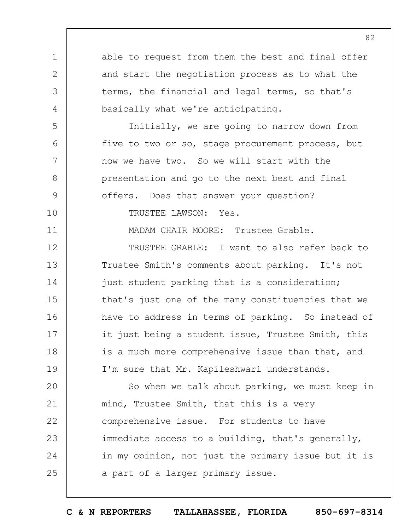1 2 3 4 5 6 7 8 9 10 11 12 13 14 15 16 17 18 19  $20$ 21 22 23 24 25 able to request from them the best and final offer and start the negotiation process as to what the terms, the financial and legal terms, so that's basically what we're anticipating. Initially, we are going to narrow down from five to two or so, stage procurement process, but now we have two. So we will start with the presentation and go to the next best and final offers. Does that answer your question? TRUSTEE LAWSON: Yes. MADAM CHAIR MOORE: Trustee Grable. TRUSTEE GRABLE: I want to also refer back to Trustee Smith's comments about parking. It's not just student parking that is a consideration; that's just one of the many constituencies that we have to address in terms of parking. So instead of it just being a student issue, Trustee Smith, this is a much more comprehensive issue than that, and I'm sure that Mr. Kapileshwari understands. So when we talk about parking, we must keep in mind, Trustee Smith, that this is a very comprehensive issue. For students to have immediate access to a building, that's generally, in my opinion, not just the primary issue but it is a part of a larger primary issue.

**C & N REPORTERS TALLAHASSEE, FLORIDA 850-697-8314**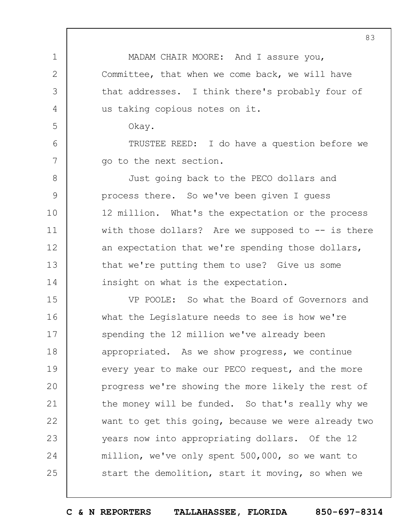MADAM CHAIR MOORE: And I assure you, Committee, that when we come back, we will have that addresses. I think there's probably four of us taking copious notes on it. Okay.

1

2

3

4

5

6

7

TRUSTEE REED: I do have a question before we go to the next section.

8 9 10 11 12 13 14 Just going back to the PECO dollars and process there. So we've been given I guess 12 million. What's the expectation or the process with those dollars? Are we supposed to  $-$  is there an expectation that we're spending those dollars, that we're putting them to use? Give us some insight on what is the expectation.

15 16 17 18 19  $20$ 21 22 23 24 25 VP POOLE: So what the Board of Governors and what the Legislature needs to see is how we're spending the 12 million we've already been appropriated. As we show progress, we continue every year to make our PECO request, and the more progress we're showing the more likely the rest of the money will be funded. So that's really why we want to get this going, because we were already two years now into appropriating dollars. Of the 12 million, we've only spent 500,000, so we want to start the demolition, start it moving, so when we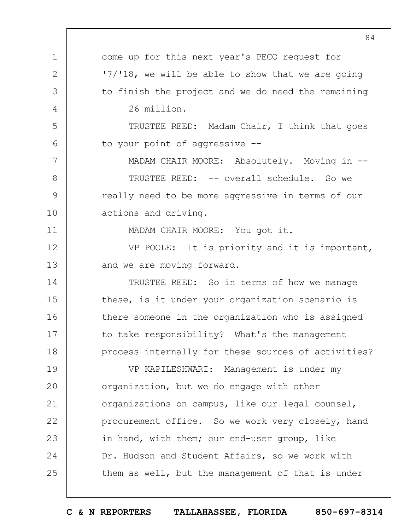|               | 84                                                  |
|---------------|-----------------------------------------------------|
| $\mathbf 1$   | come up for this next year's PECO request for       |
| $\mathbf{2}$  | '7/'18, we will be able to show that we are going   |
| 3             | to finish the project and we do need the remaining  |
| 4             | 26 million.                                         |
| 5             | TRUSTEE REED: Madam Chair, I think that goes        |
| 6             | to your point of aggressive --                      |
| 7             | MADAM CHAIR MOORE: Absolutely. Moving in --         |
| $8\,$         | TRUSTEE REED: -- overall schedule. So we            |
| $\mathcal{G}$ | really need to be more aggressive in terms of our   |
| 10            | actions and driving.                                |
| 11            | MADAM CHAIR MOORE: You got it.                      |
| 12            | VP POOLE: It is priority and it is important,       |
| 13            | and we are moving forward.                          |
| 14            | TRUSTEE REED: So in terms of how we manage          |
| 15            | these, is it under your organization scenario is    |
| 16            | there someone in the organization who is assigned   |
| 17            | to take responsibility? What's the management       |
| 18            | process internally for these sources of activities? |
| 19            | VP KAPILESHWARI: Management is under my             |
| 20            | organization, but we do engage with other           |
| 21            | organizations on campus, like our legal counsel,    |
| 22            | procurement office. So we work very closely, hand   |
| 23            | in hand, with them; our end-user group, like        |
| 24            | Dr. Hudson and Student Affairs, so we work with     |
| 25            | them as well, but the management of that is under   |
|               |                                                     |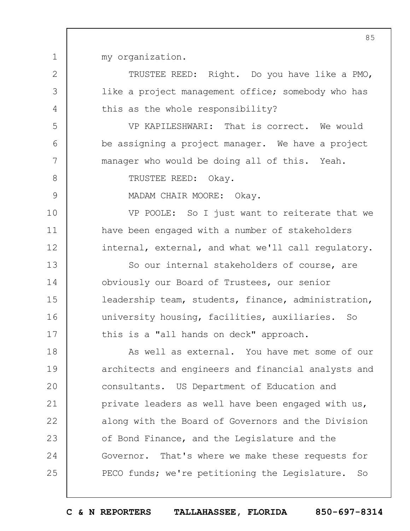my organization.

1

2

3

4

5

6

7

8

9

10

11

12

TRUSTEE REED: Right. Do you have like a PMO, like a project management office; somebody who has this as the whole responsibility?

VP KAPILESHWARI: That is correct. We would be assigning a project manager. We have a project manager who would be doing all of this. Yeah.

TRUSTEE REED: Okay.

MADAM CHAIR MOORE: Okay.

VP POOLE: So I just want to reiterate that we have been engaged with a number of stakeholders internal, external, and what we'll call regulatory.

13 14 15 16 17 So our internal stakeholders of course, are obviously our Board of Trustees, our senior leadership team, students, finance, administration, university housing, facilities, auxiliaries. So this is a "all hands on deck" approach.

18 19  $20$ 21 22 23 24 25 As well as external. You have met some of our architects and engineers and financial analysts and consultants. US Department of Education and private leaders as well have been engaged with us, along with the Board of Governors and the Division of Bond Finance, and the Legislature and the Governor. That's where we make these requests for PECO funds; we're petitioning the Legislature. So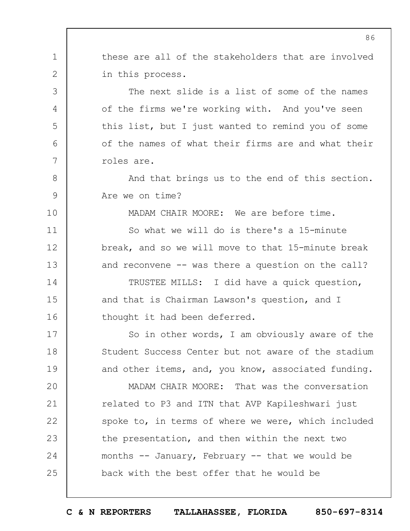these are all of the stakeholders that are involved in this process.

1

2

3

4

5

6

7

8

9

10

11

12

13

14

15

16

17

18

19

The next slide is a list of some of the names of the firms we're working with. And you've seen this list, but I just wanted to remind you of some of the names of what their firms are and what their roles are.

And that brings us to the end of this section. Are we on time?

MADAM CHAIR MOORE: We are before time.

So what we will do is there's a 15-minute break, and so we will move to that 15-minute break and reconvene -- was there a question on the call?

TRUSTEE MILLS: I did have a quick question, and that is Chairman Lawson's question, and I thought it had been deferred.

So in other words, I am obviously aware of the Student Success Center but not aware of the stadium and other items, and, you know, associated funding.

 $20$ 21 22 23 24 25 MADAM CHAIR MOORE: That was the conversation related to P3 and ITN that AVP Kapileshwari just spoke to, in terms of where we were, which included the presentation, and then within the next two months -- January, February -- that we would be back with the best offer that he would be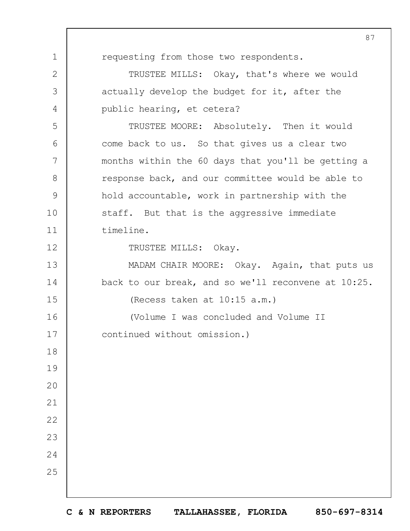requesting from those two respondents.

1

2

3

4

5

6

7

8

9

10

11

12

13

14

15

18

19

20

21

22

23

24

25

TRUSTEE MILLS: Okay, that's where we would actually develop the budget for it, after the public hearing, et cetera?

TRUSTEE MOORE: Absolutely. Then it would come back to us. So that gives us a clear two months within the 60 days that you'll be getting a response back, and our committee would be able to hold accountable, work in partnership with the staff. But that is the aggressive immediate timeline.

TRUSTEE MILLS: Okay.

MADAM CHAIR MOORE: Okay. Again, that puts us back to our break, and so we'll reconvene at 10:25. (Recess taken at 10:15 a.m.)

16 17 (Volume I was concluded and Volume II continued without omission.)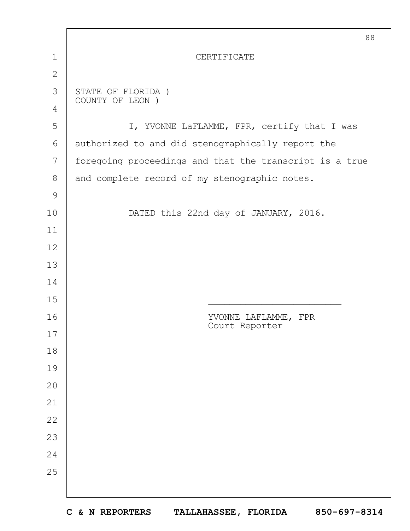|                | 88                                                      |  |  |  |  |
|----------------|---------------------------------------------------------|--|--|--|--|
| $\mathbf 1$    | CERTIFICATE                                             |  |  |  |  |
| $\overline{2}$ |                                                         |  |  |  |  |
| 3              | STATE OF FLORIDA)<br>COUNTY OF LEON )                   |  |  |  |  |
| 4              |                                                         |  |  |  |  |
| 5              | I, YVONNE LaFLAMME, FPR, certify that I was             |  |  |  |  |
| 6              | authorized to and did stenographically report the       |  |  |  |  |
| 7              | foregoing proceedings and that the transcript is a true |  |  |  |  |
| 8              | and complete record of my stenographic notes.           |  |  |  |  |
| $\mathcal{G}$  |                                                         |  |  |  |  |
| 10             | DATED this 22nd day of JANUARY, 2016.                   |  |  |  |  |
| 11             |                                                         |  |  |  |  |
| 12             |                                                         |  |  |  |  |
| 13             |                                                         |  |  |  |  |
| 14             |                                                         |  |  |  |  |
| 15             |                                                         |  |  |  |  |
| 16             | YVONNE LAFLAMME, FPR<br>Court Reporter                  |  |  |  |  |
| 17<br>18       |                                                         |  |  |  |  |
| 19             |                                                         |  |  |  |  |
| 20             |                                                         |  |  |  |  |
| 21             |                                                         |  |  |  |  |
| 22             |                                                         |  |  |  |  |
| 23             |                                                         |  |  |  |  |
| 24             |                                                         |  |  |  |  |
| 25             |                                                         |  |  |  |  |
|                |                                                         |  |  |  |  |
|                |                                                         |  |  |  |  |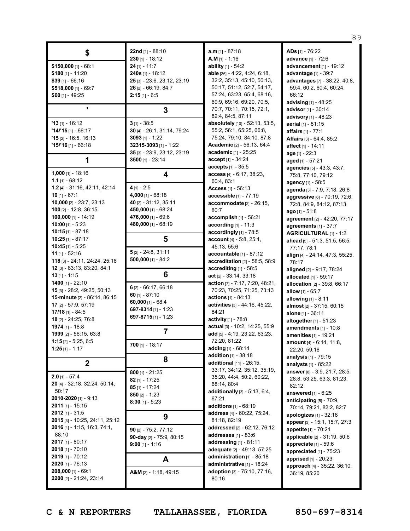|                                     |                                            |                                                          | 89                                           |
|-------------------------------------|--------------------------------------------|----------------------------------------------------------|----------------------------------------------|
| \$                                  | 22nd [1] - 88:10                           | $a.m$ <sub>[1]</sub> - 87:18                             | ADs [1] - 76:22                              |
|                                     | $230$ [1] - 18:12                          | A.M $[1] - 1:16$                                         | advance [1] - 72:6                           |
| $$150,000$ [1] - 68:1               | $24$ [1] - 11:7                            | ability $[1] - 54:2$                                     | advancement $[1]$ - 19:12                    |
| \$180 $[1] - 11:20$                 | 240s [1] - 18:12                           | able [26] - 4:22, 4:24, 6:18,                            | advantage [1] - 39:7                         |
| $$39$ [1] - 66:16                   | 25 [3] - 23:6, 23:12, 23:19                | 32:2, 35:13, 45:10, 50:13,                               | advantages [7] - 38:22, 40:8,                |
| $$518,000$ [1] - 69:7               | $26$ [2] - 66:19, 84:7                     | 50:17, 51:12, 52:7, 54:17,                               | 59:4, 60:2, 60:4, 60:24,                     |
| \$60 [1] - 49:25                    | $2:15$ [1] - 6:5                           | 57:24, 63:23, 65:4, 68:16,                               | 66:12                                        |
|                                     |                                            | 69:9, 69:16, 69:20, 70:5,                                | advising [1] - 48:25                         |
| $\blacksquare$                      | 3                                          | 70:7, 70:11, 70:15, 72:1,                                | advisor [1] - 30:14                          |
|                                     |                                            | 82:4, 84:5, 87:11                                        | advisory [1] - 48:23                         |
| $'13$ [1] - 16:12                   | $3$ [1] - 38:5                             | absolutely [10] - 52:13, 53:5,                           | <b>aerial</b> [1] - 81:15                    |
| $14/15$ [1] - 66:17                 | 30 [4] - 26:1, 31:14, 79:24                | 55:2, 56:1, 65:25, 66:8,                                 | affairs [1] - 77:1                           |
| $'15$ [2] - 16:5, 16:13             | $3093$ [1] - 1:22                          | 75:24, 79:10, 84:10, 87:8                                | Affairs [3] - 64:4, 85:2                     |
| <b>'15/'16</b> [1] - 66:18          | 32315-3093 [1] - 1:22                      | <b>Academic</b> [2] - 56:13, 64:4                        | affect [1] - 14:11                           |
|                                     | 35 [3] - 23:9, 23:12, 23:19                | academic [1] - 25:25                                     | age [1] - 22:3                               |
| 1                                   | $3500$ [1] - 23:14                         | $accept[1] - 34:24$                                      | aged [1] - 57:21                             |
|                                     |                                            | <b>accepts</b> $[1] - 35:5$                              | agencies [5] - 43:3, 43:7,                   |
| $1,000$ [1] - 18:16                 | 4                                          | access [4] - 6:17, 38:23,                                | 75:8, 77:10, 79:12                           |
| 1.1 $[1] - 68:12$                   |                                            | 60:4,83:1                                                | agency [1] - 58:5                            |
| $1.2$ [4] - 31:16, 42:11, 42:14     | $4$ [1] - 2:5                              | Access $[1] - 56:13$                                     | agenda [3] - 7:9, 7:18, 26:8                 |
| $10$ [1] - 67:1                     | 4,000 $[1] - 68:18$                        | accessible [1] - 77:19                                   | aggressive [6] - 70:19, 72:6,                |
| 10,000 $[2] - 23:7, 23:13$          | 40 [2] - 31:12, 35:11                      | accommodate [2] - 26:15,                                 | 72:8, 84:9, 84:12, 87:13                     |
| 100 $[2] - 12:8, 36:15$             | 450,000 [1] - 68:24                        | 80:7                                                     | ago $[1] - 51:8$                             |
| 100,000 [1] - 14:19                 | 476,000 [1] - 69:6                         | $accomplish$ [1] - 56:21                                 | agreement [2] - 42:20, 77:17                 |
| 10:00 [1] - 5:23                    | 480,000 [1] - 68:19                        | according [1] - 11:3                                     | agreements $[1] - 37:7$                      |
| 10:15 [1] - 87:18                   |                                            | accordingly [1] - 78:5                                   | AGRICULTURAL [1] - 1:2                       |
| 10:25 [1] - 87:17                   | 5                                          | <b>account</b> $[4] - 5.8$ , $25:1$ ,                    | ahead [5] - 51:3, 51:5, 56:5,                |
| $10:45$ [1] - 5:25                  |                                            | 45:13, 55:6                                              | 77:17, 78:1                                  |
| 11 $[1] - 52:16$                    | $5$ [2] - 24:8, 31:11                      | accountable $[1]$ - 87:12                                | align [4] - 24:14, 47:3, 55:25,              |
| 118 [3] - 24:11, 24:24, 25:16       | $500,000$ [1] - 84:2                       | accreditation [2] - 58:5, 58:9                           | 78:17                                        |
| 12 [3] - 83:13, 83:20, 84:1         |                                            | accrediting [1] - 58:5                                   | aligned [2] - 9:17, 78:24                    |
| 13 [1] - 1:15                       | 6                                          | $act$ [2] - 33:14, 33:18                                 | allocated $[1]$ - 59:17                      |
| <b>1400</b> [1] - 22:10             |                                            | action [7] - 7:17, 7:20, 48:21,                          | allocation [2] - 39:8, 66:17                 |
| 15 [3] - 28:2, 49:25, 50:13         | $6$ [2] - 66:17, 66:18<br>60 $[1] - 87:10$ | 70:23, 70:25, 71:25, 73:13                               | <b>allow</b> $[1]$ - 65:7                    |
| <b>15-minute</b> [2] - 86:14, 86:15 | $60,000$ [1] - 68:4                        | actions [1] - 84:13                                      | allowing [1] - 8:11                          |
| 17 [2] - 57:9, 57:19                | 697-8314 $[1]$ - 1:23                      | activities [3] - 44:16, 45:22,                           | almost [2] - 37:15, 60:15                    |
| $17/18$ [1] - 84:5                  | 697-8715 [1] - 1:23                        | 84:21                                                    | alone $[1] - 36:11$                          |
| 18 [2] - 24:25, 76:8                |                                            | activity [1] - 78:8                                      | altogether $[1] - 51:23$                     |
| 1974 $[1]$ - 18:8                   |                                            | actual [3] - 10:2, 14:25, 55:9                           | amendments [1] - 10:8                        |
| 1999 [2] - 56:15, 63:8              |                                            | add [5] - 4:19, 23:22, 63:23,                            | <b>amenities</b> [1] - 19:21                 |
| 1:15 [2] $-5:25, 6:5$               | $700$ [1] - 18:17                          | 72:20, 81:22                                             | amount [4] - 6:14, 11:8,                     |
| $1:25$ [1] - 1:17                   |                                            | adding [1] - 68:14                                       | 22:20, 59:16                                 |
|                                     | 8                                          | addition [1] - 38:18                                     | <b>analysis</b> $[1]$ - 79:15                |
| $\boldsymbol{2}$                    |                                            | additional [11] - 26:15,                                 | analysts $[1] - 85:22$                       |
| $2.0$ [1] - 57:4                    | $800$ [1] - 21:25                          | 33:17, 34:12, 35:12, 35:19,<br>35:20, 44:4, 50:2, 60:22, | answer [8] - 3:9, 21:7, 28:5,                |
| 20 [4] - 32:18, 32:24, 50:14,       | $82$ [1] - 17:25                           | 68:14, 80:4                                              | 28:8, 53:25, 63:3, 81:23,                    |
| 50:17                               | $85$ [1] - 17:24                           | <b>additionally</b> $[3] - 5:13, 6:4$ ,                  | 82:12                                        |
| 2010-2020 [1] - 9:13                | 850 $[2] - 1:23$                           | 67:21                                                    | answered $[1] - 6:25$                        |
| $2011$ [1] - 15:15                  | $8:30$ [1] - 5:23                          | <b>additions</b> $[1] - 68:19$                           | anticipating $[5]$ - 70:9,                   |
| $2012$ [1] - 31:5                   |                                            | address [4] - 60:22, 75:24,                              | 70:14, 79:21, 82:2, 82:7                     |
| 2015 [3] - 10:25, 24:11, 25:12      | 9                                          | 81:18, 82:19                                             | apologizes $[1]$ - 32:18                     |
| 2016 [4] - 1:15, 16:3, 74:1,        |                                            | addressed [2] - 62:12, 76:12                             | appear [3] - 15:1, 15:7, 27:3                |
| 88:10                               | $90$ [2] - 75:2, 77:12                     | addresses [1] - 83:6                                     | appetite [1] - 70:21                         |
| 2017 [1] - 80:17                    | 90-day [2] - 75:9, 80:15                   | addressing $[1]$ - 81:11                                 | applicable [2] - 31:19, 50:6                 |
| $2018$ [1] - 70:10                  | $9:00$ [1] - 1:16                          | adequate [2] - 49:13, 57:25                              | appreciate [1] - 59:6                        |
| $2019$ [1] - 70:12                  |                                            | administration $[1]$ - 85:18                             | appreciated [1] - 75:23                      |
| $2020$ [1] - 76:13                  | A                                          | administrative [1] - 18:24                               | apprised [1] - 20:23                         |
| 208,000 [1] - 69:1                  | A&M [2] - 1:18, 49:15                      | adoption [3] - 75:10, 77:16,                             | approach [4] - 35:22, 36:10,<br>36:19, 85:20 |
| 2200 [2] - 21:24, 23:14             |                                            | 80:16                                                    |                                              |
|                                     |                                            |                                                          |                                              |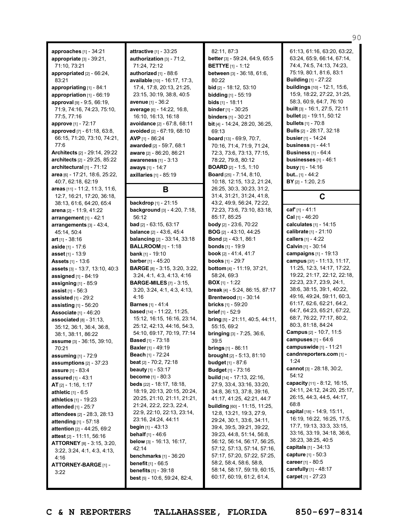**approaches** [1] - 34:21 **appropriate** [3] - 39:21, 71:10, 73:21 **appropriated** [2] - 66:24, 83:21 **appropriating** [1] - 84:1 **appropriation** [1] - 66:19 **approval** [9] - 9:5, 66:19, 71:9, 74:16, 74:23, 75:10, 77:5, 77:16 **approve** [1] - 72:17 **approved** [7] - 61:18, 63:8, 66:15, 71:20, 73:10, 74:21, 77:6 **Architects** [2] - 29:14, 29:22 **architects** [2] - 29:25, 85:22 **architectural** [1] - 71:12 **area** [6] - 17:21, 18:6, 25:22, 40:7, 62:18, 62:19 **areas** [11] - 11:2, 11:3, 11:6, 12:7, 16:21, 17:20, 36:18, 38:13, 61:6, 64:20, 65:4 **arena** [2] - 11:9, 41:22 **arrangement** [1] - 42:1 **arrangements** [3] - 43:4, 45:14, 50:4 **art** [1] - 38:16 **aside** [1] - 17:6 **asset** [1] - 13:9 **Assets** [1] - 13:6 **assets** [3] - 13:7, 13:10, 40:3 **assigned** [1] - 84:19 **assigning** [1] - 85:9 **assist** [1] - 56:3 **assisted** [1] - 29:2 **assisting** [1] - 56:20 **Associate** [1] - 46:20 **associated** [8] - 31:13, 35:12, 36:1, 36:4, 36:8, 38:1, 38:11, 86:22 **assume** [3] - 36:15, 39:10, 70:21 **assuming** [1] - 72:9 **assumptions** [2] - 37:23 **assure** [1] - 83:4 **assured** [1] - 43:1 **AT** [2] - 1:16, 1:17 **athletic** [1] - 6:5 **athletics** [1] - 19:23 **attended** [1] - 25:7 **attendees** [2] - 28:3, 28:13 **attending** [1] - 57:18 **attention** [2] - 44:25, 69:2 **attest** [2] - 11:11, 56:16 **ATTORNEY** [8] - 3:15, 3:20, 3:22, 3:24, 4:1, 4:3, 4:13, 4:16 **ATTORNEY-BARGE** [1] - 3:22

**attractive** [1] - 33:25 **authorization** [3] - 71:2, 71:24, 72:12 **authorized** [1] - 88:6 **available** [10] - 16:17, 17:3, 17:4, 17:8, 20:13, 21:25, 23:15, 30:19, 38:8, 40:5 **avenue** [1] - 36:2 **average** [6] - 14:22, 16:8, 16:10, 16:13, 16:18 **avoidance** [2] - 67:8, 68:11 **avoided** [2] - 67:19, 68:10 **AVP** [1] - 86:24 **awarded** [2] - 59:7, 68:1 **aware** [2] - 86:20, 86:21 **awareness** [1] - 3:13 **aways** [1] - 14:7 **axillaries** [1] - 85:19

## **B**

**backdrop** [1] - 21:15 **background** [3] - 4:20, 7:18, 56:12 **bad** [2] - 63:15, 63:17 **balance** [2] - 43:6, 45:4 **balancing** [2] - 33:14, 33:18 **BALLROOM** [1] - 1:18 **bank** [1] - 19:10 **barber** [1] - 45:20 **BARGE** [8] - 3:15, 3:20, 3:22, 3:24, 4:1, 4:3, 4:13, 4:16 **BARGE-MILES** [7] - 3:15, 3:20, 3:24, 4:1, 4:3, 4:13, 4:16 **Barnes** [1] - 41:4 **based** [14] - 11:22, 11:25, 15:12, 16:15, 16:16, 23:14, 25:12, 42:13, 44:16, 54:3, 54:10, 69:17, 70:19, 77:14 **Based** [1] - 73:18 **Baxler** [1] - 49:19 **Beach** [1] - 72:24 **beat** [2] - 70:2, 72:18 **beauty** [1] - 53:17 **become** [1] - 80:3 **beds** [22] - 18:17, 18:18, 18:19, 20:13, 20:15, 20:24, 20:25, 21:10, 21:11, 21:21, 21:24, 22:2, 22:3, 22:4, 22:9, 22:10, 22:13, 23:14, 23:16, 24:24, 44:11 **begin** [1] - 43:13 **behalf** [1] - 46:6 **below** [3] - 16:13, 16:17, 42:14 **benchmarks** [1] - 36:20 **benefit** [1] - 66:5 **benefits** [1] - 39:18 **best** [5] - 10:6, 59:24, 82:4,

82:11, 87:3 **better** [3] - 59:24, 64:9, 65:5 **BETTYE** [1] - 1:12 **between** [3] - 36:18, 61:6, 80:22 **bid** [2] - 18:12, 53:10 **bidding** [1] - 55:19 **bids** [1] - 18:11 **binder** [1] - 30:25 **binders** [1] - 30:21 **bit** [4] - 14:24, 28:20, 36:25, 69:13 **board** [13] - 69:9, 70:7, 70:16, 71:4, 71:9, 71:24, 72:3, 73:6, 73:13, 77:15, 78:22, 79:8, 80:12 **BOARD** [2] - 1:5, 1:10 **Board** [25] - 7:14, 8:10, 10:18, 12:15, 13:2, 21:24, 26:25, 30:3, 30:23, 31:2, 31:4, 31:21, 31:24, 41:8, 43:2, 49:9, 56:24, 72:22, 72:23, 73:6, 73:10, 83:18, 85:17, 85:25 **body** [2] - 23:6, 70:22 **BOG** [2] - 43:10, 44:25 **Bond** [2] - 43:1, 86:1 **bonds** [1] - 19:9 **book** [2] - 41:4, 41:7 **books** [1] - 29:7 **bottom** [4] - 11:19, 37:21, 58:24, 69:3 **BOX** [1] - 1:22 **break** [4] - 5:24, 86:15, 87:17 **Brentwood** [1] - 30:14 **bricks** [1] - 59:20 **brief** [1] - 52:9 **bring** [5] - 21:11, 40:5, 44:11, 55:15, 69:2 **bringing** [3] - 7:25, 36:6, 39:5 **brings** [1] - 86:11 **brought** [2] - 5:13, 81:10 **budget** [1] - 87:6 **Budget** [1] - 73:16 **build** [14] - 17:13, 22:16, 27:9, 33:4, 33:16, 33:20, 34:8, 36:13, 37:8, 39:16, 41:17, 41:25, 42:21, 44:7 **building** [60] - 11:15, 11:25, 12:8, 13:21, 19:3, 27:9, 29:24, 30:1, 33:6, 34:11, 39:4, 39:5, 39:21, 39:22, 39:23, 44:8, 51:14, 56:8, 56:12, 56:14, 56:17, 56:25, 57:12, 57:13, 57:14, 57:16, 57:17, 57:20, 57:22, 57:25, 58:2, 58:4, 58:6, 58:8, 58:14, 58:17, 59:19, 60:15, 60:17, 60:19, 61:2, 61:4,

61:13, 61:16, 63:20, 63:22, 63:24, 65:9, 66:14, 67:14, 74:4, 74:5, 74:13, 74:23, 75:19, 80:1, 81:6, 83:1 **Building** [1] - 27:22 **buildings** [10] - 12:1, 15:6, 15:9, 18:22, 27:22, 31:25, 58:3, 60:9, 64:7, 76:10 **built** [3] - 16:1, 27:5, 72:11 **bullet** [2] - 19:11, 50:12 **bullets** [1] - 70:8 **Bulls** [2] - 28:17, 32:18 **busier** [1] - 14:24 **business** [1] - 44:1 **Business** [1] - 64:4 **businesses** [1] - 46:1 **busy** [1] - 14:16 **but..** [1] - 44:2 **BY** [2] - 1:20, 2:5

90

## **C**

**caf'** [1] - 41:1

**Cal** [1] - 46:20 **calculates** [1] - 14:15 **calibrate** [1] - 21:10 **callers** [1] - 4:22 **Calvin** [1] - 30:14 **campaigns** [1] - 19:13 **campus** [37] - 11:13, 11:17, 11:25, 12:3, 14:17, 17:22, 19:22, 21:17, 22:12, 22:18, 22:23, 23:7, 23:9, 24:1, 38:6, 38:15, 39:1, 40:22, 49:16, 49:24, 59:11, 60:3, 61:17, 62:6, 62:21, 64:2, 64:7, 64:23, 65:21, 67:22, 68:7, 76:22, 77:17, 80:2, 80:3, 81:18, 84:24 **Campus** [2] - 10:7, 11:5 **campuses** [1] - 64:6 **campuswide** [1] - 11:21 **candnreporters.com** [1] - 1:24 **cannot** [3] - 28:18, 30:2, 54:12 **capacity** [11] - 8:12, 16:15, 24:11, 24:12, 24:20, 25:17, 26:15, 44:3, 44:5, 44:17,  $68.8$ **capital** [18] - 14:9, 15:11, 16:19, 16:22, 16:25, 17:5, 17:7, 19:13, 33:3, 33:15, 33:16, 33:19, 34:18, 36:6, 38:23, 38:25, 40:5 **capitals** [1] - 34:13 **capture** [1] - 50:3 **career** [1] - 80:5 **carefully** [1] - 48:17 **carpet** [1] - 27:23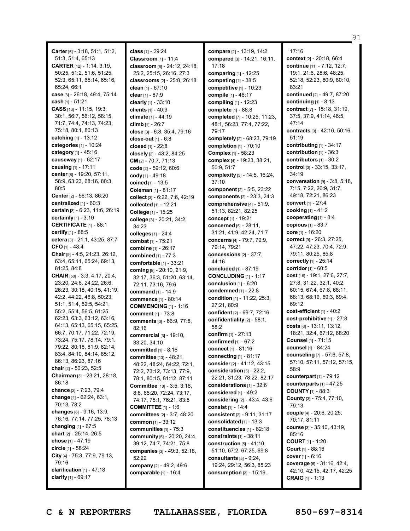**Carter** [6] - 3:18, 51:1, 51:2, 51:3, 51:4, 65:13 **CARTER** [12] - 1:14, 3:19, 50:25, 51:2, 51:6, 51:25, 52:3, 65:11, 65:14, 65:16, 65:24, 66:1 **case** [3] - 26:18, 49:4, 75:14 **cash** [1] - 51:21 **CASS** [13] - 11:15, 19:3, 30:1, 56:7, 56:12, 58:15, 71:7, 74:4, 74:13, 74:23, 75:18, 80:1, 80:13 **catching** [1] - 13:12 **categories** [1] - 10:24 **category** [1] - 45:16 **causeway** [1] - 62:17 **causing** [1] - 17:11 **center** [8] - 19:20, 57:11, 58:9, 63:23, 68:16, 80:3, 80:5 **Center** [2] - 56:13, 86:20 **centralized** [1] - 60:3 **certain** [3] - 6:23, 11:6, 26:19 **certainly** [1] - 3:10 **CERTIFICATE** [1] - 88:1 **certify** [1] - 88:5 **cetera** [3] - 21:1, 43:25, 87:7 **CFO** [1] - 48:4 **Chair** [9] - 4:5, 21:23, 26:12, 63:4, 65:11, 65:24, 69:13, 81:25, 84:8 **CHAIR** [50] - 3:3, 4:17, 20:4, 23:20, 24:6, 24:22, 26:6, 26:23, 30:18, 40:15, 41:19, 42:2, 44:22, 46:8, 50:23, 51:1, 51:4, 52:5, 54:21, 55:2, 55:4, 56:5, 61:25, 62:23, 63:3, 63:12, 63:16, 64:13, 65:13, 65:15, 65:25, 66:7, 70:17, 71:22, 72:19, 73:24, 75:17, 78:14, 79:1, 79:22, 80:18, 81:9, 82:14, 83:4, 84:10, 84:14, 85:12, 86:13, 86:23, 87:16 **chair** [2] - 50:23, 52:5 **Chairman** [3] - 23:21, 28:18, 86:18 **chance** [2] - 7:23, 79:4 **change** [4] - 62:24, 63:1, 70:13, 78:2 **changes** [6] - 9:16, 13:9, 76:16, 77:14, 77:25, 78:13 **changing** [1] - 67:5 **chart** [2] - 25:14, 26:5 **chose** [1] - 47:19 **circle** [1] - 58:24 **City** [4] - 75:3, 77:9, 79:13, 79:16 **clarification** [1] - 47:18 **clarify** [1] - 69:17

**class** [1] - 29:24 **Classroom** [1] - 11:4 **classroom** [6] - 24:12, 24:18, 25:2, 25:15, 26:16, 27:3 **classrooms** [2] - 25:8, 26:18 **clean** [1] - 67:10 **clear** [1] - 87:9 **clearly** [1] - 33:10 **clients** [1] - 40:9 **climate** [1] - 44:19 **climb** [1] - 26:7 **close** [3] - 6:8, 35:4, 79:16 **close-out** [1] - 6:8 **closed** [1] - 22:8 **closely** [2] - 43:2, 84:25 **CM** [2] - 70:7, 71:13 **code** [2] - 59:12, 60:6 **cody** [1] - 49:18 **coined** [1] - 13:5 **Coleman** [1] - 81:17 **collect** [3] - 6:22, 7:6, 42:19 **collected** [1] - 12:21 **College** [1] - 15:25 **college** [3] - 20:21, 34:2, 34:23 **colleges** [1] - 24:4 **combat** [1] - 75:21 **combine** [1] - 26:17 **combined** [1] - 77:3 **comfortable** [1] - 33:21 **coming** [9] - 20:10, 21:9, 32:17, 36:3, 51:20, 63:14, 72:11, 73:16, 79:6 **command** [1] - 14:9 **commence** [1] - 80:14 **COMMENCING** [1] - 1:16 **comment** [1] - 73:8 **comments** [3] - 66:9, 77:8, 82:16 **commercial** [3] - 19:10, 33:20, 34:10 **committed** [1] - 8:16 **committee** [13] - 48:21, 48:22, 48:24, 64:22, 72:1, 72:2, 73:12, 73:13, 77:9, 78:1, 80:15, 81:12, 87:11 **Committee** [10] - 3:5, 3:16, 8:8, 65:20, 72:24, 73:17, 74:17, 75:1, 76:21, 83:5 **COMMITTEE** [1] - 1:6 **committees** [2] - 3:7, 48:20 **common** [1] - 33:12 **communities** [1] - 75:3 **community** [6] - 20:20, 24:4, 39:12, 74:7, 74:21, 75:8 **companies** [3] - 49:3, 52:18, 52:22 **company** [2] - 49:2, 49:6 **comparable** [1] - 16:4

**compare** [2] - 13:19, 14:2 **compared** [3] - 14:21, 16:11, 17:18 **comparing** [1] - 12:25 **competing** [1] - 38:5 **competitive** [1] - 10:23 **compile** [1] - 46:17 **compiling** [1] - 12:23 **complete** [1] - 88:8 **completed** [7] - 10:25, 11:23, 48:1, 56:23, 77:4, 77:22, 79:17 **completely** [2] - 68:23, 79:19 **completion** [1] - 70:10 **Complex** [1] - 58:23 **complex** [4] - 19:23, 38:21, 50:9, 51:7 **complexity** [3] - 14:5, 16:24, 37:10 **component** [2] - 5:5, 23:22 **components** [2] - 23:3, 24:3 **comprehensive** [4] - 51:9, 51:13, 82:21, 82:25 **concept** [1] - 19:21 **concerned** [5] - 28:11, 31:21, 41:9, 42:24, 71:7 **concerns** [4] - 79:7, 79:9, 79:14, 79:21 **concessions** [2] - 37:7, 44:16 **concluded** [1] - 87:19 **CONCLUDING** [1] - 1:17 **conclusion** [1] - 6:20 **condemned** [1] - 22:8 **condition** [4] - 11:22, 25:3, 27:21, 80:9 **confident** [2] - 69:7, 72:16 **confidentiality** [2] - 58:1, 58:2 **confirm** [1] - 27:13 **confirmed** [1] - 67:2 **connect** [1] - 81:16 **connecting** [1] - 81:17 **consider**[2] - 41:12, 43:15 **consideration** [5] - 22:2, 22:21, 31:23, 78:22, 82:17 **considerations** [1] - 32:6 **considered** [1] - 49:2 **considering** [2] - 43:4, 43:6 **consist** [1] - 14:4 **consistent** [2] - 9:11, 31:17 **consolidated** [1] - 13:3 **constituencies** [1] - 82:18 **constraints** [1] - 38:11 **construction** [5] - 41:10, 51:10, 67:2, 67:25, 69:8 **consultants** [5] - 9:24, 19:24, 29:12, 56:3, 85:23 **consumption** [2] - 15:19,

17:16 **context** [2] - 20:18, 66:4 **continue** [11] - 7:12, 12:7, 19:1, 21:6, 28:6, 48:25, 52:18, 52:23, 80:9, 80:10, 83:21 **continued** [2] - 49:7, 87:20 **continuing** [1] - 8:13 **contract** [7] - 15:18, 31:19, 37:5, 37:9, 41:14, 46:5, 47:14 **contracts** [3] - 42:16, 50:16, 51:19 **contributing** [1] - 34:17 **contribution** [1] - 36:3 **contributors** [1] - 30:2 **control** [3] - 33:15, 33:17, 34:19 **conversation** [9] - 3:8, 5:18, 7:15, 7:22, 26:9, 31:7, 49:18, 72:21, 86:23 **convert** [1] - 27:4 **cooking** [1] - 41:2 **cooperating** [1] - 8:4 **copious** [1] - 83:7 **core** [1] - 16:20 **correct** [9] - 26:3, 27:25, 47:22, 47:23, 70:4, 72:9, 79:11, 80:25, 85:8 **correctly** [1] - 25:14 **corridor** [1] - 60:5 **cost** [16] - 19:1, 27:6, 27:7, 27:8, 31:22, 32:1, 40:2, 60:15, 67:4, 67:8, 68:11, 68:13, 68:19, 69:3, 69:4, 69:12 **cost-efficient** [1] - 40:2 **cost-prohibitive** [1] - 27:8 **costs** [6] - 13:11, 13:12, 18:21, 32:4, 67:12, 68:20 **Counsel** [1] - 71:15 **counsel** [1] - 84:24 **counseling** [7] - 57:6, 57:8, 57:10, 57:11, 57:12, 57:15, 58:9 **counterpart** [1] - 79:12 **counterparts** [1] - 47:25 **COUNTY** [1] - 88:3 **County** [3] - 75:4, 77:10, 79:13 **couple** [4] - 20:6, 20:25, 70:17, 81:11 **course** [3] - 35:10, 43:19, 85:16 **COURT** [1] - 1:20 **Court** [1] - 88:16 **cover** [1] - 6:16 **coverage** [6] - 31:16, 42:4, 42:10, 42:15, 42:17, 42:25 **CRAIG** [1] - 1:13

91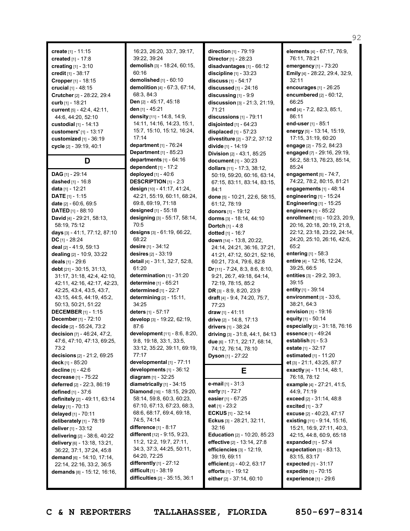**create** [1] - 11:15 **created** [1] - 17:8 **creating** [1] - 3:10 **credit** [1] - 38:17 **Cropper** [1] - 18:15 **crucial** [1] - 48:15 **Crutcher** [2] - 28:22, 29:4 **curb** [1] - 18:21 **current** [5] - 42:4, 42:11, 44:6, 44:20, 52:10 **custodial** [1] - 14:13 **customers'** [1] - 13:17 **customized** [1] - 36:19 **cycle** [2] - 39:19, 40:1 **D DAG** [1] - 29:14 **dashed** [1] - 16:8 **data** [1] - 12:21 **DATE** [1] - 1:15 **date** [2] - 60:6, 69:5 **DATED** [1] - 88:10 **David** [4] - 29:21, 58:13, 58:19, 75:12 **days** [3] - 41:1, 77:12, 87:10 **DC** [1] - 28:24 **deal** [2] - 41:9, 59:13 **dealing** [2] - 10:9, 33:22 **deals** [1] - 29:6 **debt** [21] - 30:15, 31:13, 31:17, 31:18, 42:4, 42:10, 42:11, 42:16, 42:17, 42:23, 42:25, 43:4, 43:5, 43:7, 43:15, 44:5, 44:19, 45:2, 50:13, 50:21, 51:22 **DECEMBER** [1] - 1:15 **December** [1] - 72:10 **decide** [2] - 55:24, 73:2 **decision** [7] - 46:24, 47:2, 47:6, 47:10, 47:13, 69:25, 73:2 **decisions** [2] - 21:2, 69:25 **deck** [1] - 85:20 **decline** [1] - 42:6 **decrease** [1] - 75:22 **deferred** [2] - 22:3, 86:19 **defined** [1] - 37:6 **definitely** [2] - 49:11, 63:14 **delay** [1] - 70:13 **delayed** [1] - 70:11 **deliberately** [1] - 78:19 **deliver** [1] - 33:12 **delivering** [2] - 38:6, 40:22 **delivery** [6] - 13:18, 13:21, 36:22, 37:1, 37:24, 45:8 **demand** [6] - 14:10, 17:14,

16:23, 26:20, 33:7, 39:17, 39:22, 39:24 **demolish** [3] - 18:24, 60:15, 60:16 **demolished** [1] - 60:10 **demolition** [4] - 67:3, 67:14, 68:3, 84:3 **Den** [2] - 45:17, 45:18 **den** [1] - 45:21 **density** [11] - 14:8, 14:9, 14:11, 14:16, 14:23, 15:1, 15:7, 15:10, 15:12, 16:24, 17:14 **department** [1] - 76:24 **Department** [1] - 85:23 **departments** [1] - 64:16 **dependent** [1] - 17:2 **deployed** [1] - 40:6 **DESCRIPTION** [1] - 2:3 **design** [10] - 41:17, 41:24, 42:21, 55:19, 60:11, 68:24, 69:8, 69:19, 71:18 **designed** [1] - 55:18 **designing** [3] - 55:17, 58:14, 70:5 **designs** [3] - 61:19, 66:22, 68:22 **desire** [1] - 34:12 **desires** [2] - 33:19 **detail** [4] - 31:1, 32:7, 52:8, 61:20 **determination** [1] - 31:20 **determine** [1] - 65:21 **determined** [1] - 22:7 **determining** [2] - 15:11, 34:25 **deters** [1] - 57:17 **develop** [3] - 19:22, 62:19, 87:6 **development** [11] - 8:6, 8:20, 9:8, 19:18, 33:1, 33:5, 33:12, 35:22, 39:11, 69:19, 77:17 **developmental** [1] - 77:11 **developments** [1] - 36:12 **diagram** [1] - 32:25 **diametrically** [1] - 34:15 **Diamond** [16] - 18:15, 29:20, 58:14, 59:8, 60:3, 60:23, 67:10, 67:13, 67:23, 68:3, 68:6, 68:17, 69:4, 69:18, 74:5, 74:14 **difference** [1] - 8:17 **different** [12] - 9:15, 9:23, 11:2, 12:2, 19:7, 27:11, 34:3, 37:3, 44:25, 50:11, 64:20, 72:25 **differently** [1] - 27:12 **difficult** [1] - 38:19 **difficulties** [2] - 35:15, 36:1

**direction** [1] - 79:19 **Director**[1] - 28:23 **disadvantages** [1] - 66:12 **discipline** [1] - 33:23 **discuss** [1] - 54:17 **discussed** [1] - 24:16 **discussing** [1] - 9:9 **discussion** [3] - 21:3, 21:19, 71:21 **discussions** [1] - 79:11 **disjointed** [1] - 64:23 **displaced** [1] - 57:23 **divestiture** [2] - 37:2, 37:12 **divide** [1] - 14:19 **Division** [2] - 43:1, 85:25 **document** [1] - 30:23 **dollars** [11] - 17:3, 38:12, 50:19, 59:20, 60:16, 63:14, 67:15, 83:11, 83:14, 83:15, 84:1 **done** [5] - 10:21, 22:6, 58:15, 61:12, 78:19 **donors** [1] - 19:12 **dorms** [3] - 18:14, 44:10 **Dortch** [1] - 4:8 **dotted** [1] - 16:7 **down** [14] - 13:8, 20:22, 24:14, 24:21, 36:16, 37:21, 41:21, 47:12, 50:21, 52:16, 60:21, 73:4, 79:6, 82:8 **Dr** [11] - 7:24, 8:3, 8:6, 8:10, 9:21, 26:7, 49:18, 64:14, 72:19, 78:15, 85:2 **DR** [3] - 8:9, 8:20, 23:9 **draft** [4] - 9:4, 74:20, 75:7, 77:23 **draw** [1] - 41:11 **drive** [2] - 14:8, 17:13 **drivers** [1] - 38:24 **driving** [3] - 31:8, 44:1, 84:13 **due** [6] - 17:1, 22:17, 68:14, 74:12, 76:14, 78:10 **Dyson** [1] - 27:22 **E e-mail** [1] - 31:3 **early** [1] - 72:7 **easier** [1] - 67:25 **eat** [1] - 23:2 **ECKUS** [1] - 32:14 **Eckus** [3] - 28:21, 32:11, 32:16 **Education** [2] - 10:20, 85:23 **effective** [2] - 13:14, 27:8 **efficiencies** [3] - 12:19, 39:19, 69:11

### **elements** [4] - 67:17, 76:9, 76:11, 78:21 **emergency** [1] - 73:20 **Emily** [4] - 28:22, 29:4, 32:9, 32:11 **encourages** [1] - 26:25 **encumbered** [2] - 60:12, 66:25 **end** [4] - 7:2, 82:3, 85:1, 86:11 **end-user** [1] - 85:1 **energy** [5] - 13:14, 15:19, 17:15, 31:19, 60:20 **engage** [2] - 75:2, 84:23 **engaged** [7] - 29:16, 29:19, 56:2, 58:13, 76:23, 85:14, 85:24 **engagement** [5] - 74:7, 74:22, 78:2, 80:15, 81:21 **engagements** [1] - 48:14 **engineering** [1] - 15:24 **Engineering** [1] - 15:25 **engineers** [1] - 85:22 **enrollment** [15] - 10:23, 20:9, 20:16, 20:18, 20:19, 21:8, 22:12, 23:18, 23:22, 24:14, 24:20, 25:10, 26:16, 42:6, 65:2 **entering** [1] - 58:3 **entire** [4] - 12:16, 12:24, 39:25, 66:5 **entities** [3] - 29:2, 39:3, 39:15 **entity** [1] - 39:14 **environment** [3] - 33:6, 38:21, 64:3 **envision** [1] - 19:16 **equity** [1] - 50:14 **especially** [2] - 31:18, 76:16 **essence** [1] - 49:24 **establish** [1] - 5:3 **estate** [1] - 32:17 **estimated** [1] - 11:20 **et** [3] - 21:1, 43:25, 87:7 **exactly** [4] - 11:14, 48:1, 76:18, 78:12 **example** [4] - 27:21, 41:5, 44:9, 71:19 **exceed** [2] - 31:14, 48:8 **excited** [1] - 3:7 **excuse** [2] - 40:23, 47:17 **existing** [11] - 9:14, 15:16, 15:21, 16:9, 27:11, 40:3, 42:15, 44:8, 60:9, 65:18 **expanded** [1] - 57:4 **expectation** [3] - 83:13, 83:15, 83:17 **expected** [1] - 31:17 **expedite** [1] - 70:15 **experience** [1] - 29:6

92

22:14, 22:16, 33:2, 36:5 **demands** [8] - 15:12, 16:16,

**C & N REPORTERS TALLAHASSEE, FLORIDA 850-697-8314**

**efficient** [2] - 40:2, 63:17 **efforts** [1] - 19:12 **either** [2] - 37:14, 60:10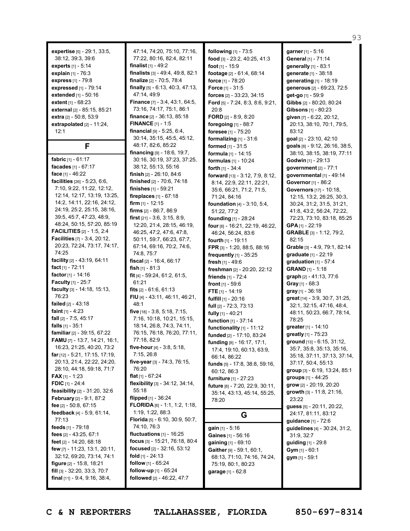**expertise** [5] - 29:1, 33:5, 38:12, 39:3, 39:6 **experts** [1] - 5:14 **explain** [1] - 76:3 **express** [1] - 79:8 **expressed** [1] - 79:14 **extended** [1] - 50:16 **extent** [1] - 68:23 **external** [2] - 85:15, 85:21 **extra** [2] - 50:8, 53:9 **extrapolated** [2] - 11:24, 12:1 **F fabric** [1] - 61:17 **facades** [1] - 67:17 **face** [1] - 46:22 **facilities** [26] - 5:23, 6:6, 7:10, 9:22, 11:22, 12:12, 12:14, 12:17, 13:19, 13:25, 14:2, 14:11, 22:16, 24:12, 24:19, 25:2, 25:15, 38:16, 39:5, 45:7, 47:23, 48:9, 48:24, 50:15, 57:20, 85:19 **FACILITIES** [2] - 1:5, 2:4 **Facilities** [7] - 3:4, 20:12, 20:23, 72:24, 73:17, 74:17, 74:25 **facility** [2] - 43:19, 64:11 **fact** [1] - 72:11 **factor** [1] - 14:16 **Faculty** [1] - 25:7 **faculty** [3] - 14:18, 15:13, 76:23 **failed** [2] - 43:18 **faint** [1] - 4:23 **fall** [2] - 7:5, 45:17 **falls** [1] - 35:1 **familiar** [2] - 39:15, 67:22 **FAMU** [7] - 13:7, 14:21, 16:1, 16:23, 21:25, 40:20, 73:2 **far** [12] - 5:21, 17:15, 17:19, 20:13, 21:4, 22:22, 24:20, 28:10, 44:18, 59:18, 71:7 **FAX** [1] - 1:23 **FDIC** [1] - 24:4 **feasibility** [2] - 31:20, 32:6 **February** [2] - 9:1, 87:2 **fee** [2] - 50:8, 67:15 **feedback** [4] - 5:9, 61:14, 77:13 **feeds** [1] - 79:18 **fees** [2] - 43:25, 67:1 **feet** [2] - 14:20, 68:18 **few** [7] - 11:23, 13:1, 20:11, 32:12, 69:20, 73:14, 74:1 **figure** [2] - 15:8, 18:21 **fill** [3] - 32:20, 33:3, 70:7 **final** [11] - 9:4, 9:16, 38:4,

47:14, 74:20, 75:10, 77:16, 77:22, 80:16, 82:4, 82:11 **finalist** [1] - 49:2 **finalists** [3] - 49:4, 49:8, 82:1 **finalize** [2] - 70:5, 78:4 **finally** [5] - 6:13, 40:3, 47:13, 47:14, 49:9 **Finance** [7] - 3:4, 43:1, 64:5, 73:16, 74:17, 75:1, 86:1 **finance** [2] - 36:13, 85:18 **FINANCE** [1] - 1:5 **financial** [9] - 5:25, 6:4, 30:14, 35:15, 45:5, 45:12, 48:17, 82:6, 85:22 **financing** [9] - 18:6, 19:7, 30:16, 30:19, 37:23, 37:25, 38:12, 55:13, 55:16 **finish** [2] - 26:10, 84:6 **finished** [2] - 70:6, 74:18 **finishes** [1] - 59:21 **fireplaces** [1] - 67:18 **firm** [1] - 12:15 **firms** [2] - 86:7, 86:9 **first** [21] - 3:6, 3:15, 8:9, 12:20, 21:4, 28:15, 46:19, 46:25, 47:2, 47:6, 47:8, 50:11, 59:7, 66:23, 67:7, 67:14, 69:16, 70:2, 74:6, 74:8, 75:7 **fiscal** [2] - 16:4, 66:17 **fish** [1] - 81:3 **fit** [4] - 59:24, 61:2, 61:5, 61:21 **fits** [2] - 61:6, 61:13 **FIU** [4] - 43:11, 46:11, 46:21, 48:1 **five** [18] - 3:8, 5:18, 7:15, 7:16, 10:18, 10:21, 15:15, 18:14, 26:8, 74:3, 74:11, 76:15, 76:18, 76:20, 77:11, 77:18, 82:9 **five-hour** [4] - 3:8, 5:18, 7:15, 26:8 **five-year** [3] - 74:3, 76:15, 76:20 **flat** [1] - 67:24 **flexibility** [3] - 34:12, 34:14, 55:18 **flipped** [1] - 36:24 **FLORIDA** [6] - 1:1, 1:2, 1:18, 1:19, 1:22, 88:3 **Florida** [5] - 6:10, 30:9, 50:7, 74:10, 76:3 **fluctuations** [1] - 16:25 **focus** [3] - 15:21, 76:18, 80:4 **focused** [2] - 32:16, 53:12 **fold** [1] - 24:13 **follow** [1] - 65:24 **follow-up** [1] - 65:24 **followed** [2] - 46:22, 47:7

**following** [1] - 73:5 **food** [3] - 23:2, 40:25, 41:3 **foot** [1] - 15:9 **footage** [2] - 61:4, 68:14 **force** [1] - 78:20 **Force** [1] - 31:5 **forces** [2] - 33:23, 34:15 **Ford** [5] - 7:24, 8:3, 8:6, 9:21, 20:8 **FORD** [2] - 8:9, 8:20 **foregoing** [1] - 88:7 **foresee** [1] - 75:20 **formalizing** [1] - 31:6 **formed** [1] - 31:5 **formula** [1] - 14:15 **formulas** [1] - 10:24 **forth** [1] - 34:4 **forward** [13] - 3:12, 7:9, 8:12, 8:14, 22:9, 22:11, 22:21, 35:6, 66:21, 71:2, 71:5, 71:24, 84:16 **foundation** [4] - 3:10, 5:4, 51:22, 77:2 **founding** [1] - 28:24 **four** [6] - 16:21, 22:19, 46:22, 46:24, 56:24, 83:6 **fourth** [1] - 19:11 **FPR** [3] - 1:20, 88:5, 88:16 **frequently** [1] - 35:25 **fresh** [1] - 49:6 **freshman** [2] - 20:20, 22:12 **friends** [1] - 72:4 **front** [1] - 59:6 **FTE** [1] - 14:19 **fulfill** [1] - 20:16 **full** [2] - 72:3, 73:13 **fully** [1] - 40:21 **function** [1] - 37:14 **functionality** [1] - 11:12 **funded** [2] - 17:10, 83:24 **funding** [8] - 16:17, 17:1, 17:4, 19:10, 60:13, 63:9, 66:14, 86:22 **funds** [5] - 17:8, 38:8, 59:16, 60:12, 86:3 **furniture** [1] - 27:23 **future** [8] - 7:20, 22:9, 30:11, 35:14, 43:13, 45:14, 55:25, 78:20 **G gain** [1] - 5:16

**Gaines** [1] - 56:16 **gaining** [1] - 69:10 **Gaither** [9] - 59:1, 60:1, 68:13, 71:10, 74:16, 74:24, 75:19, 80:1, 80:23 **garage** [1] - 62:8

**garner** [1] - 5:16 **General** [1] - 71:14 **generally** [1] - 83:1 **generate** [1] - 38:18 **generating** [1] - 18:19 **generous** [2] - 69:23, 72:5 **get-go** [1] - 59:9 **Gibbs** [2] - 80:20, 80:24 **Gibsons** [1] - 80:23 **given** [7] - 6:22, 20:12, 20:13, 38:10, 70:1, 79:5, 83:12 **goal** [2] - 23:10, 42:10 **goals** [8] - 9:12, 26:16, 38:5, 38:10, 38:15, 38:19, 77:11 **Godwin** [1] - 29:13 **government** [2] - 77:1 **governmental** [1] - 49:14 **Governor** [1] - 86:2 **Governors** [17] - 10:18, 12:15, 13:2, 26:25, 30:3, 30:24, 31:2, 31:5, 31:21, 41:8, 43:2, 56:24, 72:22, 72:23, 73:10, 83:18, 85:25 **GPA** [1] - 22:19 **GRABLE** [3] - 1:12, 79:2, 82:15 **Grable** [3] - 4:9, 79:1, 82:14 **graduate** [1] - 22:19 **graduation** [1] - 57:4 **GRAND** [1] - 1:18 **graph** [2] - 41:13, 77:6 **Gray** [1] - 68:3 **gray** [1] - 36:18 **great** [14] - 3:9, 30:7, 31:25, 32:1, 32:15, 47:16, 48:4, 48:11, 50:23, 66:7, 78:14, 78:25 **greater** [1] - 14:10 **greatly** [1] - 75:23 **ground** [13] - 6:15, 31:12, 35:7, 35:8, 35:13, 35:16, 35:18, 37:11, 37:13, 37:14, 37:17, 50:4, 55:13 **group** [3] - 6:19, 13:24, 85:1 **groups** [1] - 44:25 **grow** [2] - 20:19, 20:20 **growth** [3] - 11:8, 21:16, 23:22 **guess** [5] - 20:11, 20:22, 24:17, 81:11, 83:12 **guidance** [1] - 72:6 **guidelines** [4] - 30:24, 31:2, 31:9, 32:7 **guiding** [1] - 29:8 **Gym** [1] - 60:1 **gym** [1] - 59:1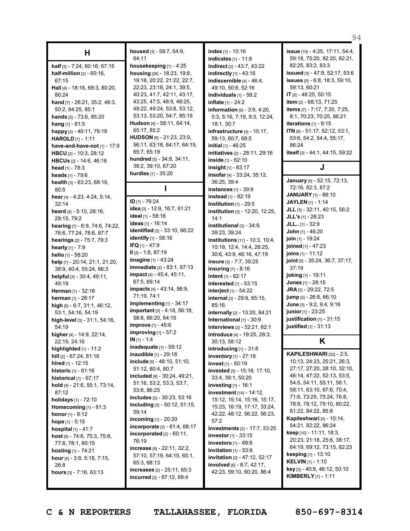| Н                                                     |
|-------------------------------------------------------|
| half [3] - 7:24, 60:16, 67:15                         |
| half-million [2] - 60:16,                             |
| 67:15                                                 |
| Hall [4] - 18:16, 68:3, 80:20,                        |
| 80:24                                                 |
| hand [7] - 26:21, 35:2, 48:3,                         |
| 50:2, 84:25, 85:1                                     |
| hands [2] - 73:6, 85:20                               |
| <b>hang</b> [1] - 81:5                                |
| happy [2] - 40:11, 79:19<br>HAROLD [1] - 1:11         |
| have-and-have-not [1] - 17:9                          |
| <b>HBCU</b> [2] - 10:3, 28:12                         |
| <b>HBCUs</b> [2] - 14:6, 46:16                        |
| head [1] - 78:3                                       |
| <b>heads</b> [1] - 79:6                               |
| health [3] - 63:23, 68:16,                            |
| 80:5                                                  |
| hear [4] - 4:23, 4:24, 5:14,<br>32:14                 |
| heard [4] - 5:10, 28:16,                              |
| 29:15, 79:2                                           |
| hearing [7] - 6:9, 74:6, 74:22,                       |
| 76:6, 77:24, 78:6, 87:7                               |
| hearings [2] - 75:7, 79:3                             |
| hearty [1] - 7:9                                      |
| <b>hello</b> [1] - 58:20                              |
| help [7] - 20:14, 21:1, 21:20,                        |
| 38:9, 40:4, 55:24, 66:3<br>helpful [3] - 30:4, 49:11, |
| 49:19                                                 |
| <b>Herman</b> [1] - 32:18                             |
| herman [1] - 28:17                                    |
| <b>high</b> [6] - 6:7, 31:1, 46:12,                   |
| 53:1, 54:16, 54:19                                    |
| high-level [3] - 31:1, 54:16,                         |
| 54:19                                                 |
| higher [4] - 14:9, 22:14,                             |
| 22:19, 24:16                                          |
| highlighted [1] - 11:2                                |
| hill [2] - 67:24, 81:16                               |
| hired [1] - 12:15                                     |
| historic [1] - 61:16                                  |
| historical [1] - 67:17                                |
| hold [4] - 21:6, 55:1, 73:14,<br>87:12                |
| <b>holidays</b> [1] - 72:10                           |
| Homecoming $[1]$ - 81:3                               |
| <b>honor</b> [1] - 8:12                               |
| hope [1] - 5:15                                       |
| hospital [1] - 41:7                                   |
| host [6] - 74:6, 75:3, 75:8,                          |
| 77:8, 78:1, 80:15                                     |
| hosting [1] - 74:21                                   |
| hour [4] - 3:8, 5:18, 7:15,                           |
| 26:8                                                  |
| hours [3] - 7:16, 63:13                               |

### **housed** [3] - 58:7, 64:9, 64:11

**housekeeping** [1] - 4:25 **housing** [26] - 18:23, 19:8, 19:18, 20:22, 21:22, 22:7, 22:23, 23:18, 24:1, 39:5, 40:23, 41:7, 42:11, 43:17, 43:25, 47:5, 48:9, 48:25, 49:22, 49:24, 53:8, 53:12, 53:13, 53:20, 54:7, 85:19 **Hudson** [4] - 58:11, 64:14, 65:17, 85:2 **HUDSON** [8] - 21:23, 23:9, 56:11, 63:18, 64:17, 64:19, 65:7, 65:19 **hundred** [5] - 34:8, 34:11, 38:2, 39:10, 67:20 **hurdles** [1] - 35:20

# **I**

**ID** [1] - 76:24 **idea** [3] - 12:9, 16:7, 61:21 **ideal** [1] - 58:16 **ideas** [1] - 16:14 **identified** [2] - 33:10, 66:22 **identify** [1] - 58:16 **IFQ** [1] - 47:9 **II** [2] - 1:8, 87:19 **imagine** [1] - 43:24 **immediate** [2] - 83:1, 87:13 **impact** [4] - 45:4, 45:11, 67:5, 69:14 **impacts** [4] - 43:14, 56:9, 71:19, 74:1 **implementing** [1] - 34:17 **important** [5] - 4:18, 56:18, 58:8, 66:20, 84:15 **improve** [1] - 45:6 **improving** [1] - 57:2 **IN** [1] - 1:4 **inadequate** [1] - 59:12 **inaudible** [1] - 29:18 **include** [5] - 48:10, 51:10, 51:12, 80:4, 80:7 **included** [8] - 30:24, 49:21, 51:16, 53:2, 53:3, 53:7, 53:8, 86:25 **includes** [2] - 30:23, 53:16 **including** [3] - 50:12, 51:15, 59:14 **incoming** [1] - 20:20 **incorporate** [2] - 61:4, 68:17 **incorporated** [2] - 60:11, 76:19 **increase** [8] - 22:11, 32:2, 57:10, 57:19, 64:15, 65:1, 65:3, 68:13 **increases** [2] - 25:11, 65:3 **incurred** [2] - 67:12, 69:4

**index** [1] - 10:16 **indicates** [1] - 11:8 **indirect** [2] - 43:7, 43:22 **indirectly** [1] - 43:16 **indiscernible** [4] - 46:4, 49:10, 50:8, 52:16 **individuals** [1] - 58:2 **inflate** [1] - 24:2 **information** [9] - 3:9, 4:20, 5:3, 5:16, 7:19, 9:3, 12:24, 18:1, 30:7 **infrastructure** [4] - 15:17, 59:13, 60:7, 68:5 **initial** [1] - 46:25 **initiatives** [2] - 28:11, 29:16 **inside** [1] - 62:10 **insight** [1] - 83:17 **insofar** [4] - 33:24, 35:12, 36:25, 39:4 **instances** [1] - 39:9 **instead** [1] - 82:19 **Institution** [1] - 29:5 **institution** [3] - 12:20, 12:25, 14:1 **institutional** [3] - 34:9, 39:23, 39:24 **institutions** [11] - 10:3, 10:4, 10:19, 12:4, 14:4, 28:25, 30:6, 43:9, 46:16, 47:19 **insure** [3] - 7:7, 39:25 **insuring** [1] - 8:16 **intent** [1] - 62:17 **interested** [1] - 53:15 **interject** [1] - 54:22 **internal** [3] - 29:9, 85:15, 85:16 **internally** [2] - 13:20, 84:21 **International** [1] - 30:9 **interviews** [2] - 52:21, 82:1 **introduce** [4] - 19:25, 28:3, 30:13, 58:12 **introducing** [1] - 31:6 **inventory** [1] - 27:18 **invest** [1] - 50:19 **invested** [5] - 15:18, 17:10, 33:4, 39:1, 50:20 **investing** [1] - 16:1 **investment** [14] - 14:12, 15:12, 15:14, 15:16, 15:17, 15:23, 16:19, 17:17, 33:24, 42:22, 48:12, 56:22, 56:23, 57:2 **investments** [2] - 17:7, 33:25 **investor** [1] - 33:15 **investors** [1] - 69:6 **Invitation** [1] - 53:6 **invitation** [2] - 47:12, 52:17 **involved** [6] - 8:7, 42:17, 42:23, 59:10, 60:20, 86:4

**issue** [10] - 4:25, 17:11, 54:4, 59:18, 75:20, 82:20, 82:21, 82:25, 83:2, 83:3 **issued** [3] - 47:9, 52:17, 53:6 **issues** [5] - 6:8, 18:3, 59:10, 59:13, 60:21 **IT** [2] - 48:25, 50:15 **item** [2] - 68:13, 71:25 **items** [7] - 7:17, 7:20, 7:25, 8:1, 70:23, 70:25, 86:21 **iterations** [1] - 9:15 **ITN** [8] - 51:17, 52:12, 53:1, 53:6, 54:2, 54:4, 55:17, 86:24 **itself** [3] - 44:1, 44:15, 59:22 **J**

**January** [5] - 52:15, 72:13, 72:16, 82:3, 87:2 **JANUARY** [1] - 88:10 **JAYLEN** [1] - 1:14 **JLL** [3] - 32:11, 40:15, 56:2 **JLL's** [1] - 28:23 **JLL..** [1] - 32:9 **John** [1] - 46:20 **join** [1] - 19:24 **joined** [1] - 47:23 **joins** [1] - 11:12 **joint** [5] - 35:24, 36:7, 37:17, 37:19 **joking** [1] - 19:11 **Jones** [1] - 28:15 **JRA** [2] - 29:22, 72:5 **jump** [2] - 26:8, 66:10 **June** [3] - 9:2, 9:4, 9:16 **junior**[1] - 23:25 **justification** [1] - 31:15 **justified** [1] - 31:13

## **K**

**KAPILESHWARI** [32] - 2:5, 10:13, 24:23, 25:21, 26:3, 27:17, 27:20, 28:10, 32:10, 46:14, 47:22, 52:13, 53:5, 54:5, 54:11, 55:11, 56:1, 58:11, 63:10, 67:6, 70:4, 71:6, 73:25, 75:24, 76:8, 78:9, 78:12, 79:10, 80:22, 81:22, 84:22, 85:8 **Kapileshwari** [4] - 10:14, 54:21, 82:22, 86:24 **keep** [10] - 11:11, 18:3, 20:23, 21:18, 25:6, 38:17, 64:19, 69:12, 73:15, 82:23 **keeping** [1] - 13:10 **KELVIN** [1] - 1:10 **key** [3] - 40:8, 46:12, 50:10 **KIMBERLY** [1] - 1:11

94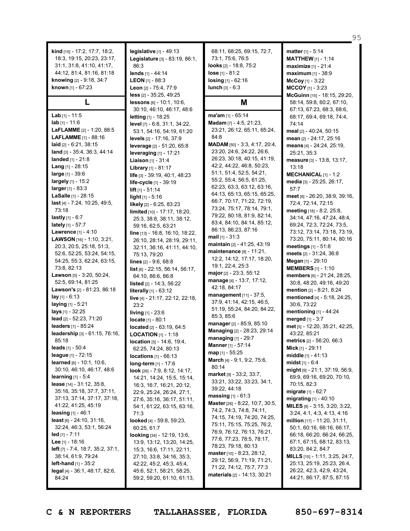**kind** [15] - 17:2, 17:7, 18:2, 18:3, 19:15, 20:23, 23:17, 31:1, 31:8, 41:10, 41:17, 44:12, 81:4, 81:16, 81:18 **knowing** [2] - 9:18, 34:7 **known** [1] - 67:23

## **L**

**Lab** [1] - 11:5 **lab** [1] - 11:6 **LaFLAMME** [2] - 1:20, 88:5 **LAFLAMME** [1] - 88:16 **laid** [2] - 6:21, 38:15 **land** [3] - 35:4, 36:3, 44:14 **landed** [1] - 21:8 **Lang** [1] - 28:15 **large** [1] - 39:6 **largely** [1] - 15:2 **larger** [1] - 83:3 **LaSalle** [1] - 28:15 **last** [4] - 7:24, 10:25, 49:5, 73:18 **lastly** [1] - 6:7 **lately** [1] - 57:7 **Lawrence** [1] - 4:10 **LAWSON** [16] - 1:10, 3:21, 20:3, 20:5, 25:18, 51:3, 52:6, 52:25, 53:24, 54:15, 54:25, 55:3, 62:24, 63:15, 73:8, 82:13 **Lawson** [5] - 3:20, 50:24, 52:5, 69:14, 81:25 **Lawson's** [2] - 81:23, 86:18 **lay** [1] - 6:13 **laying** [1] - 5:21 **lays** [1] - 32:25 **lead** [2] - 52:23, 71:20 **leaders** [1] - 85:24 **leadership** [3] - 61:15, 76:16, 85:18 **leads** [1] - 50:4 **league** [1] - 72:15 **learned** [6] - 10:1, 10:6, 30:10, 46:10, 46:17, 48:6 **learning** [1] - 5:4 **lease** [14] - 31:12, 35:8, 35:16, 35:18, 37:7, 37:11, 37:13, 37:14, 37:17, 37:18, 41:22, 41:25, 45:19 **leasing** [1] - 46:1 **least** [6] - 24:10, 31:16, 32:24, 46:3, 53:1, 56:24 **led** [1] - 7:11 **Lee** [1] - 18:16 **left** [7] - 7:4, 18:7, 35:2, 37:1, 38:14, 61:9, 79:24 **left-hand** [1] - 35:2 **legal** [4] - 36:1, 48:17, 82:6, 84:24

**legislative** [1] - 49:13 **Legislature** [3] - 83:19, 86:1, 86:3 **lends** [1] - 44:14 **LEON** [1] - 88:3 **Leon** [2] - 75:4, 77:9 **less** [2] - 35:25, 49:25 **lessons** [6] - 10:1, 10:6, 30:10, 46:10, 46:17, 48:6 **letting** [1] - 18:25 **level** [7] - 6:8, 31:1, 34:22, 53:1, 54:16, 54:19, 61:20 **levels** [2] - 17:16, 37:9 **leverage** [2] - 51:20, 65:8 **leveraging** [1] - 17:21 **Liaison** [1] - 31:4 **Library** [1] - 81:17 **life** [3] - 39:19, 40:1, 48:23 **life-cycle** [1] - 39:19 **lift** [1] - 51:14 **light** [1] - 5:16 **likely** [2] - 6:25, 83:23 **limited** [10] - 17:17, 18:20, 25:3, 38:8, 38:11, 38:12, 59:16, 62:5, 63:21 **line** [13] - 16:8, 16:10, 18:22, 26:10, 28:14, 28:19, 29:11, 32:11, 36:16, 41:11, 44:10, 75:13, 79:20 **lines** [2] - 9:6, 68:8 **list** [6] - 22:15, 56:14, 56:17, 64:10, 86:6, 86:8 **listed** [2] - 14:3, 56:22 **literally** [1] - 63:12 **live** [4] - 21:17, 22:12, 22:18, 23:2 **living** [1] - 23:6 **locate** [1] - 80:1 **located** [2] - 63:19, 64:5 **LOCATION** [1] - 1:18 **location** [5] - 14:6, 19:4, 62:25, 74:24, 80:13 **locations** [1] - 66:13 **long-term** [1] - 17:6 **look** [26] - 7:9, 8:12, 14:17, 14:21, 14:24, 15:5, 15:14, 16:3, 16:7, 16:21, 20:12, 22:9, 25:24, 26:24, 27:1, 27:6, 35:16, 36:17, 51:11, 54:1, 61:22, 63:15, 63:16, 71:3 **looked** [4] - 59:8, 59:23, 60:25, 61:7 **looking** [34] - 12:19, 13:6, 13:9, 13:12, 13:20, 14:25, 15:3, 16:6, 17:11, 22:11, 27:10, 33:8, 34:16, 35:3, 42:22, 45:2, 45:3, 45:4, 45:6, 52:1, 58:21, 58:25, 59:2, 59:20, 61:10, 61:13,

68:11, 68:25, 69:15, 72:7, 73:1, 75:6, 76:5 **looks** [2] - 18:8, 75:2 **lose** [1] - 81:2 **losing** [1] - 62:16 **lunch** [3] - 6:3

**M**

**ma'am** [1] - 65:14 **Madam** [7] - 4:5, 21:23, 23:21, 26:12, 65:11, 65:24, 84:8 **MADAM** [50] - 3:3, 4:17, 20:4, 23:20, 24:6, 24:22, 26:6, 26:23, 30:18, 40:15, 41:19, 42:2, 44:22, 46:8, 50:23, 51:1, 51:4, 52:5, 54:21, 55:2, 55:4, 56:5, 61:25, 62:23, 63:3, 63:12, 63:16, 64:13, 65:13, 65:15, 65:25, 66:7, 70:17, 71:22, 72:19, 73:24, 75:17, 78:14, 79:1, 79:22, 80:18, 81:9, 82:14, 83:4, 84:10, 84:14, 85:12, 86:13, 86:23, 87:16 **mail** [1] - 31:3 **maintain** [2] - 41:25, 43:19 **maintenance** [8] - 11:21, 12:2, 14:12, 17:17, 18:20, 19:1, 22:4, 25:3 **major** [2] - 23:3, 55:12 **manage** [4] - 13:7, 17:12, 42:18, 84:17 **management** [11] - 37:5, 37:9, 41:14, 42:15, 46:5, 51:19, 55:24, 84:20, 84:22, 85:3, 85:6 **manager** [2] - 85:9, 85:10 **Managing** [2] - 28:23, 29:14 **managing** [1] - 29:7 **Manner** [1] - 57:14 **map** [1] - 55:25 **March** [4] - 9:1, 9:2, 75:6, 80:14 **market** [9] - 33:2, 33:7, 33:21, 33:22, 33:23, 34:1, 39:22, 44:18 **massing** [1] - 61:3 **Master** [26] - 8:22, 10:7, 30:5, 74:2, 74:3, 74:8, 74:11, 74:15, 74:19, 74:20, 74:25, 75:11, 75:15, 75:25, 76:2, 76:9, 76:12, 76:13, 76:21, 77:6, 77:23, 78:5, 78:17, 78:23, 79:18, 80:13 **master** [10] - 8:23, 28:12, 29:12, 56:9, 71:19, 71:21, 71:22, 74:12, 75:7, 77:3 **materials** [2] - 14:13, 30:21

**matter** [1] - 5:14 **MATTHEW** [1] - 1:14 **maximize** [1] - 21:4 **maximum** [1] - 38:9 **McCoy** [1] - 3:22 **MCCOY** [1] - 3:23 **McGuinn** [15] - 18:15, 29:20, 58:14, 59:8, 60:2, 67:10, 67:13, 67:23, 68:3, 68:6, 68:17, 69:4, 69:18, 74:4, 74:14 **meal** [2] - 40:24, 50:15 **mean** [2] - 24:17, 25:16 **means** [4] - 24:24, 25:19, 25:21, 35:3 **measure** [3] - 13:8, 13:17, 13:18 **MECHANICAL** [1] - 1:2 **media** [3] - 25:25, 26:17, 57:7 **meet** [6] - 26:20, 38:9, 39:16, 72:4, 72:14, 72:15 **meeting** [18] - 8:2, 25:8, 34:14, 47:16, 47:24, 48:4, 69:24, 72:3, 72:24, 73:5, 73:12, 73:14, 73:18, 73:19, 73:20, 75:11, 80:14, 80:16 **meetings** [1] - 51:8 **meets** [2] - 31:24, 36:8 **Megan** [1] - 29:10 **MEMBERS** [1] - 1:10 **members** [6] - 21:24, 28:25, 30:8, 48:20, 49:16, 49:20 **mention** [2] - 8:21, 8:24 **mentioned** [4] - 5:18, 24:25, 30:6, 73:22 **mentioning** [1] - 44:24 **merged** [1] - 3:7 **met** [5] - 12:20, 35:21, 42:25, 43:22, 85:21 **metrics** [2] - 56:20, 66:3 **Mick** [1] - 29:11 **middle** [1] - 41:13 **midst** [1] - 6:4 **might** [9] - 21:1, 37:19, 56:9, 69:9, 69:16, 69:20, 70:10, 70:15, 82:3 **migrate** [1] - 62:7 **migrating** [1] - 40:10 **MILES** [8] - 3:15, 3:20, 3:22, 3:24, 4:1, 4:3, 4:13, 4:16 **million** [17] - 11:20, 31:11, 50:1, 60:16, 66:16, 66:17, 66:18, 66:20, 66:24, 66:25, 67:1, 67:15, 68:12, 83:13, 83:20, 84:2, 84:7 **MILLS** [15] - 1:11, 3:25, 24:7, 25:13, 25:19, 25:23, 26:4, 26:22, 42:3, 42:9, 43:24,

95

**C & N REPORTERS TALLAHASSEE, FLORIDA 850-697-8314**

44:21, 86:17, 87:5, 87:15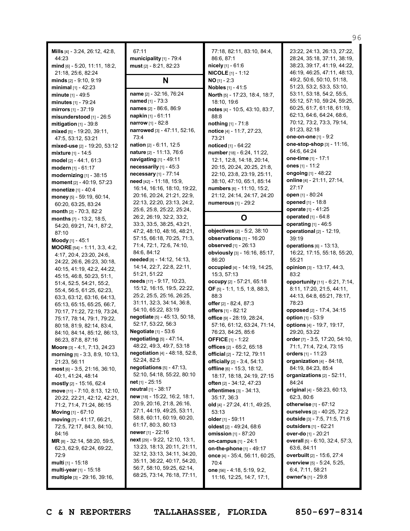**Mills** [4] - 3:24, 26:12, 42:8, 44:23 **mind** [6] - 5:20, 11:11, 18:2, 21:18, 25:6, 82:24 **minds** [2] - 9:10, 9:19 **minimal** [1] - 42:23 **minute** [1] - 49:5 **minutes** [1] - 79:24 **mirrors** [1] - 37:19 **misunderstood** [1] - 26:5 **mitigation** [1] - 39:8 **mixed** [5] - 19:20, 39:11, 47:5, 53:12, 53:21 **mixed-use** [2] - 19:20, 53:12 **mixture** [1] - 14:5 **model** [2] - 44:1, 61:3 **modern** [1] - 61:17 **modernizing** [1] - 38:15 **moment** [2] - 40:19, 57:23 **monetize** [1] - 40:4 **money** [5] - 59:19, 60:14, 60:20, 63:25, 83:24 **month** [2] - 70:3, 82:2 **months** [7] - 13:2, 18:5, 54:20, 69:21, 74:1, 87:2, 87:10 **Moody** [1] - 45:1 **MOORE** [54] - 1:11, 3:3, 4:2, 4:17, 20:4, 23:20, 24:6, 24:22, 26:6, 26:23, 30:18, 40:15, 41:19, 42:2, 44:22, 45:15, 46:8, 50:23, 51:1, 51:4, 52:5, 54:21, 55:2, 55:4, 56:5, 61:25, 62:23, 63:3, 63:12, 63:16, 64:13, 65:13, 65:15, 65:25, 66:7, 70:17, 71:22, 72:19, 73:24, 75:17, 78:14, 79:1, 79:22, 80:18, 81:9, 82:14, 83:4, 84:10, 84:14, 85:12, 86:13, 86:23, 87:8, 87:16 **Moore** [3] - 4:1, 7:13, 24:23 **morning** [5] - 3:3, 8:9, 10:13, 21:23, 56:11 **most** [6] - 3:5, 21:16, 36:10, 40:1, 41:24, 48:14 **mostly** [2] - 15:16, 62:4 **move** [11] - 7:10, 8:13, 12:10, 20:22, 22:21, 42:12, 42:21, 71:2, 71:4, 71:24, 86:15 **Moving** [1] - 67:10 **moving** [7] - 41:17, 66:21, 72:5, 72:17, 84:3, 84:10, 84:16 **MR** [8] - 32:14, 58:20, 59:5, 62:3, 62:9, 62:24, 69:22, 72:9 **multi** [1] - 15:18 **multi-year** [1] - 15:18 **multiple** [3] - 29:16, 39:16,

67:11 **municipality** [1] - 79:4 **must** [2] - 8:21, 82:23

### **N**

**name** [2] - 32:16, 76:24 **named** [1] - 73:3 **names** [2] - 86:6, 86:9 **napkin** [1] - 61:11 **narrow** [1] - 82:8 **narrowed** [3] - 47:11, 52:16, 73:4 **nation** [2] - 6:11, 12:5 **nature** [2] - 11:13, 76:6 **navigating** [1] - 49:11 **necessarily** [1] - 45:3 **necessary** [1] - 77:14 **need** [42] - 11:18, 15:9, 16:14, 16:16, 18:10, 19:22, 20:16, 20:24, 21:21, 22:9, 22:13, 22:20, 23:13, 24:2, 25:6, 25:8, 25:22, 25:24, 26:2, 26:19, 32:2, 33:2, 33:3, 33:5, 38:25, 43:21, 47:2, 48:10, 48:16, 48:21, 57:15, 66:18, 70:25, 71:3, 71:4, 72:1, 72:6, 74:10, 84:6, 84:12 **needed** [8] - 14:12, 14:13, 14:14, 22:7, 22:8, 22:11, 51:21, 51:22 **needs** [17] - 9:17, 10:23, 15:12, 16:15, 19:5, 22:22, 25:2, 25:5, 25:16, 26:25, 31:11, 32:3, 34:14, 36:8, 54:10, 65:22, 83:19 **negotiate** [5] - 45:13, 50:18, 52:17, 53:22, 56:3 **Negotiate** [1] - 53:6 **negotiating** [5] - 47:14, 48:22, 49:3, 49:7, 53:18 **negotiation** [4] - 48:18, 52:8, 52:24, 82:5 **negotiations** [5] - 47:13, 52:10, 54:18, 55:22, 80:10 **net** [1] - 25:15 **neutral** [1] - 38:17 **new** [18] - 15:22, 16:2, 18:1, 20:9, 20:16, 21:8, 26:16, 27:1, 44:19, 49:25, 53:11, 58:8, 60:11, 60:19, 60:20, 61:17, 80:3, 80:13 **newer** [1] - 22:16 **next** [29] - 9:22, 12:10, 13:1, 13:23, 18:13, 20:11, 21:11, 32:12, 33:13, 34:11, 34:20, 35:11, 36:22, 40:17, 54:20, 56:7, 58:10, 59:25, 62:14, 68:25, 73:14, 76:18, 77:11,

77:18, 82:11, 83:10, 84:4, 86:6, 87:1 **nicely** [1] - 61:6 **NICOLE** [1] - 1:12 **NO** [1] - 2:3 **Nobles** [1] - 41:5 **North** [5] - 17:23, 18:4, 18:7, 18:10, 19:6 **notes** [4] - 10:5, 43:10, 83:7, 88:8 **nothing** [1] - 71:8 **notice** [4] - 11:7, 27:23, 73:21 **noticed** [1] - 64:22 **number** [18] - 6:24, 11:22, 12:1, 12:8, 14:18, 20:14, 20:15, 20:24, 20:25, 21:8, 22:10, 23:8, 23:19, 25:11, 38:10, 47:10, 65:1, 85:14 **numbers** [6] - 11:10, 15:2, 21:12, 24:14, 24:17, 24:20 **numerous** [1] - 29:2

### **O**

**objectives** [2] - 5:2, 38:10 **observations** [1] - 16:20 **observed** [1] - 26:13 **obviously** [3] - 16:16, 85:17, 86:20 **occupied** [4] - 14:19, 14:25, 15:3, 57:13 **occupy** [2] - 57:21, 65:18 **OF** [5] - 1:1, 1:5, 1:8, 88:3, 88:3 **offer** [2] - 82:4, 87:3 **offers** [1] - 82:12 **office** [9] - 28:19, 28:24, 57:16, 61:12, 63:24, 71:14, 76:23, 84:25, 85:6 **OFFICE** [1] - 1:22 **offices** [2] - 65:2, 65:18 **official** [2] - 72:12, 79:11 **officially** [2] - 3:4, 54:13 **offline** [6] - 15:3, 18:12, 18:17, 18:18, 24:19, 27:15 **often** [2] - 34:12, 47:23 **oftentimes** [3] - 34:13, 35:17, 36:3 **old** [4] - 27:24, 41:1, 49:25, 53:13 **older** [1] - 59:11 **oldest** [2] - 49:24, 68:6 **omission** [1] - 87:20 **on-campus** [1] - 24:1 **on-the-phone** [1] - 49:17 **once** [4] - 35:4, 56:11, 60:25, 70:4 **one** [56] - 4:18, 5:19, 9:2, 11:16, 12:25, 14:7, 17:1,

23:22, 24:13, 26:13, 27:22, 28:24, 35:18, 37:11, 38:19, 38:23, 39:17, 41:19, 44:22, 46:19, 46:25, 47:11, 48:13, 49:2, 50:6, 50:10, 51:18, 51:23, 53:2, 53:3, 53:10, 53:11, 53:18, 54:2, 55:5, 55:12, 57:10, 59:24, 59:25, 60:25, 61:7, 61:18, 61:19, 62:13, 64:6, 64:24, 68:6, 70:12, 73:2, 73:3, 79:14, 81:23, 82:18 **one-on-one** [1] - 9:2 **one-stop-shop** [3] - 11:16, 64:6, 64:24 **one-time** [1] - 17:1 **ones** [1] - 11:2 **ongoing** [1] - 48:22 **online** [4] - 21:11, 27:14, 27:17 **open** [1] - 80:24 **opened** [1] - 18:8 **operate** [1] - 41:25 **operated** [1] - 64:8 **operating** [1] - 46:5 **operational** [2] - 12:19, 39:19 **operations** [6] - 13:13, 16:22, 17:15, 55:18, 55:20, 55:21 **opinion** [3] - 13:17, 44:3, 83:2 **opportunity** [11] - 6:21, 7:14, 8:11, 17:20, 21:5, 44:11, 44:13, 64:8, 65:21, 78:17, 78:23 **opposed** [2] - 17:4, 34:15 **option** [1] - 53:9 **options** [4] - 19:7, 19:17, 29:20, 53:22 **order** [7] - 3:5, 17:20, 54:10, 71:1, 71:4, 72:4, 73:15 **orders** [1] - 11:23 **organization** [4] - 84:18, 84:19, 84:23, 85:4 **organizations** [2] - 52:11, 84:24 **original** [4] - 58:23, 60:13, 62:3, 80:6 **otherwise** [1] - 67:12 **ourselves** [2] - 40:25, 72:2 **outside** [3] - 7:5, 71:5, 71:6 **outsiders** [1] - 62:21 **over-do** [1] - 20:21 **overall** [5] - 6:10, 32:4, 57:3, 63:6, 84:11 **overbuilt** [2] - 15:6, 27:4 **overview** [5] - 5:24, 5:25, 6:4, 7:11, 58:21

96

**C & N REPORTERS TALLAHASSEE, FLORIDA 850-697-8314**

**owner's** [1] - 29:8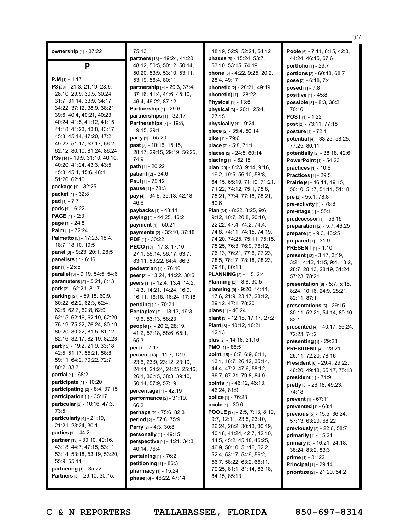| ownership [1] - 37:22                                      | 75<br>part |
|------------------------------------------------------------|------------|
| Ρ                                                          | 48:        |
| <b>P.M</b> [1] - 1:17                                      | 50:<br>53. |
| P3 [39] - 21:3, 21:19, 28:9,                               | part       |
| 28:10, 29:9, 30:5, 30:24,                                  | 37         |
| 31:7, 31:14, 33:9, 34:17,                                  | 46:        |
| 34:22, 37:12, 38:9, 38:21,                                 | Part       |
| 39:6, 40:4, 40:21, 40:23,                                  | part       |
| 40:24, 41:5, 41:12, 41:15,                                 | Part       |
| 41:18, 41:23, 43:8, 43:17,                                 | 19:        |
| 45:8, 45:14, 47:20, 47:21,                                 | part       |
| 49:22, 51:17, 53:17, 56:2,                                 | past       |
| 62:12, 80:10, 81:24, 86:24                                 | 28         |
| P3s [14] - 19:9, 31:10, 40:10,                             | 74:        |
| 40:20, 41:24, 43:3, 43:5,                                  | path       |
| 45:3, 45:4, 45:6, 48:1,                                    | pati       |
| 51:20, 62:10                                               | Pau        |
| package [1] - 32:25                                        | pau        |
| packet [1] - 32:8                                          | pay        |
| pad [1] - 7:7                                              | 46:        |
| pads $[1] - 6:22$                                          | payl       |
| PAGE [1] - 2:3                                             | payi       |
| page [1] - 24:8                                            | рауі       |
| Palm [1] - 72:24                                           | payı       |
| Palmetto [5] - 17:23, 18:4,                                | PDF        |
| 18:7, 18:10, 19:5                                          | PEC        |
| panel [3] - 9:23, 20:1, 28:5                               | 27         |
| <b>panelists</b> $[1] - 6:16$                              | 83:        |
| par [1] - 25:5                                             | ped        |
| parallel [3] - 9:19, 54:5, 54:6                            | pee        |
| parameters [2] - 5:21, 6:13                                | peel       |
| park [2] - 62:21, 81:7                                     | 14.        |
| parking [27] - 59:18, 60:9,                                | 16:        |
| 60:22, 62:2, 62:3, 62:4,                                   | pen        |
| 62:6, 62:7, 62:8, 62:9,                                    | Pen        |
| 62:15, 62:16, 62:19, 62:20,<br>75:19, 75:22, 76:24, 80:19, | 19:        |
| 80:20, 80:22, 81:5, 81:12,                                 | peo        |
| 82:16, 82:17, 82:19, 82:23                                 | 41         |
| part [13] - 19:2, 21:9, 33:18,                             | 65         |
| 42:5, 51:17, 55:21, 58:8,                                  | per        |
| 59:11, 64:2, 70:22, 72:7,                                  | pero       |
| 80:2, 83:3                                                 | 23:<br>24: |
| <b>partial</b> $[1]$ - 68:2                                | 26:        |
| participate [1] - 10:20                                    | 50         |
| <b>participating</b> $[2] - 8:4, 37:15$                    | pero       |
| participation $[1]$ - 35:17                                | perf       |
| particular [3] - 10:16, 47:3,                              | 66:        |
| 73:5                                                       | perl       |
| particularly $[4]$ - 21:19,                                | peri       |
| 21:21, 23:24, 30:1                                         | Perr       |
| <b>parties</b> [1] - 44:2                                  | pers       |
| partner [13] - 30:10, 40:16,                               | pers       |
| 43:18, 44:7, 47:15, 53:11,                                 | 40:        |
| 53:14, 53:18, 53:19, 53:20,                                | pert       |
| 55:9, 55:11                                                | peti       |
| partnering [1] - 35:22                                     | pha        |
| Partners [3] - 29:10, 30:15,                               | pha:       |

 $.13$ **partners** [13] - 19:24, 41:20, 48:12, 50:5, 50:12, 50:14, 50:20, 53:9, 53:10, 53:11, 53:19, 56:4, 80:11 **partnership** [9] - 29:3, 37:4, 37:16, 41:4, 44:6, 45:10, 46:4, 46:22, 87:12 **Partnership** [1] - 29:6 **partnerships** [1] - 32:17 **Partnerships** [3] - 19:8, 19:15, 29:1 **party** [1] - 55:20 **past** [7] - 10:16, 15:15, 28:17, 29:15, 29:19, 56:25, 74:9 **path** [1] - 20:22 **patient** [2] - 34:6 **Paul** [1] - 75:12 **pause** [1] - 78:3 **pay** [4] - 34:6, 35:13, 42:18,  $\cdot$  6 **paybacks** [1] - 48:11 **paying** [2] - 44:25, 46:2 **payment** [1] - 50:21 **payments** [2] - 35:10, 37:18 **PDF** [1] - 30:22 **PECO** [10] - 17:3, 17:10, 27:1, 56:14, 56:17, 63:7, 83:11, 83:22, 84:4, 86:3 **pedestrian** [1] - 76:10 **peer** [3] - 13:24, 14:22, 30:6 **peers** [11] - 12:4, 13:4, 14:2, 14:3, 14:21, 14:24, 16:9, 16:11, 16:18, 16:24, 17:18 **pending** [1] - 70:21 **Pentaplex** [5] - 18:13, 19:3, 19:6, 53:13, 58:23 **people** [7] - 20:2, 28:19, 41:2, 57:18, 58:6, 65:1,  $\cdot$ 3 **per** [1] - 7:17 **percent** [18] - 11:7, 12:9, 23:6, 23:9, 23:12, 23:19, 24:11, 24:24, 24:25, 25:16, 26:1, 36:15, 38:3, 39:10, 50:14, 57:9, 57:19 **percentage** [1] - 42:19 **performance** [2] - 31:19,  $2^{\circ}$ **perhaps** [2] - 75:6, 82:3 **period** [2] - 57:8, 75:9 **Perry** [2] - 4:3, 30:8 **personally** [1] - 49:15 **perspective** [4] - 4:21, 34:3,  $14.76:4$ **pertaining** [1] - 76:2 **petitioning** [1] - 86:3 **pharmacy** [1] - 15:24 **phase** [6] - 46:22, 47:14,

48:19, 52:9, 52:24, 54:12 **phases** [5] - 15:24, 53:7, 53:10, 53:15, 74:19 **phone** [5] - 4:22, 9:25, 20:2, 28:4, 49:17 **phonetic** [2] - 28:21, 49:19 **phonetic)** [1] - 28:22 **Physical** [1] - 13:6 **physical** [3] - 20:1, 25:4, 27:15 **physically** [1] - 9:24 **piece** [2] - 35:4, 50:14 **pike** [1] - 79:6 **place** [2] - 5:8, 71:1 **places** [2] - 24:5, 60:14 **placing** [1] - 62:15 **plan** [20] - 8:23, 9:14, 9:16, 19:2, 19:5, 56:10, 58:8, 64:15, 65:19, 71:19, 71:21, 71:22, 74:12, 75:1, 75:8, 75:21, 77:4, 77:18, 78:21, 80:6 **Plan** [34] - 8:22, 8:25, 9:6, 9:12, 10:7, 20:8, 20:10, 22:22, 47:4, 74:2, 74:4, 74:8, 74:11, 74:15, 74:19, 74:20, 74:25, 75:11, 75:15, 75:25, 76:3, 76:9, 76:12, 76:13, 76:21, 77:6, 77:23, 78:5, 78:17, 78:18, 78:23, 79:18, 80:13 **PLANNING** [2] - 1:5, 2:4 **Planning** [2] - 8:8, 30:5 **planning** [9] - 9:20, 14:14, 17:6, 21:9, 23:17, 28:12, 29:12, 47:1, 78:20 **plans** [1] - 40:24 **plant** [3] - 12:18, 17:17, 27:2 **Plant** [3] - 10:12, 10:21, 12:13 **plus** [2] - 14:18, 21:16 **PMO** [1] - 85:5 **point** [15] - 6:7, 6:9, 6:11, 13:1, 16:7, 26:12, 35:14, 44:4, 47:2, 47:6, 58:12, 66:7, 67:21, 79:8, 84:9 **points** [4] - 46:12, 46:13, 46:24, 81:9 **police** [1] - 76:23 **poole** [1] - 30:6 **POOLE** [37] - 2:5, 7:13, 8:19, 9:7, 12:11, 23:5, 23:10, 26:24, 28:2, 30:13, 30:19, 40:18, 41:24, 42:7, 42:10, 44:5, 45:2, 45:18, 45:25, 46:9, 50:10, 51:16, 52:2, 52:4, 53:17, 54:9, 56:2, 56:7, 58:22, 63:2, 66:11, 79:25, 81:1, 81:14, 83:18, 84:15, 85:13

**Poole** [6] - 7:11, 8:15, 42:3, 44:24, 46:15, 67:6 **portfolio** [1] - 29:7 **portions** [2] - 60:18, 68:7 **pose** [2] - 6:18, 7:4 **posed** [1] - 7:8 **positive** [1] - 45:8 **possible** [3] - 8:3, 36:2, 70:16 **POST** [1] - 1:22 **post** [2] - 73:11, 77:18 **posture** [1] - 72:1 **potential** [4] - 33:25, 58:25, 77:25, 80:11 **potentially** [2] - 38:18, 42:6 **PowerPoint** [1] - 54:23 **practices** [1] - 10:6 **Practices** [1] - 29:5 **Prairie** [6] - 46:11, 49:15, 50:10, 51:7, 51:11, 51:18 **pre** [2] - 55:1, 78:8 **pre-activity** [1] - 78:8 **pre-stage** [1] - 55:1 **predecessor**[1] - 56:15 **preparation** [2] - 5:7, 46:25 **prepare** [2] - 9:3, 40:25 **prepared** [1] - 31:9 **PRESENT** [1] - 1:10 **present** [13] - 3:17, 3:19, 3:21, 4:12, 4:15, 9:4, 13:2, 28:7, 28:13, 28:19, 31:24, 57:23, 78:21 **presentation** [8] - 5:7, 5:15, 8:24, 10:16, 24:9, 28:21, 82:11, 87:1 **presentations** [6] - 29:15, 30:11, 52:21, 54:14, 80:10, 82:1 **presented** [4] - 40:17, 56:24, 72:23, 74:2 **presenting** [1] - 29:23 **PRESIDENT** [4] - 23:21, 26:11, 72:20, 78:16 **President** [6] - 29:4, 29:22, 46:20, 49:18, 65:17, 75:13 **president** [1] - 71:9 **pretty** [3] - 26:18, 49:23, 74:18 **prevent** [1] - 67:11 **prevented** [1] - 68:4 **previous** [5] - 15:5, 36:24, 57:13, 63:20, 68:22 **previously** [2] - 22:6, 58:7 **primarily** [1] - 15:21 **primary** [5] - 16:21, 24:18, 38:24, 83:2, 83:3 **prime** [1] - 31:22 **Principal** [1] - 29:14 **prioritize** [2] - 21:20, 54:2

97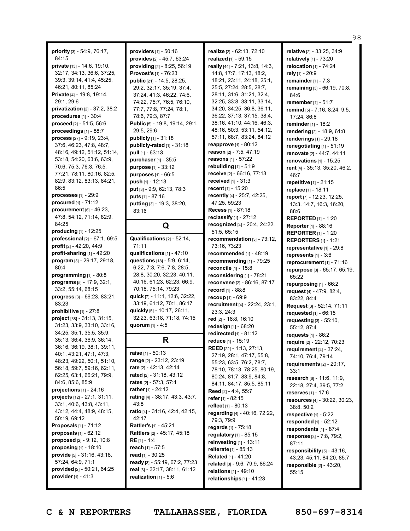**priority** [3] - 54:9, 76:17, 84:15 **private** [13] - 14:6, 19:10, 32:17, 34:13, 36:6, 37:25, 39:3, 39:14, 41:4, 45:25, 46:21, 80:11, 85:24 **Private** [4] - 19:8, 19:14, 29:1, 29:6 **privatization** [2] - 37:2, 38:2 **procedures** [1] - 30:4 **proceed** [2] - 51:5, 56:6 **proceedings** [1] - 88:7 **process** [27] - 9:19, 23:4, 37:6, 46:23, 47:8, 48:7, 48:16, 49:12, 51:12, 51:14, 53:18, 54:20, 63:6, 63:9, 70:6, 75:3, 76:3, 76:5, 77:21, 78:11, 80:16, 82:5, 82:9, 83:12, 83:13, 84:21, 86:5 **processes** [1] - 29:9 **procured** [1] - 71:12 **procurement** [6] - 46:23, 47:8, 54:12, 71:14, 82:9, 84:25 **producing** [1] - 12:25 **professional** [2] - 67:1, 69:5 **profit** [2] - 42:20, 44:9 **profit-sharing** [1] - 42:20 **program** [3] - 29:17, 29:18, 80:4 **programming** [1] - 80:8 **programs** [5] - 17:9, 32:1, 33:2, 55:14, 68:15 **progress** [3] - 66:23, 83:21, 83:23 **prohibitive** [1] - 27:8 **project** [38] - 31:13, 31:15, 31:23, 33:9, 33:10, 33:16, 34:25, 35:1, 35:5, 35:9, 35:13, 36:4, 36:9, 36:14, 36:16, 36:19, 38:1, 39:11, 40:1, 43:21, 47:1, 47:3, 48:23, 49:22, 50:1, 51:10, 56:18, 59:7, 59:16, 62:11, 62:25, 63:1, 66:21, 79:9, 84:6, 85:6, 85:9 **projections** [1] - 24:16 **projects** [12] - 27:1, 31:11, 33:1, 40:6, 43:8, 43:11, 43:12, 44:4, 48:9, 48:15, 50:19, 69:12 **Proposals** [1] - 71:12 **proposals** [1] - 62:12 **proposed** [2] - 9:12, 10:8 **proposing** [1] - 18:10 **provide** [5] - 31:16, 43:18, 57:24, 64:9, 71:1 **provided** [2] - 50:21, 64:25 **provider**[1] - 41:3

**providers** [1] - 50:16 **provides** [2] - 45:7, 63:24 **providing** [2] - 8:25, 56:19 **Provost's** [1] - 76:23 **public** [21] - 14:5, 28:25, 29:2, 32:17, 35:19, 37:4, 37:24, 41:3, 46:22, 74:6, 74:22, 75:7, 76:5, 76:10, 77:7, 77:8, 77:24, 78:1, 78:6, 79:3, 87:7 **Public** [5] - 19:8, 19:14, 29:1, 29:5, 29:6 **publicly** [1] - 31:18 **publicly-rated** [1] - 31:18 **pull** [1] - 63:13 **purchaser** [1] - 35:5 **purpose** [1] - 33:12 **purposes** [1] - 66:5 **push** [1] - 12:13 **put** [3] - 9:9, 62:13, 78:3 **puts** [1] - 87:16 **putting** [3] - 19:3, 38:20, 83:16

# **Q**

**Qualifications** [2] - 52:14, 71:11 **qualifications** [1] - 47:10 **questions** [18] - 5:9, 6:14, 6:22, 7:3, 7:6, 7:8, 28:5, 28:8, 30:20, 32:23, 40:11, 40:16, 61:23, 62:23, 66:9, 70:18, 75:14, 79:23 **quick** [7] - 11:1, 12:6, 32:22, 33:19, 61:12, 70:1, 86:17 **quickly** [6] - 10:17, 26:11, 32:23, 63:18, 71:18, 74:15 **quorum** [1] - 4:5

## **R**

**raise** [1] - 50:13 **range** [2] - 23:12, 23:19 **rate** [2] - 42:13, 42:14 **rated** [2] - 31:18, 43:12 **rates** [2] - 57:3, 57:4 **rather** [1] - 24:12 **rating** [4] - 38:17, 43:3, 43:7, 43:8 **ratio** [4] - 31:16, 42:4, 42:15,  $42.17$ **Rattler's** [1] - 45:21 **Rattlers** [2] - 45:17, 45:18 **RE** [1] - 1:4 **reach** [1] - 57:5 **read** [1] - 30:25 **ready** [3] - 55:19, 67:2, 77:23 **real** [3] - 32:17, 38:11, 61:12 **realization** [1] - 5:6

**realize** [2] - 62:13, 72:10 **realized** [1] - 59:15 **really** [44] - 7:21, 13:8, 14:3, 14:8, 17:7, 17:13, 18:2, 18:21, 23:11, 24:18, 25:1, 25:5, 27:24, 28:5, 28:7, 28:11, 31:6, 31:21, 32:4, 32:25, 33:8, 33:11, 33:14, 34:20, 34:25, 36:8, 36:11, 36:22, 37:13, 37:15, 38:4, 38:16, 41:10, 44:16, 46:3, 48:16, 50:3, 53:11, 54:12, 57:11, 68:7, 83:24, 84:12 **reapprove** [1] - 80:12 **reason** [2] - 7:5, 47:19 **reasons** [1] - 57:22 **rebuilding** [1] - 51:9 **receive** [2] - 66:16, 77:13 **received** [1] - 31:3 **recent** [1] - 15:20 **recently** [4] - 25:7, 42:25, 47:25, 59:23 **Recess** [1] - 87:18 **reclassify** [1] - 27:12 **recognized** [4] - 20:4, 24:22, 51:5, 65:15 **recommendation** [3] - 73:12, 73:16, 73:23 **recommended** [1] - 48:19 **recommending** [1] - 79:25 **reconcile** [1] - 15:8 **reconsidering** [1] - 78:21 **reconvene** [2] - 86:16, 87:17 **record** [1] - 88:8 **recoup** [1] - 69:9 **recruitment** [4] - 22:24, 23:1, 23:3, 24:3 **red** [2] - 16:8, 16:10 **redesign** [1] - 68:20 **redirected** [1] - 81:12 **reduce** [1] - 15:19 **REED** [22] - 1:13, 27:13, 27:19, 28:1, 47:17, 55:8, 55:23, 63:5, 76:2, 78:7, 78:10, 78:13, 78:25, 80:19, 80:24, 81:7, 83:9, 84:8, 84:11, 84:17, 85:5, 85:11 **Reed** [2] - 4:4, 55:7 **refer** [1] - 82:15 **reflect** [1] - 80:13 **regarding** [4] - 40:16, 72:22, 79:3, 79:9 **regards** [1] - 75:18 **regulatory** [1] - 85:15 **reinvesting** [1] - 13:11 **reiterate** [1] - 85:13 **Related** [1] - 41:20 **related** [3] - 9:6, 79:9, 86:24 **relations** [1] - 49:10 **relationships** [1] - 41:23

**relative** [2] - 33:25, 34:9 **relatively** [1] - 73:20 **relocation** [1] - 74:24 **rely** [1] - 20:9 **remainder** [1] - 7:3 **remaining** [3] - 66:19, 70:8, 84:6 **remember** [1] - 51:7 **remind** [5] - 7:16, 8:24, 9:5, 17:24, 86:8 **reminder** [1] - 18:2 **rendering** [2] - 18:9, 61:8 **renderings** [1] - 29:18 **renegotiating** [1] - 51:19 **renovate** [2] - 44:7, 44:11 **renovations** [1] - 15:25 **rent** [4] - 35:13, 35:20, 46:2, 46:7 **repetitive** [1] - 21:15 **replace** [1] - 18:11 **report** [7] - 12:23, 12:25, 13:3, 14:7, 16:3, 16:20, 88:6 **REPORTED** [1] - 1:20 **Reporter** [1] - 88:16 **REPORTER** [1] - 1:20 **REPORTERS** [1] - 1:21 **representative** [1] - 29:8 **represents** [1] - 3:6 **reprocurement** [1] - 71:16 **repurpose** [3] - 65:17, 65:19, 65:22 **repurposing** [1] - 66:2 **request** [4] - 47:9, 82:4, 83:22, 84:4 **Request** [3] - 52:14, 71:11 **requested** [1] - 66:15 **requesting** [3] - 55:10, 55:12, 87:4 **requests** [1] - 86:2 **require** [2] - 22:12, 70:23 **requirement** [4] - 37:24, 74:10, 76:4, 79:14 **requirements** [2] - 20:17, 33:1 **research** [6] - 11:6, 11:9, 22:18, 27:4, 39:5, 77:2 **reserves** [1] - 17:6 **resources** [4] - 30:22, 30:23, 38:8, 50:2 **respective** [1] - 5:22 **responded** [1] - 52:12 **respondents** [1] - 87:4 **response** [3] - 7:8, 79:2, 87:11 **responsibility** [5] - 43:16, 43:23, 45:11, 84:20, 85:7 **responsible** [2] - 43:20, 55:15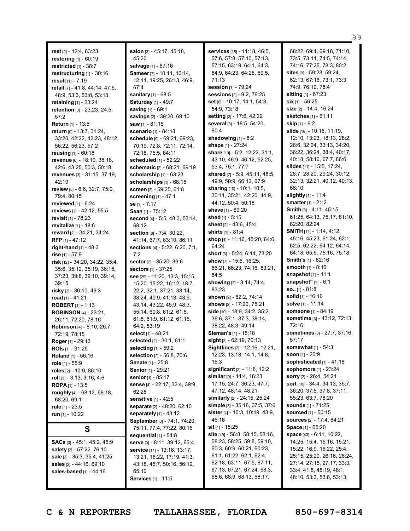**rest** [2] - 12:4, 83:23 **restoring** [1] - 60:19 **restricted** [1] - 38:7 **restructuring** [1] - 30:16 **result** [1] - 7:19 **retail** [7] - 41:8, 44:14, 47:5, 48:9, 53:3, 53:8, 53:13 **retaining** [1] - 23:24 **retention** [3] - 23:23, 24:5, 57:2 **Return** [1] - 13:5 **return** [9] - 13:7, 31:24, 33:20, 42:22, 42:23, 48:12, 56:22, 56:23, 57:2 **reusing** [1] - 60:18 **revenue** [6] - 18:19, 38:18, 42:6, 43:25, 50:3, 50:18 **revenues** [3] - 31:15, 37:19, 42:19 **review** [5] - 6:6, 32:7, 75:9, 79:4, 80:15 **reviewed** [1] - 6:24 **reviews** [2] - 42:12, 55:5 **revisit** [1] - 78:23 **revitalize** [1] - 18:6 **reward** [2] - 34:21, 34:24 **RFP** [1] - 47:12 **right-hand** [1] - 48:3 **rise** [1] - 57:9 **risk** [12] - 34:20, 34:22, 35:4, 35:6, 35:12, 35:19, 36:15, 37:23, 39:8, 39:10, 39:14, 39:15 **risky** [2] - 36:10, 46:3 **road** [1] - 41:21 **ROBERT** [1] - 1:13 **ROBINSON** [4] - 23:21, 26:11, 72:20, 78:16 **Robinson** [4] - 8:10, 26:7, 72:19, 78:15 **Roger** [1] - 29:13 **ROIs** [1] - 31:25 **Roland** [1] - 56:16 **role** [1] - 55:9 **roles** [2] - 10:9, 86:10 **roll** [3] - 3:13, 3:16, 4:6 **ROPA** [1] - 13:5 **roughly** [4] - 68:12, 68:18, 68:20, 69:1 **rule** [1] - 23:5 **run** [1] - 10:22 **S SACs** [3] - 45:1, 45:2, 45:9 **safety** [2] - 57:22, 76:10

**salon** [3] - 45:17, 45:18, 45:20 **salvage** [1] - 67:16 **Sameer** [7] - 10:11, 10:14, 12:11, 19:25, 26:13, 46:9, 67:4 **sanitary** [1] - 68:5 **Saturday** [1] - 49:7 **saving** [1] - 69:1 **savings** [2] - 39:20, 69:10 **saw** [1] - 81:15 **scenario** [1] - 84:18 **schedule** [9] - 69:21, 69:23, 70:19, 72:8, 72:11, 72:14, 72:18, 75:5, 84:11 **scheduled** [1] - 52:22 **schematic** [2] - 68:21, 69:19 **scholarship** [1] - 63:23 **scholarships** [1] - 68:15 **screen** [2] - 59:25, 61:8 **screening** [1] - 47:1 **se** [1] - 7:17 **Sean** [1] - 75:12 **second** [4] - 5:5, 48:3, 53:14, 68:12 **section** [6] - 7:4, 30:22, 41:14, 67:7, 83:10, 86:11 **sections** [4] - 5:22, 6:20, 7:1, 7:2 **sector** [2] - 35:20, 36:6 **sectors** [1] - 37:25 **see** [29] - 11:20, 13:3, 15:15, 15:20, 15:22, 16:12, 18:7, 22:2, 32:1, 37:21, 38:14, 38:24, 40:9, 41:13, 43:9, 43:14, 43:22, 45:9, 48:3, 55:14, 60:8, 61:2, 61:5, 61:8, 61:9, 61:12, 61:16, 64:2, 83:19 **select** [1] - 48:21 **selected** [2] - 30:1, 61:1 **selecting** [1] - 59:2 **selection** [2] - 56:8, 70:6 **Senate** [1] - 25:8 **Senior** [1] - 29:21 **senior** [1] - 85:17 **sense** [4] - 22:17, 32:4, 39:9, 62:25 **sensitive** [1] - 42:5 **separate** [2] - 48:20, 62:10 **separately** [1] - 43:12 **September** [6] - 74:1, 74:20, 75:11, 77:4, 77:22, 80:16 **sequential** [1] - 54:8 **serve** [3] - 8:11, 39:12, 65:4 **service** [11] - 13:16, 13:17, 13:21, 16:22, 17:19, 41:3, 43:18, 45:7, 50:16, 56:19, 65:10 **Services** [1] - 11:5

**services** [15] - 11:18, 46:5, 57:6, 57:8, 57:10, 57:13, 57:15, 63:19, 64:1, 64:3, 64:9, 64:23, 64:25, 69:5, 71:13 **session** [1] - 79:24 **sessions** [2] - 9:2, 76:25 **set** [6] - 10:17, 14:1, 54:3, 54:9, 73:18 **setting** [2] - 17:6, 42:22 **several** [3] - 18:5, 54:20, 60:4 **shadowing** [1] - 8:2 **shape** [1] - 27:24 **share** [10] - 5:2, 12:22, 31:1, 43:10, 46:9, 46:12, 52:25, 53:4, 75:1, 77:7 **shared** [7] - 5:9, 45:11, 48:5, 49:9, 50:9, 66:12, 67:9 **sharing** [10] - 10:1, 10:5, 30:11, 35:21, 42:20, 44:9, 44:12, 50:4, 50:18 **shave** [1] - 69:20 **shed** [1] - 5:15 **sheet** [2] - 43:6, 45:4 **shirts** [1] - 81:4 **shop** [4] - 11:16, 45:20, 64:6, 64:24 **short** [3] - 5:24, 6:14, 73:20 **show** [7] - 15:6, 16:25, 66:21, 66:23, 74:16, 83:21, 84:5 **showing** [3] - 3:14, 74:4, 83:23 **shown** [2] - 62:2, 74:14 **shows** [2] - 17:20, 75:21 **side** [10] - 18:9, 34:2, 35:2, 36:6, 37:1, 37:3, 38:14, 38:22, 48:3, 49:14 **Sieman's** [1] - 15:18 **sight** [2] - 62:19, 70:13 **Sightlines** [7] - 12:16, 12:21, 12:23, 13:18, 14:1, 14:8, 16:3 **significant** [2] - 11:8, 12:2 **similar** [9] - 14:4, 16:23, 17:15, 24:7, 36:23, 47:7, 47:12, 48:14, 48:21 **similarly** [2] - 24:15, 25:24 **simple** [3] - 35:18, 37:5, 37:6 **sister** [4] - 10:3, 10:19, 43:9, 46:16 **sit** [1] - 18:25 **site** [40] - 56:8, 58:15, 58:16, 58:23, 58:25, 59:8, 59:10, 60:3, 60:9, 60:21, 60:23, 61:1, 61:22, 62:1, 62:4, 62:18, 63:11, 67:5, 67:11, 67:13, 67:21, 67:24, 68:3, 68:6, 68:9, 68:13, 68:17,

68:22, 69:4, 69:18, 71:10, 73:5, 73:11, 74:5, 74:14, 74:16, 77:25, 78:3, 80:2 **sites** [9] - 59:23, 59:24, 62:13, 67:16, 73:1, 73:3, 74:9, 76:10, 78:4 **sitting** [1] - 67:23 **six** [1] - 56:25 **size** [2] - 14:4, 16:24 **sketches** [1] - 61:11 **skip** [1] - 6:2 **slide** [18] - 10:16, 11:19, 12:10, 13:23, 18:13, 28:2, 28:6, 32:24, 33:13, 34:20, 36:22, 36:24, 38:4, 40:17, 40:18, 58:10, 67:7, 86:6 **slides** [11] - 15:5, 17:24, 28:7, 28:20, 29:24, 30:12, 32:13, 32:21, 40:12, 40:13, 66:10 **slightly** [1] - 11:4 **smarter** [1] - 21:2 **Smith** [8] - 4:11, 45:15, 61:25, 64:13, 75:17, 81:10, 82:20, 82:24 **SMITH** [14] - 1:14, 4:12, 45:16, 45:23, 61:24, 62:1, 62:5, 62:22, 64:12, 64:14, 64:18, 65:6, 75:16, 75:18 **Smith's** [1] - 82:16 **smooth** [1] - 8:16 **snapshot** [1] - 11:1 **snapshot"** [1] - 6:1 **so..** [1] - 81:8 **solid** [1] - 16:10 **solve** [1] - 11:14 **someone** [1] - 84:19 **sometime** [3] - 43:12, 72:13, 72:16 **sometimes** [3] - 27:7, 37:16, 57:17 **somewhat** [1] - 54:3 **soon** [1] - 20:9 **sophisticated** [1] - 41:18 **sophomore** [1] - 23:24 **sorry** [2] - 26:4, 54:21 **sort** [10] - 34:4, 34:13, 35:7, 36:20, 37:5, 37:8, 37:11, 55:23, 63:7, 78:20 **sounds** [1] - 71:25 **sourced** [1] - 50:15 **sources** [2] - 17:4, 84:21 **Space** [1] - 65:20 **space** [43] - 6:11, 10:22, 14:25, 15:4, 15:16, 15:21, 15:22, 16:9, 16:22, 25:4, 25:15, 25:20, 26:16, 26:24, 27:14, 27:15, 27:17, 33:3, 33:4, 41:8, 45:19, 46:1, 48:10, 53:3, 53:8, 53:13,

**sale** [3] - 35:3, 35:4, 41:25 **sales** [2] - 44:16, 69:10 **sales-based** [1] - 44:16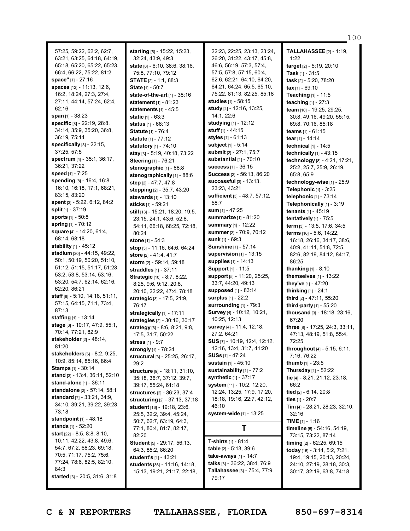57:25, 59:22, 62:2, 62:7, 63:21, 63:25, 64:18, 64:19, 65:18, 65:20, 65:22, 65:23, 66:4, 66:22, 75:22, 81:2 **space"** [1] - 27:16 **spaces** [12] - 11:13, 12:6, 16:2, 18:24, 27:3, 27:4, 27:11, 44:14, 57:24, 62:4, 62:16 **span** [1] - 38:23 **specific** [8] - 22:19, 28:8, 34:14, 35:9, 35:20, 36:8, 36:19, 75:14 **specifically** [3] - 22:15, 37:25, 57:5 **spectrum** [4] - 35:1, 36:17, 36:21, 37:22 **speed** [1] - 7:25 **spending** [8] - 16:4, 16:8, 16:10, 16:18, 17:1, 68:21, 83:15, 83:20 **spent** [3] - 5:22, 6:12, 84:2 **split** [1] - 37:19 **sports** [1] - 50:8 **spring** [1] - 70:12 **square** [4] - 14:20, 61:4, 68:14, 68:18 **stability** [1] - 45:12 **stadium** [20] - 44:15, 49:22, 50:1, 50:19, 50:20, 51:10, 51:12, 51:15, 51:17, 51:23, 53:2, 53:8, 53:14, 53:16, 53:20, 54:7, 62:14, 62:16, 62:20, 86:21 **staff** [8] - 5:10, 14:18, 51:11, 57:15, 64:15, 71:1, 73:4, 87:13 **staffing** [1] - 13:14 **stage** [6] - 10:17, 47:9, 55:1, 70:14, 77:21, 82:9 **stakeholder**[2] - 48:14, 81:20 **stakeholders** [6] - 8:2, 9:25, 10:9, 85:14, 85:16, 86:4 **Stamps** [1] - 30:14 **stand** [3] - 13:4, 36:11, 52:10 **stand-alone** [1] - 36:11 **standalone** [2] - 57:14, 58:1 **standard** [7] - 33:21, 34:9, 34:10, 39:21, 39:22, 39:23, 73:18 **standpoint** [1] - 48:18 **stands** [1] - 52:20 **start** [22] - 8:5, 8:8, 8:10, 10:11, 42:22, 43:8, 49:6, 54:7, 67:2, 68:23, 69:18, 70:5, 71:17, 75:2, 75:6, 77:24, 78:6, 82:5, 82:10, 84:3

**starting** [5] - 15:22, 15:23, 32:24, 43:9, 49:3 **state** [6] - 6:10, 38:6, 38:16, 75:8, 77:10, 79:12 **STATE** [2] - 1:1, 88:3 **State** [1] - 50:7 **state-of-the-art** [1] - 38:16 **statement** [1] - 81:23 **statements** [1] - 45:5 **static** [1] - 63:3 **status** [1] - 66:13 **Statute** [1] - 76:4 **statute** [1] - 77:12 **statutory** [1] - 74:10 **stay** [3] - 5:19, 40:18, 73:22 **Steering** [1] - 76:21 **stenographic** [1] - 88:8 **stenographically** [1] - 88:6 **step** [2] - 47:7, 47:8 **stepping** [2] - 35:7, 43:20 **stewards** [1] - 13:10 **sticks** [1] - 59:21 **still** [13] - 15:21, 18:20, 19:5, 23:15, 24:1, 43:6, 52:8, 54:11, 66:18, 68:25, 72:18, 80:24 **stone** [1] - 54:3 **stop** [3] - 11:16, 64:6, 64:24 **store** [2] - 41:4, 41:7 **storm** [2] - 59:14, 59:18 **straddles** [1] - 37:11 **Strategic** [10] - 8:7, 8:22, 8:25, 9:6, 9:12, 20:8, 20:10, 22:22, 47:4, 78:18 **strategic** [3] - 17:5, 21:9, 76:17 **strategically** [1] - 17:11 **strategies** [2] - 30:16, 30:17 **strategy** [6] - 8:6, 8:21, 9:8, 17:5, 31:7, 50:22 **stress** [1] - 9:7 **strongly** [1] - 78:24 **structural** [3] - 25:25, 26:17, 29:2 **structure** [9] - 18:11, 31:10, 35:18, 36:7, 37:12, 39:7, 39:17, 55:24, 61:18 **structures** [2] - 36:23, 37:4 **structuring** [2] - 37:13, 37:18 **student** [16] - 19:18, 23:6, 25:5, 32:2, 39:4, 45:24, 50:7, 62:7, 63:19, 64:3, 77:1, 80:4, 81:7, 82:17, 82:20 **Student** [5] - 29:17, 56:13, 64:3, 85:2, 86:20 **student's** [1] - 43:21 **students** [36] - 11:16, 14:18, 15:13, 19:21, 21:17, 22:18,

22:23, 22:25, 23:13, 23:24, 26:20, 31:22, 43:17, 45:8, 46:6, 56:19, 57:3, 57:4, 57:5, 57:8, 57:15, 60:4, 62:6, 62:21, 64:10, 64:20, 64:21, 64:24, 65:5, 65:10, 75:22, 81:13, 82:25, 85:18 **studies** [1] - 58:15 **study** [4] - 12:16, 13:25, 14:1, 22:6 **studying** [1] - 12:12 **stuff** [1] - 44:15 **styles** [1] - 61:13 **subject** [1] - 5:14 **submit** [2] - 27:1, 75:7 **substantial** [1] - 70:10 **success** [1] - 36:15 **Success** [2] - 56:13, 86:20 **successful** [3] - 13:13, 23:23, 43:21 **sufficient** [3] - 48:7, 57:12, 58:7 **sum** [1] - 47:25 **summarize** [1] - 81:20 **summary** [1] - 12:22 **summer** [2] - 70:9, 70:12 **sunk** [1] - 69:3 **Sunshine** [1] - 57:14 **supervision** [1] - 13:15 **supplies** [1] - 14:13 **Support** [1] - 11:5 **support** [5] - 11:20, 25:25, 33:7, 44:20, 49:13 **supposed** [1] - 83:14 **surplus** [1] - 22:2 **surrounding** [1] - 79:3 **Survey** [4] - 10:12, 10:21, 10:25, 12:13 **survey** [4] - 11:4, 12:18, 27:2, 64:21 **SUS** [7] - 10:19, 12:4, 12:12, 12:16, 13:4, 31:7, 41:20 **SUSs** [1] - 47:24 **sustain** [1] - 45:10 **sustainability** [1] - 77:2 **synthetic** [1] - 37:17 **system** [11] - 10:2, 12:20, 12:24, 13:25, 17:9, 17:20, 18:18, 19:16, 22:7, 42:12, 46:10 **system-wide** [1] - 13:25 **T T-shirts** [1] - 81:4 **table** [2] - 5:13, 39:6

**three** [8] - 17:25, 24:3, 33:11, 47:13, 48:19, 51:8, 55:4, 72:25 **throughout** [4] - 5:15, 6:11, 7:16, 76:22 **thumb** [1] - 23:5 **Thursday** [1] - 52:22 **tie** [4] - 8:21, 21:12, 23:18, 66:2 **tied** [2] - 6:14, 20:8 **ties** [1] - 20:7 **Tim** [4] - 28:21, 28:23, 32:10, 32:16 **TIME** [1] - 1:16 **timeline** [5] - 54:16, 54:19, 73:15, 73:22, 87:14 **timing** [2] - 62:25, 69:15 **today** [15] - 3:14, 5:2, 7:21, 19:4, 19:15, 20:13, 20:24, 24:10, 27:19, 28:18, 30:3, 30:17, 32:19, 63:8, 74:18

100

**TALLAHASSEE** [2] - 1:19,

**target** [2] - 5:19, 20:10 **Task** [1] - 31:5 **task** [2] - 5:20, 78:20 **tax** [1] - 69:10 **Teaching** [1] - 11:5 **teaching** [1] - 27:3 **team** [10] - 19:25, 29:25, 30:8, 49:16, 49:20, 55:15, 69:8, 70:16, 85:18 **teams** [1] - 61:15 **tear** [1] - 14:14 **technical** [1] - 14:5 **technically** [1] - 43:15 **technology** [8] - 4:21, 17:21, 25:2, 25:7, 25:9, 26:19,

1:22

65:8, 65:9

86:25

67:20

**thanking** [1] - 8:10 **themselves** [1] - 13:22 **they've** [1] - 47:20 **thinking** [1] - 24:1 **third** [2] - 47:11, 55:20 **third-party** [1] - 55:20 **thousand** [3] - 18:18, 23:16,

**technology-wise** [1] - 25:9 **Telephonic** [1] - 3:25 **telephonic** [1] - 73:14 **Telephonically** [1] - 3:19 **tenants** [1] - 45:19 **tentatively** [1] - 75:5 **term** [3] - 13:5, 17:6, 34:5 **terms** [16] - 5:6, 14:22, 16:18, 26:16, 34:17, 38:6, 40:9, 41:11, 51:8, 72:5, 82:6, 82:19, 84:12, 84:17,

**started** [3] - 20:5, 31:6, 31:8

**C & N REPORTERS TALLAHASSEE, FLORIDA 850-697-8314**

79:17

**take-aways** [1] - 14:7 **talks** [3] - 36:22, 38:4, 76:9 **Tallahassee** [3] - 75:4, 77:9,